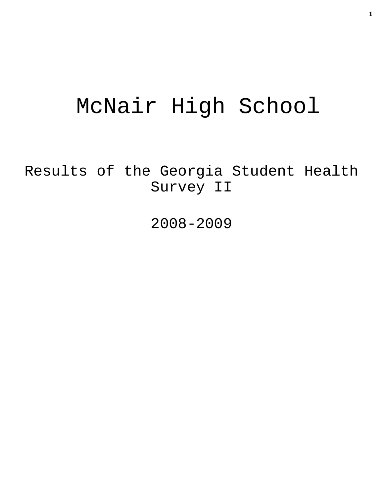# McNair High School

Results of the Georgia Student Health Survey II

2008-2009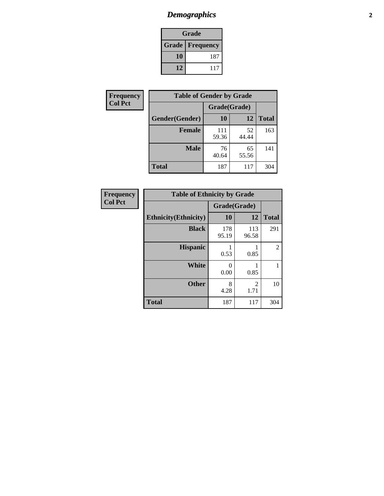# *Demographics* **2**

| Grade                    |     |  |  |  |
|--------------------------|-----|--|--|--|
| <b>Grade   Frequency</b> |     |  |  |  |
| 10                       | 187 |  |  |  |
| 12                       | 117 |  |  |  |

| Frequency      | <b>Table of Gender by Grade</b> |              |             |              |  |  |
|----------------|---------------------------------|--------------|-------------|--------------|--|--|
| <b>Col Pct</b> |                                 | Grade(Grade) |             |              |  |  |
|                | Gender(Gender)                  | 10           | 12          | <b>Total</b> |  |  |
|                | <b>Female</b>                   | 111<br>59.36 | 52<br>44.44 | 163          |  |  |
|                | <b>Male</b>                     | 76<br>40.64  | 65<br>55.56 | 141          |  |  |
|                | <b>Total</b>                    | 187          | 117         | 304          |  |  |

| <b>Frequency</b><br>Col Pct |
|-----------------------------|
|-----------------------------|

| <b>Table of Ethnicity by Grade</b> |              |                        |              |  |  |  |
|------------------------------------|--------------|------------------------|--------------|--|--|--|
|                                    | Grade(Grade) |                        |              |  |  |  |
| <b>Ethnicity</b> (Ethnicity)       | 10           | 12                     | <b>Total</b> |  |  |  |
| <b>Black</b>                       | 178<br>95.19 | 113<br>96.58           | 291          |  |  |  |
| <b>Hispanic</b>                    | 0.53         | 0.85                   | 2            |  |  |  |
| White                              | 0<br>0.00    | 0.85                   | 1            |  |  |  |
| <b>Other</b>                       | 8<br>4.28    | $\mathfrak{D}$<br>1.71 | 10           |  |  |  |
| <b>Total</b>                       | 187          | 117                    | 304          |  |  |  |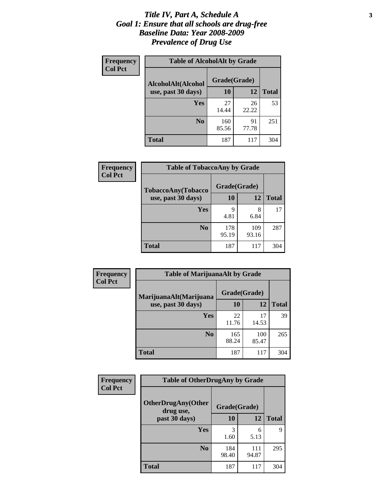#### *Title IV, Part A, Schedule A* **3** *Goal 1: Ensure that all schools are drug-free Baseline Data: Year 2008-2009 Prevalence of Drug Use*

| Frequency<br><b>Col Pct</b> | <b>Table of AlcoholAlt by Grade</b> |              |             |              |  |  |
|-----------------------------|-------------------------------------|--------------|-------------|--------------|--|--|
|                             | AlcoholAlt(Alcohol                  | Grade(Grade) |             |              |  |  |
|                             | use, past 30 days)                  | <b>10</b>    | 12          | <b>Total</b> |  |  |
|                             | Yes                                 | 27<br>14.44  | 26<br>22.22 | 53           |  |  |
|                             | N <sub>0</sub>                      | 160<br>85.56 | 91<br>77.78 | 251          |  |  |
|                             | Total                               | 187          | 117         | 304          |  |  |

| Frequency      | <b>Table of TobaccoAny by Grade</b> |              |       |              |  |
|----------------|-------------------------------------|--------------|-------|--------------|--|
| <b>Col Pct</b> | TobaccoAny(Tobacco                  | Grade(Grade) |       |              |  |
|                | use, past 30 days)                  | 10           | 12    | <b>Total</b> |  |
|                | Yes                                 | 9            | 8     | 17           |  |
|                |                                     | 4.81         | 6.84  |              |  |
|                | N <sub>0</sub>                      | 178          | 109   | 287          |  |
|                |                                     | 95.19        | 93.16 |              |  |
|                | Total                               | 187          | 117   | 304          |  |

| Frequency<br><b>Col Pct</b> | <b>Table of MarijuanaAlt by Grade</b> |              |              |              |  |
|-----------------------------|---------------------------------------|--------------|--------------|--------------|--|
|                             | MarijuanaAlt(Marijuana                | Grade(Grade) |              |              |  |
|                             | use, past 30 days)                    | <b>10</b>    | 12           | <b>Total</b> |  |
|                             | <b>Yes</b>                            | 22<br>11.76  | 17<br>14.53  | 39           |  |
|                             | N <sub>0</sub>                        | 165<br>88.24 | 100<br>85.47 | 265          |  |
|                             | <b>Total</b>                          | 187          | 117          | 304          |  |

| Frequency<br><b>Col Pct</b> | <b>Table of OtherDrugAny by Grade</b>                  |              |              |              |  |
|-----------------------------|--------------------------------------------------------|--------------|--------------|--------------|--|
|                             | <b>OtherDrugAny(Other</b><br>Grade(Grade)<br>drug use, |              |              |              |  |
|                             | past 30 days)                                          | <b>10</b>    | 12           | <b>Total</b> |  |
|                             | <b>Yes</b>                                             | 3<br>1.60    | 6<br>5.13    | 9            |  |
|                             | N <sub>0</sub>                                         | 184<br>98.40 | 111<br>94.87 | 295          |  |
|                             | <b>Total</b>                                           | 187          | 117          | 304          |  |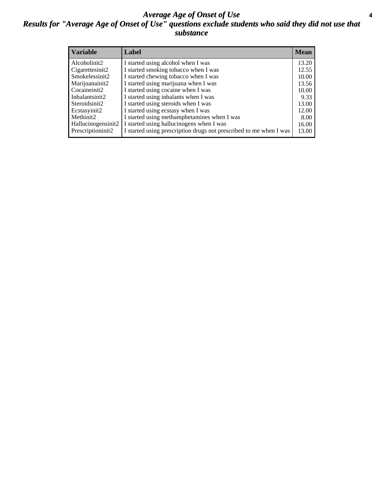#### *Average Age of Onset of Use* **4** *Results for "Average Age of Onset of Use" questions exclude students who said they did not use that substance*

| <b>Variable</b>       | Label                                                              | <b>Mean</b> |
|-----------------------|--------------------------------------------------------------------|-------------|
| Alcoholinit2          | I started using alcohol when I was                                 | 13.20       |
| Cigarettesinit2       | I started smoking tobacco when I was                               | 12.55       |
| Smokelessinit2        | I started chewing tobacco when I was                               | 10.00       |
| Marijuanainit2        | I started using marijuana when I was                               | 13.56       |
| Cocaineinit2          | I started using cocaine when I was                                 | 10.00       |
| Inhalantsinit2        | I started using inhalants when I was                               | 9.33        |
| Steroidsinit2         | I started using steroids when I was                                | 13.00       |
| Ecstasyinit2          | I started using ecstasy when I was                                 | 12.00       |
| Methinit <sub>2</sub> | I started using methamphetamines when I was                        | 8.00        |
| Hallucinogensinit2    | I started using hallucinogens when I was                           | 16.00       |
| Prescriptioninit2     | I started using prescription drugs not prescribed to me when I was | 13.00       |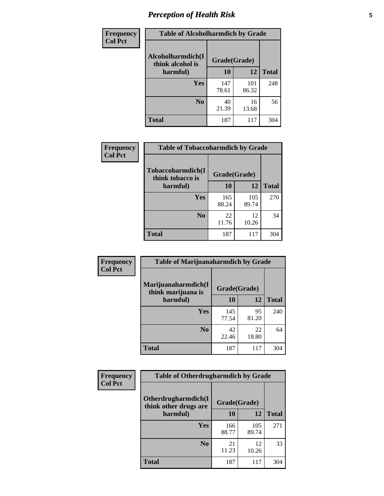## *Perception of Health Risk* **5**

| Frequency      | <b>Table of Alcoholharmdich by Grade</b> |              |              |              |  |
|----------------|------------------------------------------|--------------|--------------|--------------|--|
| <b>Col Pct</b> | Alcoholharmdich(I<br>think alcohol is    | Grade(Grade) |              |              |  |
|                | harmful)                                 | 10           | 12           | <b>Total</b> |  |
|                | Yes                                      | 147<br>78.61 | 101<br>86.32 | 248          |  |
|                | N <sub>0</sub>                           | 40<br>21.39  | 16<br>13.68  | 56           |  |
|                | <b>Total</b>                             | 187          | 117          | 304          |  |

| <b>Frequency</b> | <b>Table of Tobaccoharmdich by Grade</b> |              |              |              |
|------------------|------------------------------------------|--------------|--------------|--------------|
| <b>Col Pct</b>   | Tobaccoharmdich(I<br>think tobacco is    | Grade(Grade) |              |              |
|                  | harmful)                                 | 10           | 12           | <b>Total</b> |
|                  | Yes                                      | 165<br>88.24 | 105<br>89.74 | 270          |
|                  | N <sub>0</sub>                           | 22<br>11.76  | 12<br>10.26  | 34           |
|                  | <b>Total</b>                             | 187          | 117          | 304          |

| <b>Frequency</b> | <b>Table of Marijuanaharmdich by Grade</b>                |              |             |              |  |  |
|------------------|-----------------------------------------------------------|--------------|-------------|--------------|--|--|
| <b>Col Pct</b>   | Marijuanaharmdich(I<br>Grade(Grade)<br>think marijuana is |              |             |              |  |  |
|                  | harmful)                                                  | <b>10</b>    | 12          | <b>Total</b> |  |  |
|                  | Yes                                                       | 145<br>77.54 | 95<br>81.20 | 240          |  |  |
|                  | N <sub>0</sub>                                            | 42<br>22.46  | 22<br>18.80 | 64           |  |  |
|                  | <b>Total</b>                                              | 187          | 117         | 304          |  |  |

| <b>Frequency</b> | <b>Table of Otherdrugharmdich by Grade</b>                   |              |              |              |  |
|------------------|--------------------------------------------------------------|--------------|--------------|--------------|--|
| <b>Col Pct</b>   | Otherdrugharmdich(I<br>Grade(Grade)<br>think other drugs are |              |              |              |  |
|                  | harmful)                                                     | 10           | 12           | <b>Total</b> |  |
|                  | <b>Yes</b>                                                   | 166<br>88.77 | 105<br>89.74 | 271          |  |
|                  | N <sub>0</sub>                                               | 21<br>11.23  | 12<br>10.26  | 33           |  |
|                  | <b>Total</b>                                                 | 187          | 117          | 304          |  |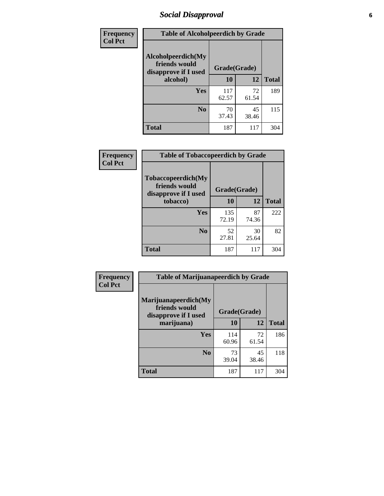## *Social Disapproval* **6**

| Frequency      | <b>Table of Alcoholpeerdich by Grade</b>                    |              |             |              |
|----------------|-------------------------------------------------------------|--------------|-------------|--------------|
| <b>Col Pct</b> | Alcoholpeerdich(My<br>friends would<br>disapprove if I used | Grade(Grade) |             |              |
|                | alcohol)                                                    | 10           | 12          | <b>Total</b> |
|                | <b>Yes</b>                                                  | 117<br>62.57 | 72<br>61.54 | 189          |
|                | N <sub>0</sub>                                              | 70<br>37.43  | 45<br>38.46 | 115          |
|                | <b>Total</b>                                                | 187          | 117         | 304          |

| <b>Frequency</b> |
|------------------|
| <b>Col Pct</b>   |

| <b>Table of Tobaccopeerdich by Grade</b>                            |              |             |              |  |  |
|---------------------------------------------------------------------|--------------|-------------|--------------|--|--|
| <b>Tobaccopeerdich</b> (My<br>friends would<br>disapprove if I used | Grade(Grade) |             |              |  |  |
| tobacco)                                                            | 10           | 12          | <b>Total</b> |  |  |
| Yes                                                                 | 135<br>72.19 | 87<br>74.36 | 222          |  |  |
| N <sub>0</sub>                                                      | 52<br>27.81  | 30<br>25.64 | 82           |  |  |
| <b>Total</b>                                                        | 187          | 117         | 304          |  |  |

| Frequency      | <b>Table of Marijuanapeerdich by Grade</b>                    |              |             |              |  |
|----------------|---------------------------------------------------------------|--------------|-------------|--------------|--|
| <b>Col Pct</b> | Marijuanapeerdich(My<br>friends would<br>disapprove if I used | Grade(Grade) |             |              |  |
|                | marijuana)                                                    | 10           | 12          | <b>Total</b> |  |
|                | <b>Yes</b>                                                    | 114<br>60.96 | 72<br>61.54 | 186          |  |
|                | N <sub>0</sub>                                                | 73<br>39.04  | 45<br>38.46 | 118          |  |
|                | <b>Total</b>                                                  | 187          | 117         | 304          |  |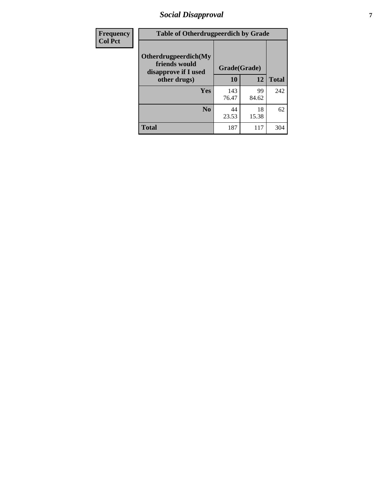## *Social Disapproval* **7**

| Frequency      | <b>Table of Otherdrugpeerdich by Grade</b>                    |              |             |              |  |
|----------------|---------------------------------------------------------------|--------------|-------------|--------------|--|
| <b>Col Pct</b> | Otherdrugpeerdich(My<br>friends would<br>disapprove if I used | Grade(Grade) |             |              |  |
|                | other drugs)                                                  | 10           | 12          | <b>Total</b> |  |
|                | Yes                                                           | 143<br>76.47 | 99<br>84.62 | 242          |  |
|                | N <sub>0</sub>                                                | 44<br>23.53  | 18<br>15.38 | 62           |  |
|                | <b>Total</b>                                                  | 187          | 117         | 304          |  |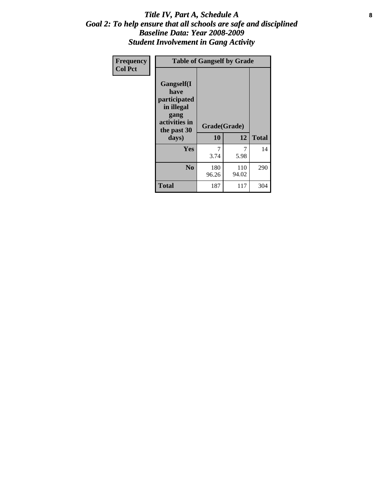#### Title IV, Part A, Schedule A **8** *Goal 2: To help ensure that all schools are safe and disciplined Baseline Data: Year 2008-2009 Student Involvement in Gang Activity*

| Frequency      | <b>Table of Gangself by Grade</b>                                                                 |                    |              |              |
|----------------|---------------------------------------------------------------------------------------------------|--------------------|--------------|--------------|
| <b>Col Pct</b> | Gangself(I<br>have<br>participated<br>in illegal<br>gang<br>activities in<br>the past 30<br>days) | Grade(Grade)<br>10 | 12           | <b>Total</b> |
|                | Yes                                                                                               | 7<br>3.74          | 7<br>5.98    | 14           |
|                | N <sub>0</sub>                                                                                    | 180<br>96.26       | 110<br>94.02 | 290          |
|                | <b>Total</b>                                                                                      | 187                | 117          | 304          |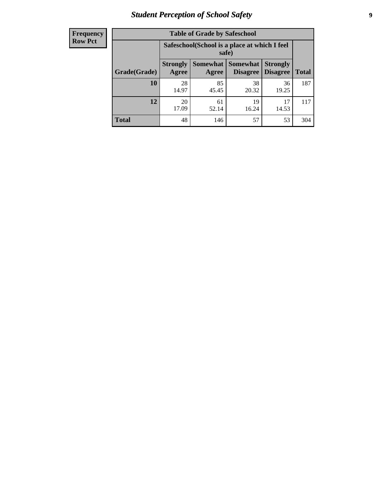# *Student Perception of School Safety* **9**

| <b>Frequency</b><br>Row Pct |
|-----------------------------|
|                             |

| <b>Table of Grade by Safeschool</b> |                                                                                                                                      |                                                        |             |             |     |  |  |
|-------------------------------------|--------------------------------------------------------------------------------------------------------------------------------------|--------------------------------------------------------|-------------|-------------|-----|--|--|
|                                     |                                                                                                                                      | Safeschool (School is a place at which I feel<br>safe) |             |             |     |  |  |
| Grade(Grade)                        | Somewhat  <br><b>Somewhat</b><br><b>Strongly</b><br><b>Strongly</b><br><b>Disagree</b><br>Agree<br>Disagree<br><b>Total</b><br>Agree |                                                        |             |             |     |  |  |
| <b>10</b>                           | 28<br>14.97                                                                                                                          | 85<br>45.45                                            | 38<br>20.32 | 36<br>19.25 | 187 |  |  |
| 12                                  | 20<br>17.09                                                                                                                          | 61<br>52.14                                            | 19<br>16.24 | 17<br>14.53 | 117 |  |  |
| <b>Total</b>                        | 48                                                                                                                                   | 146                                                    | 57          | 53          | 304 |  |  |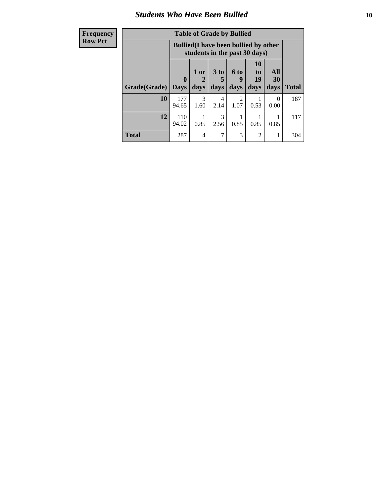#### *Students Who Have Been Bullied* **10**

| <b>Frequency</b> | <b>Table of Grade by Bullied</b> |                                                                               |                          |                         |                        |                                           |                   |              |
|------------------|----------------------------------|-------------------------------------------------------------------------------|--------------------------|-------------------------|------------------------|-------------------------------------------|-------------------|--------------|
| <b>Row Pct</b>   |                                  | <b>Bullied</b> (I have been bullied by other<br>students in the past 30 days) |                          |                         |                        |                                           |                   |              |
|                  | Grade(Grade)                     | $\mathbf{0}$<br><b>Days</b>                                                   | 1 or<br>2<br>days        | 3 <sub>to</sub><br>days | 6 to<br>9<br>days      | <b>10</b><br>t <sub>0</sub><br>19<br>days | All<br>30<br>days | <b>Total</b> |
|                  | 10                               | 177<br>94.65                                                                  | $\mathcal{R}$<br>1.60    | 4<br>2.14               | $\mathfrak{D}$<br>1.07 | 0.53                                      | $\Omega$<br>0.00  | 187          |
|                  | 12                               | 110<br>94.02                                                                  | 0.85                     | 3<br>2.56               | 0.85                   | 0.85                                      | 0.85              | 117          |
|                  | <b>Total</b>                     | 287                                                                           | $\overline{\mathcal{L}}$ | 7                       | 3                      | $\mathfrak{D}$                            |                   | 304          |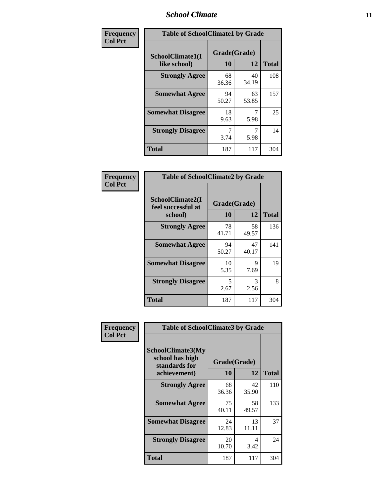#### *School Climate* **11**

| Frequency      | <b>Table of SchoolClimate1 by Grade</b> |                    |             |              |  |
|----------------|-----------------------------------------|--------------------|-------------|--------------|--|
| <b>Col Pct</b> | SchoolClimate1(I<br>like school)        | Grade(Grade)<br>10 | 12          | <b>Total</b> |  |
|                | <b>Strongly Agree</b>                   | 68<br>36.36        | 40<br>34.19 | 108          |  |
|                | <b>Somewhat Agree</b>                   | 94<br>50.27        | 63<br>53.85 | 157          |  |
|                | <b>Somewhat Disagree</b>                | 18<br>9.63         | 5.98        | 25           |  |
|                | <b>Strongly Disagree</b>                | 7<br>3.74          | 5.98        | 14           |  |
|                | <b>Total</b>                            | 187                | 117         | 304          |  |

| Frequency      | <b>Table of SchoolClimate2 by Grade</b>           |                    |             |              |
|----------------|---------------------------------------------------|--------------------|-------------|--------------|
| <b>Col Pct</b> | SchoolClimate2(I<br>feel successful at<br>school) | Grade(Grade)<br>10 | 12          | <b>Total</b> |
|                | <b>Strongly Agree</b>                             | 78<br>41.71        | 58<br>49.57 | 136          |
|                | <b>Somewhat Agree</b>                             | 94<br>50.27        | 47<br>40.17 | 141          |
|                | <b>Somewhat Disagree</b>                          | 10<br>5.35         | Q<br>7.69   | 19           |
|                | <b>Strongly Disagree</b>                          | 5<br>2.67          | 3<br>2.56   | 8            |
|                | <b>Total</b>                                      | 187                | 117         | 304          |

| Frequency      | <b>Table of SchoolClimate3 by Grade</b>                      |                                 |             |              |
|----------------|--------------------------------------------------------------|---------------------------------|-------------|--------------|
| <b>Col Pct</b> | <b>SchoolClimate3(My</b><br>school has high<br>standards for | Grade(Grade)<br><b>10</b><br>12 |             |              |
|                | achievement)                                                 |                                 |             | <b>Total</b> |
|                | <b>Strongly Agree</b>                                        | 68<br>36.36                     | 42<br>35.90 | 110          |
|                | <b>Somewhat Agree</b>                                        | 75<br>40.11                     | 58<br>49.57 | 133          |
|                | <b>Somewhat Disagree</b>                                     | 24<br>12.83                     | 13<br>11.11 | 37           |
|                | <b>Strongly Disagree</b>                                     | 20<br>10.70                     | 4<br>3.42   | 24           |
|                | Total                                                        | 187                             | 117         | 304          |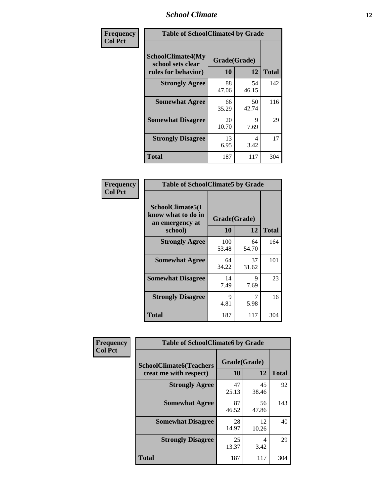#### *School Climate* **12**

| Frequency      |                                                               | <b>Table of SchoolClimate4 by Grade</b> |             |              |  |
|----------------|---------------------------------------------------------------|-----------------------------------------|-------------|--------------|--|
| <b>Col Pct</b> | SchoolClimate4(My<br>school sets clear<br>rules for behavior) | Grade(Grade)<br>10                      | 12          | <b>Total</b> |  |
|                | <b>Strongly Agree</b>                                         | 88<br>47.06                             | 54<br>46.15 | 142          |  |
|                | <b>Somewhat Agree</b>                                         | 66<br>35.29                             | 50<br>42.74 | 116          |  |
|                | <b>Somewhat Disagree</b>                                      | 20<br>10.70                             | 9<br>7.69   | 29           |  |
|                | <b>Strongly Disagree</b>                                      | 13<br>6.95                              | 4<br>3.42   | 17           |  |
|                | <b>Total</b>                                                  | 187                                     | 117         | 304          |  |

| <b>Table of SchoolClimate5 by Grade</b>                   |                    |              |     |  |
|-----------------------------------------------------------|--------------------|--------------|-----|--|
| SchoolClimate5(I<br>know what to do in<br>an emergency at | Grade(Grade)<br>10 | <b>Total</b> |     |  |
| school)                                                   |                    | 12           |     |  |
| <b>Strongly Agree</b>                                     | 100<br>53.48       | 64<br>54.70  | 164 |  |
| <b>Somewhat Agree</b>                                     | 64<br>34.22        | 37<br>31.62  | 101 |  |
| <b>Somewhat Disagree</b>                                  | 14<br>7.49         | 9<br>7.69    | 23  |  |
| <b>Strongly Disagree</b>                                  | 9<br>4.81          | 7<br>5.98    | 16  |  |
| <b>Total</b>                                              | 187                | 117          | 304 |  |

| Frequency      | <b>Table of SchoolClimate6 by Grade</b>                  |                           |             |              |  |
|----------------|----------------------------------------------------------|---------------------------|-------------|--------------|--|
| <b>Col Pct</b> | <b>SchoolClimate6(Teachers</b><br>treat me with respect) | Grade(Grade)<br><b>10</b> | 12          | <b>Total</b> |  |
|                | <b>Strongly Agree</b>                                    | 47<br>25.13               | 45<br>38.46 | 92           |  |
|                | <b>Somewhat Agree</b>                                    | 87<br>46.52               | 56<br>47.86 | 143          |  |
|                | <b>Somewhat Disagree</b>                                 | 28<br>14.97               | 12<br>10.26 | 40           |  |
|                | <b>Strongly Disagree</b>                                 | 25<br>13.37               | 4<br>3.42   | 29           |  |
|                | <b>Total</b>                                             | 187                       | 117         | 304          |  |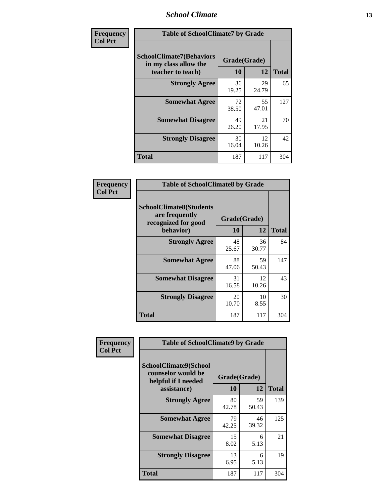#### *School Climate* **13**

| Frequency      | <b>Table of SchoolClimate7 by Grade</b>                                       |                           |             |              |
|----------------|-------------------------------------------------------------------------------|---------------------------|-------------|--------------|
| <b>Col Pct</b> | <b>SchoolClimate7(Behaviors</b><br>in my class allow the<br>teacher to teach) | Grade(Grade)<br><b>10</b> | 12          | <b>Total</b> |
|                | <b>Strongly Agree</b>                                                         | 36<br>19.25               | 29<br>24.79 | 65           |
|                | <b>Somewhat Agree</b>                                                         | 72<br>38.50               | 55<br>47.01 | 127          |
|                | <b>Somewhat Disagree</b>                                                      | 49<br>26.20               | 21<br>17.95 | 70           |
|                | <b>Strongly Disagree</b>                                                      | 30<br>16.04               | 12<br>10.26 | 42           |
|                | <b>Total</b>                                                                  | 187                       | 117         | 304          |

| Frequency      | <b>Table of SchoolClimate8 by Grade</b>                                 |              |             |              |
|----------------|-------------------------------------------------------------------------|--------------|-------------|--------------|
| <b>Col Pct</b> | <b>SchoolClimate8(Students</b><br>are frequently<br>recognized for good | Grade(Grade) |             |              |
|                | behavior)                                                               | 10           | 12          | <b>Total</b> |
|                | <b>Strongly Agree</b>                                                   | 48<br>25.67  | 36<br>30.77 | 84           |
|                | <b>Somewhat Agree</b>                                                   | 88<br>47.06  | 59<br>50.43 | 147          |
|                | <b>Somewhat Disagree</b>                                                | 31<br>16.58  | 12<br>10.26 | 43           |
|                | <b>Strongly Disagree</b>                                                | 20<br>10.70  | 10<br>8.55  | 30           |
|                | <b>Total</b>                                                            | 187          | 117         | 304          |

| Frequency      | <b>Table of SchoolClimate9 by Grade</b>                                           |                    |             |              |
|----------------|-----------------------------------------------------------------------------------|--------------------|-------------|--------------|
| <b>Col Pct</b> | SchoolClimate9(School<br>counselor would be<br>helpful if I needed<br>assistance) | Grade(Grade)<br>10 | 12          | <b>Total</b> |
|                | <b>Strongly Agree</b>                                                             | 80<br>42.78        | 59<br>50.43 | 139          |
|                | <b>Somewhat Agree</b>                                                             | 79<br>42.25        | 46<br>39.32 | 125          |
|                | <b>Somewhat Disagree</b>                                                          | 15<br>8.02         | 6<br>5.13   | 21           |
|                | <b>Strongly Disagree</b>                                                          | 13<br>6.95         | 6<br>5.13   | 19           |
|                | <b>Total</b>                                                                      | 187                | 117         | 304          |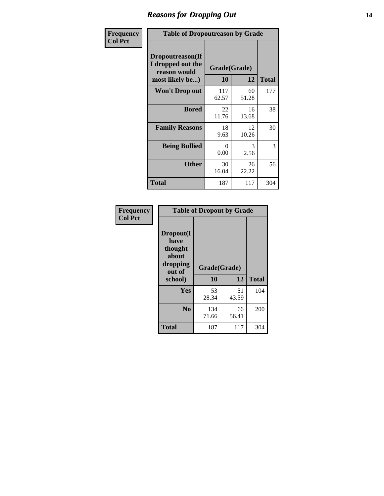### *Reasons for Dropping Out* **14**

| <b>Frequency</b> | <b>Table of Dropoutreason by Grade</b>                                           |                  |                    |              |
|------------------|----------------------------------------------------------------------------------|------------------|--------------------|--------------|
| <b>Col Pct</b>   | <b>Dropoutreason</b> (If<br>I dropped out the<br>reason would<br>most likely be) | 10               | Grade(Grade)<br>12 | <b>Total</b> |
|                  | <b>Won't Drop out</b>                                                            | 117<br>62.57     | 60<br>51.28        | 177          |
|                  | <b>Bored</b>                                                                     | 22<br>11.76      | 16<br>13.68        | 38           |
|                  | <b>Family Reasons</b>                                                            | 18<br>9.63       | 12<br>10.26        | 30           |
|                  | <b>Being Bullied</b>                                                             | $\Omega$<br>0.00 | 3<br>2.56          | 3            |
|                  | <b>Other</b>                                                                     | 30<br>16.04      | 26<br>22.22        | 56           |
|                  | Total                                                                            | 187              | 117                | 304          |

| Frequency      | <b>Table of Dropout by Grade</b>                                       |                    |              |     |  |
|----------------|------------------------------------------------------------------------|--------------------|--------------|-----|--|
| <b>Col Pct</b> | Dropout(I<br>have<br>thought<br>about<br>dropping<br>out of<br>school) | Grade(Grade)<br>10 | <b>Total</b> |     |  |
|                | Yes                                                                    | 53                 | 51           | 104 |  |
|                | N <sub>0</sub>                                                         | 28.34<br>134       | 43.59<br>66  | 200 |  |
|                |                                                                        | 71.66              | 56.41        |     |  |
|                | <b>Total</b>                                                           | 187                | 117          | 304 |  |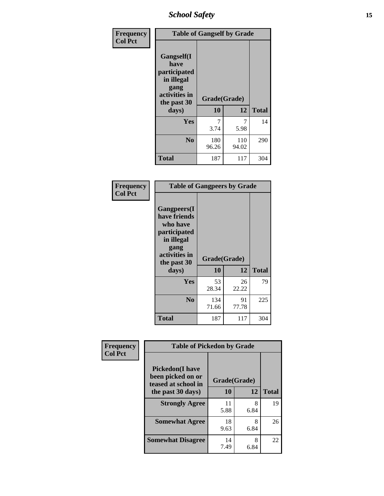*School Safety* **15**

| Frequency      | <b>Table of Gangself by Grade</b>                                                                 |                          |              |              |
|----------------|---------------------------------------------------------------------------------------------------|--------------------------|--------------|--------------|
| <b>Col Pct</b> | Gangself(I<br>have<br>participated<br>in illegal<br>gang<br>activities in<br>the past 30<br>days) | Grade(Grade)<br>10<br>12 |              | <b>Total</b> |
|                | Yes                                                                                               | 7<br>3.74                | 7<br>5.98    | 14           |
|                | N <sub>0</sub>                                                                                    | 180<br>96.26             | 110<br>94.02 | 290          |
|                | <b>Total</b>                                                                                      | 187                      | 117          | 304          |

| Frequency<br><b>Col Pct</b> | <b>Table of Gangpeers by Grade</b>                                                                                             |                    |             |              |
|-----------------------------|--------------------------------------------------------------------------------------------------------------------------------|--------------------|-------------|--------------|
|                             | <b>Gangpeers</b> (I<br>have friends<br>who have<br>participated<br>in illegal<br>gang<br>activities in<br>the past 30<br>days) | Grade(Grade)<br>10 | 12          | <b>Total</b> |
|                             | Yes                                                                                                                            | 53<br>28.34        | 26<br>22.22 | 79           |
|                             | N <sub>0</sub>                                                                                                                 | 134<br>71.66       | 91<br>77.78 | 225          |
|                             | Total                                                                                                                          | 187                | 117         | 304          |

| Frequency      | <b>Table of Pickedon by Grade</b>                                   |                    |           |              |
|----------------|---------------------------------------------------------------------|--------------------|-----------|--------------|
| <b>Col Pct</b> | <b>Pickedon</b> (I have<br>been picked on or<br>teased at school in | Grade(Grade)<br>10 | 12        | <b>Total</b> |
|                | the past 30 days)                                                   |                    |           |              |
|                | <b>Strongly Agree</b>                                               | 11<br>5.88         | 8<br>6.84 | 19           |
|                | <b>Somewhat Agree</b>                                               | 18<br>9.63         | 8<br>6.84 | 26           |
|                | <b>Somewhat Disagree</b>                                            | 14<br>7.49         | 8<br>6.84 | 22           |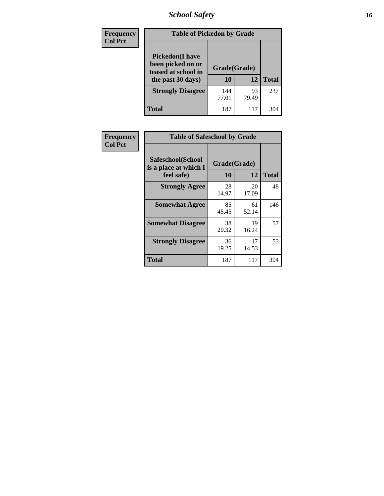# *School Safety* **16**

| Frequency      |                                                                                         | <b>Table of Pickedon by Grade</b> |             |              |  |  |  |  |  |  |
|----------------|-----------------------------------------------------------------------------------------|-----------------------------------|-------------|--------------|--|--|--|--|--|--|
| <b>Col Pct</b> | <b>Pickedon(I have</b><br>been picked on or<br>teased at school in<br>the past 30 days) | Grade(Grade)<br>10                | 12          | <b>Total</b> |  |  |  |  |  |  |
|                | <b>Strongly Disagree</b>                                                                | 144<br>77.01                      | 93<br>79.49 | 237          |  |  |  |  |  |  |
|                | <b>Total</b>                                                                            | 187                               | 117         | 304          |  |  |  |  |  |  |

| Frequency      | <b>Table of Safeschool by Grade</b>                      |                           |             |              |
|----------------|----------------------------------------------------------|---------------------------|-------------|--------------|
| <b>Col Pct</b> | Safeschool(School<br>is a place at which I<br>feel safe) | Grade(Grade)<br><b>10</b> | 12          | <b>Total</b> |
|                | <b>Strongly Agree</b>                                    | 28<br>14.97               | 20<br>17.09 | 48           |
|                | <b>Somewhat Agree</b>                                    | 85<br>45.45               | 61<br>52.14 | 146          |
|                | <b>Somewhat Disagree</b>                                 | 38<br>20.32               | 19<br>16.24 | 57           |
|                | <b>Strongly Disagree</b>                                 | 36<br>19.25               | 17<br>14.53 | 53           |
|                | <b>Total</b>                                             | 187                       | 117         | 304          |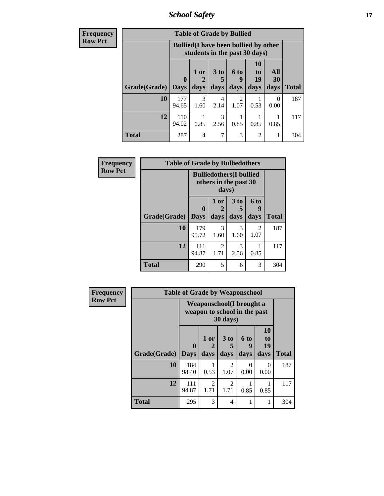*School Safety* **17**

| <b>Frequency</b> |              | <b>Table of Grade by Bullied</b> |                                                                               |              |                   |                               |                   |              |  |  |  |
|------------------|--------------|----------------------------------|-------------------------------------------------------------------------------|--------------|-------------------|-------------------------------|-------------------|--------------|--|--|--|
| <b>Row Pct</b>   |              |                                  | <b>Bullied</b> (I have been bullied by other<br>students in the past 30 days) |              |                   |                               |                   |              |  |  |  |
|                  | Grade(Grade) | $\mathbf 0$<br><b>Days</b>       | 1 or<br>days                                                                  | 3 to<br>days | 6 to<br>9<br>days | <b>10</b><br>to<br>19<br>days | All<br>30<br>days | <b>Total</b> |  |  |  |
|                  |              |                                  |                                                                               |              |                   |                               |                   |              |  |  |  |
|                  | 10           | 177<br>94.65                     | $\mathcal{R}$<br>1.60                                                         | 4<br>2.14    | 2<br>1.07         | 0.53                          | $\Omega$<br>0.00  | 187          |  |  |  |
|                  | 12           | 110<br>94.02                     | 0.85                                                                          | 3<br>2.56    | 0.85              | 0.85                          | 0.85              | 117          |  |  |  |
|                  | <b>Total</b> | 287                              | 4                                                                             | ┑            | 3                 | $\overline{2}$                |                   | 304          |  |  |  |

| Frequency      | <b>Table of Grade by Bulliedothers</b> |                                                         |                       |                              |                   |              |  |  |  |
|----------------|----------------------------------------|---------------------------------------------------------|-----------------------|------------------------------|-------------------|--------------|--|--|--|
| <b>Row Pct</b> |                                        | <b>Bulliedothers(I bullied</b><br>others in the past 30 |                       |                              |                   |              |  |  |  |
|                | Grade(Grade)                           | $\bf{0}$<br><b>Days</b>                                 | 1 or<br>days          | 3 <sub>to</sub><br>5<br>days | 6 to<br>9<br>days | <b>Total</b> |  |  |  |
|                | 10                                     | 179<br>95.72                                            | $\mathcal{R}$<br>1.60 | 3<br>1.60                    | 2<br>1.07         | 187          |  |  |  |
|                | 12                                     | 111<br>94.87                                            | 2<br>1.71             | 3<br>2.56                    | 0.85              | 117          |  |  |  |
|                | <b>Total</b>                           | 290                                                     | 5                     | 6                            | 3                 | 304          |  |  |  |

| <b>Frequency</b> |              | <b>Table of Grade by Weaponschool</b>                    |                   |                              |                   |                        |              |
|------------------|--------------|----------------------------------------------------------|-------------------|------------------------------|-------------------|------------------------|--------------|
| <b>Row Pct</b>   |              | Weaponschool(I brought a<br>weapon to school in the past |                   |                              |                   |                        |              |
|                  | Grade(Grade) | $\bf{0}$<br><b>Days</b>                                  | 1 or<br>2<br>days | 3 <sub>to</sub><br>5<br>days | 6 to<br>9<br>days | 10<br>to<br>19<br>days | <b>Total</b> |
|                  | 10           | 184<br>98.40                                             | 0.53              | $\overline{2}$<br>1.07       | 0<br>0.00         | 0<br>0.00              | 187          |
|                  | 12           | 111<br>94.87                                             | 2<br>1.71         | 2<br>1.71                    | 0.85              | 0.85                   | 117          |
|                  | <b>Total</b> | 295                                                      | 3                 | 4                            |                   |                        | 304          |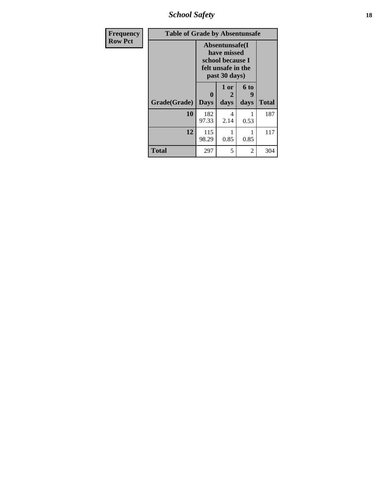*School Safety* **18**

| <b>Frequency</b> | <b>Table of Grade by Absentunsafe</b> |                             |                                                                                           |                   |              |  |  |  |
|------------------|---------------------------------------|-----------------------------|-------------------------------------------------------------------------------------------|-------------------|--------------|--|--|--|
| <b>Row Pct</b>   |                                       |                             | Absentunsafe(I)<br>have missed<br>school because I<br>felt unsafe in the<br>past 30 days) |                   |              |  |  |  |
|                  | Grade(Grade)                          | $\mathbf{0}$<br><b>Days</b> | 1 or<br>2<br>days                                                                         | 6 to<br>9<br>days | <b>Total</b> |  |  |  |
|                  | 10                                    | 182<br>97.33                | 4<br>2.14                                                                                 | 0.53              | 187          |  |  |  |
|                  | 12                                    | 115<br>98.29                | 0.85                                                                                      | 0.85              | 117          |  |  |  |
|                  | <b>Total</b>                          | 297                         | 5                                                                                         | 2                 | 304          |  |  |  |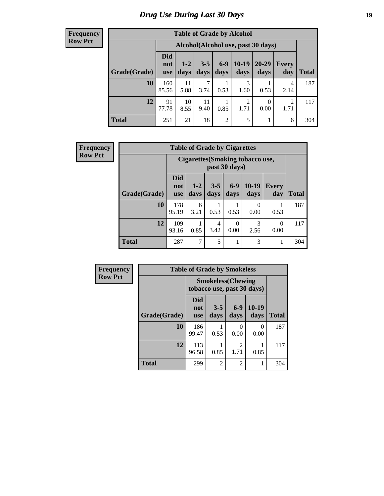## *Drug Use During Last 30 Days* **19**

#### **Frequency Row Pct**

| <b>Table of Grade by Alcohol</b> |                                 |                                    |                 |                 |                 |                   |              |              |  |  |  |
|----------------------------------|---------------------------------|------------------------------------|-----------------|-----------------|-----------------|-------------------|--------------|--------------|--|--|--|
|                                  |                                 | Alcohol(Alcohol use, past 30 days) |                 |                 |                 |                   |              |              |  |  |  |
| Grade(Grade)                     | <b>Did</b><br>not<br><b>use</b> | $1 - 2$<br>days                    | $3 - 5$<br>days | $6 - 9$<br>days | $10-19$<br>days | $20 - 29$<br>days | Every<br>day | <b>Total</b> |  |  |  |
| 10                               | 160<br>85.56                    | 11<br>5.88                         | 7<br>3.74       | 0.53            | 3<br>1.60       | 0.53              | 4<br>2.14    | 187          |  |  |  |
| 12                               | 91<br>77.78                     | 10<br>8.55                         | 11<br>9.40      | 0.85            | 2<br>1.71       | 0<br>0.00         | 2<br>1.71    | 117          |  |  |  |
| <b>Total</b>                     | 251                             | 21                                 | 18              | $\overline{2}$  | 5               |                   | 6            | 304          |  |  |  |

| <b>Frequency</b> | <b>Table of Grade by Cigarettes</b> |                                 |                                                   |                 |                  |                 |                     |              |  |
|------------------|-------------------------------------|---------------------------------|---------------------------------------------------|-----------------|------------------|-----------------|---------------------|--------------|--|
| <b>Row Pct</b>   |                                     |                                 | Cigarettes (Smoking tobacco use,<br>past 30 days) |                 |                  |                 |                     |              |  |
|                  | Grade(Grade)                        | <b>Did</b><br>not<br><b>use</b> | $1-2$<br>days                                     | $3 - 5$<br>days | $6-9$<br>days    | $10-19$<br>days | <b>Every</b><br>day | <b>Total</b> |  |
|                  | 10                                  | 178<br>95.19                    | 6<br>3.21                                         | 1<br>0.53       | 0.53             | 0<br>0.00       | 0.53                | 187          |  |
|                  | 12                                  | 109<br>93.16                    | 0.85                                              | 4<br>3.42       | $\Omega$<br>0.00 | 3<br>2.56       | $\Omega$<br>0.00    | 117          |  |
|                  | <b>Total</b>                        | 287                             | 7                                                 | 5               | 1                | 3               | -                   | 304          |  |

| Frequency      |              | <b>Table of Grade by Smokeless</b>                      |                 |                |                       |              |  |  |  |
|----------------|--------------|---------------------------------------------------------|-----------------|----------------|-----------------------|--------------|--|--|--|
| <b>Row Pct</b> |              | <b>Smokeless</b> (Chewing<br>tobacco use, past 30 days) |                 |                |                       |              |  |  |  |
|                | Grade(Grade) | <b>Did</b><br>not<br><b>use</b>                         | $3 - 5$<br>days | $6-9$<br>days  | $10-19$<br>days       | <b>Total</b> |  |  |  |
|                | 10           | 186<br>99.47                                            | 0.53            | 0<br>0.00      | $\mathcal{O}$<br>0.00 | 187          |  |  |  |
|                | 12           | 113<br>96.58                                            | 0.85            | 2<br>1.71      | 0.85                  | 117          |  |  |  |
|                | <b>Total</b> | 299                                                     | $\overline{2}$  | $\overline{2}$ | 1                     | 304          |  |  |  |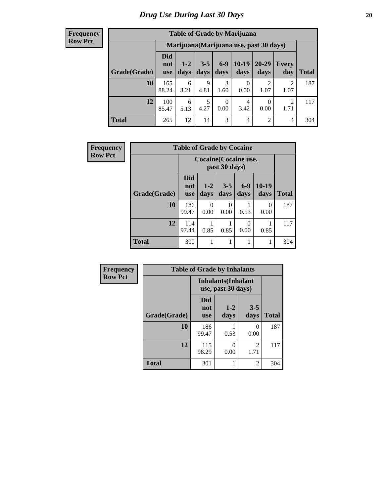#### **Frequency Row Pct**

| <b>Table of Grade by Marijuana</b> |                          |                                         |                 |                  |                   |                        |              |       |  |  |  |
|------------------------------------|--------------------------|-----------------------------------------|-----------------|------------------|-------------------|------------------------|--------------|-------|--|--|--|
|                                    |                          | Marijuana (Marijuana use, past 30 days) |                 |                  |                   |                        |              |       |  |  |  |
| Grade(Grade)                       | Did<br>not<br><b>use</b> | $1 - 2$<br>days                         | $3 - 5$<br>days | $6-9$<br>days    | $10 - 19$<br>days | $20 - 29$<br>days      | Every<br>day | Total |  |  |  |
| 10                                 | 165<br>88.24             | 6<br>3.21                               | 9<br>4.81       | 3<br>1.60        | 0<br>0.00         | $\overline{2}$<br>1.07 | 2<br>1.07    | 187   |  |  |  |
| 12                                 | 100<br>85.47             | 6<br>5.13                               | 5<br>4.27       | $\theta$<br>0.00 | 4<br>3.42         | 0<br>0.00              | 2<br>1.71    | 117   |  |  |  |
| <b>Total</b>                       | 265                      | 12                                      | 14              | 3                | $\overline{4}$    | $\overline{2}$         | 4            | 304   |  |  |  |

| <b>Frequency</b> |              | <b>Table of Grade by Cocaine</b> |                              |                  |               |                  |              |  |  |  |  |
|------------------|--------------|----------------------------------|------------------------------|------------------|---------------|------------------|--------------|--|--|--|--|
| <b>Row Pct</b>   |              |                                  | <b>Cocaine</b> (Cocaine use, |                  |               |                  |              |  |  |  |  |
|                  | Grade(Grade) | Did<br>not<br><b>use</b>         | $1 - 2$<br>days              | $3 - 5$<br>days  | $6-9$<br>days | 10-19<br>days    | <b>Total</b> |  |  |  |  |
|                  | 10           | 186<br>99.47                     | $\Omega$<br>0.00             | $\Omega$<br>0.00 | 0.53          | $\Omega$<br>0.00 | 187          |  |  |  |  |
|                  | 12           | 114<br>97.44                     | 0.85                         | 0.85             | 0<br>0.00     | 0.85             | 117          |  |  |  |  |
|                  | <b>Total</b> | 300                              | 1                            |                  |               |                  | 304          |  |  |  |  |

| Frequency      |              | <b>Table of Grade by Inhalants</b> |                                                  |                        |              |
|----------------|--------------|------------------------------------|--------------------------------------------------|------------------------|--------------|
| <b>Row Pct</b> |              |                                    | <b>Inhalants</b> (Inhalant<br>use, past 30 days) |                        |              |
|                | Grade(Grade) | Did<br>not<br><b>use</b>           | $1 - 2$<br>days                                  | $3 - 5$<br>days        | <b>Total</b> |
|                | 10           | 186<br>99.47                       | 0.53                                             | 0<br>0.00              | 187          |
|                | 12           | 115<br>98.29                       | 0<br>0.00                                        | $\mathfrak{D}$<br>1.71 | 117          |
|                | <b>Total</b> | 301                                |                                                  | 2                      | 304          |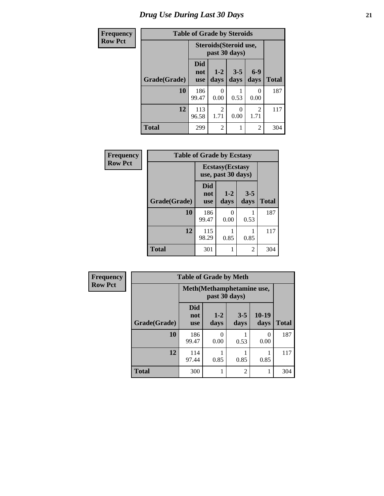# *Drug Use During Last 30 Days* **21**

| Frequency      | <b>Table of Grade by Steroids</b> |                                         |                  |                 |                        |              |
|----------------|-----------------------------------|-----------------------------------------|------------------|-----------------|------------------------|--------------|
| <b>Row Pct</b> |                                   | Steroids (Steroid use,<br>past 30 days) |                  |                 |                        |              |
|                | Grade(Grade)                      | Did<br>not<br><b>use</b>                | $1 - 2$<br>days  | $3 - 5$<br>days | $6-9$<br>days          | <b>Total</b> |
|                | 10                                | 186<br>99.47                            | $\Omega$<br>0.00 | 0.53            | 0<br>0.00              | 187          |
|                | 12                                | 113<br>96.58                            | 2<br>1.71        | 0<br>0.00       | $\overline{2}$<br>1.71 | 117          |
|                | <b>Total</b>                      | 299                                     | 2                | 1               | 2                      | 304          |

| Frequency      | <b>Table of Grade by Ecstasy</b> |                                 |                                               |                 |              |  |
|----------------|----------------------------------|---------------------------------|-----------------------------------------------|-----------------|--------------|--|
| <b>Row Pct</b> |                                  |                                 | <b>Ecstasy</b> (Ecstasy<br>use, past 30 days) |                 |              |  |
|                | Grade(Grade)                     | <b>Did</b><br>not<br><b>use</b> | $1 - 2$<br>days                               | $3 - 5$<br>days | <b>Total</b> |  |
|                | 10                               | 186<br>99.47                    | 0<br>0.00                                     | 0.53            | 187          |  |
|                | 12                               | 115<br>98.29                    | 0.85                                          | 0.85            | 117          |  |
|                | <b>Total</b>                     | 301                             |                                               | 2               | 304          |  |

| <b>Frequency</b> | <b>Table of Grade by Meth</b> |                           |                 |                 |                          |              |  |
|------------------|-------------------------------|---------------------------|-----------------|-----------------|--------------------------|--------------|--|
| <b>Row Pct</b>   |                               | Meth(Methamphetamine use, |                 |                 |                          |              |  |
|                  | Grade(Grade)                  | Did<br>not<br><b>use</b>  | $1 - 2$<br>days | $3 - 5$<br>days | $10-19$<br>days          | <b>Total</b> |  |
|                  | 10                            | 186<br>99.47              | 0<br>0.00       | 0.53            | $\left( \right)$<br>0.00 | 187          |  |
|                  | 12                            | 114<br>97.44              | 0.85            | 0.85            | 0.85                     | 117          |  |
|                  | <b>Total</b>                  | 300                       |                 | $\overline{c}$  |                          | 304          |  |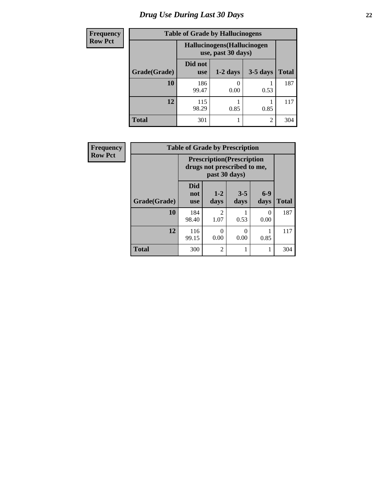# *Drug Use During Last 30 Days* **22**

| <b>Frequency</b> | <b>Table of Grade by Hallucinogens</b> |                                                   |            |                |              |  |
|------------------|----------------------------------------|---------------------------------------------------|------------|----------------|--------------|--|
| <b>Row Pct</b>   |                                        | Hallucinogens (Hallucinogen<br>use, past 30 days) |            |                |              |  |
|                  | Grade(Grade)                           | Did not<br><b>use</b>                             | $1-2$ days | $3-5$ days     | <b>Total</b> |  |
|                  | 10                                     | 186<br>99.47                                      | 0.00       | 0.53           | 187          |  |
|                  | 12                                     | 115<br>98.29                                      | 0.85       | 0.85           | 117          |  |
|                  | <b>Total</b>                           | 301                                               |            | $\mathfrak{D}$ | 304          |  |

| <b>Frequency</b> | <b>Table of Grade by Prescription</b> |                                                                                   |                        |                 |                 |              |
|------------------|---------------------------------------|-----------------------------------------------------------------------------------|------------------------|-----------------|-----------------|--------------|
| <b>Row Pct</b>   |                                       | <b>Prescription</b> (Prescription<br>drugs not prescribed to me,<br>past 30 days) |                        |                 |                 |              |
|                  | Grade(Grade)                          | <b>Did</b><br>not<br><b>use</b>                                                   | $1 - 2$<br>days        | $3 - 5$<br>days | $6 - 9$<br>days | <b>Total</b> |
|                  | 10                                    | 184<br>98.40                                                                      | $\mathfrak{D}$<br>1.07 | 0.53            | 0<br>0.00       | 187          |
|                  | 12                                    | 116<br>99.15                                                                      | 0<br>0.00              | 0.00            | 0.85            | 117          |
|                  | <b>Total</b>                          | 300                                                                               | $\overline{2}$         |                 |                 | 304          |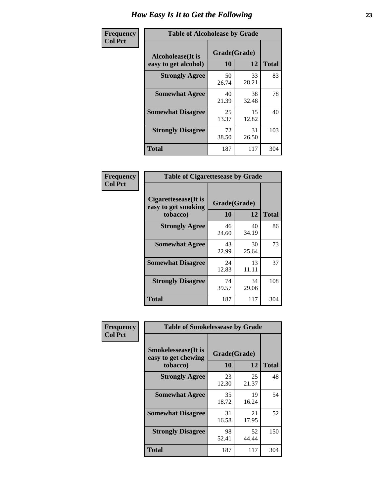| Frequency      | <b>Table of Alcoholease by Grade</b>              |                    |             |              |  |
|----------------|---------------------------------------------------|--------------------|-------------|--------------|--|
| <b>Col Pct</b> | <b>Alcoholease</b> (It is<br>easy to get alcohol) | Grade(Grade)<br>10 | 12          | <b>Total</b> |  |
|                | <b>Strongly Agree</b>                             | 50<br>26.74        | 33<br>28.21 | 83           |  |
|                | <b>Somewhat Agree</b>                             | 40<br>21.39        | 38<br>32.48 | 78           |  |
|                | <b>Somewhat Disagree</b>                          | 25<br>13.37        | 15<br>12.82 | 40           |  |
|                | <b>Strongly Disagree</b>                          | 72<br>38.50        | 31<br>26.50 | 103          |  |
|                | <b>Total</b>                                      | 187                | 117         | 304          |  |

| Frequency<br>Col Pct |  |
|----------------------|--|
|                      |  |

| <b>Table of Cigarettesease by Grade</b>                 |                    |             |              |  |  |
|---------------------------------------------------------|--------------------|-------------|--------------|--|--|
| Cigarettesease(It is<br>easy to get smoking<br>tobacco) | Grade(Grade)<br>10 | 12          | <b>Total</b> |  |  |
| <b>Strongly Agree</b>                                   | 46<br>24.60        | 40<br>34.19 | 86           |  |  |
| <b>Somewhat Agree</b>                                   | 43<br>22.99        | 30<br>25.64 | 73           |  |  |
| <b>Somewhat Disagree</b>                                | 24<br>12.83        | 13<br>11.11 | 37           |  |  |
| <b>Strongly Disagree</b>                                | 74<br>39.57        | 34<br>29.06 | 108          |  |  |
| <b>Total</b>                                            | 187                | 117         | 304          |  |  |

| Frequency      | <b>Table of Smokelessease by Grade</b>                         |             |                    |              |  |
|----------------|----------------------------------------------------------------|-------------|--------------------|--------------|--|
| <b>Col Pct</b> | <b>Smokelessease</b> (It is<br>easy to get chewing<br>tobacco) | 10          | Grade(Grade)<br>12 | <b>Total</b> |  |
|                | <b>Strongly Agree</b>                                          | 23<br>12.30 | 25<br>21.37        | 48           |  |
|                | <b>Somewhat Agree</b>                                          | 35<br>18.72 | 19<br>16.24        | 54           |  |
|                | <b>Somewhat Disagree</b>                                       | 31<br>16.58 | 21<br>17.95        | 52           |  |
|                | <b>Strongly Disagree</b>                                       | 98<br>52.41 | 52<br>44.44        | 150          |  |
|                | <b>Total</b>                                                   | 187         | 117                | 304          |  |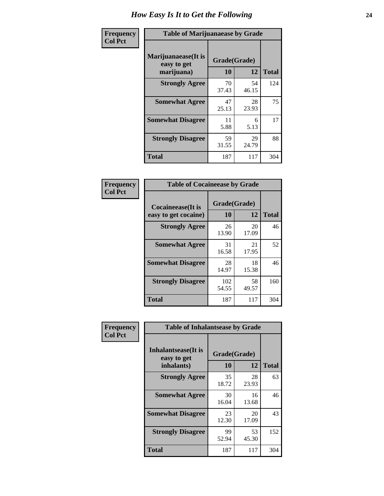| Frequency      | <b>Table of Marijuanaease by Grade</b>           |                    |             |              |  |
|----------------|--------------------------------------------------|--------------------|-------------|--------------|--|
| <b>Col Pct</b> | Marijuanaease(It is<br>easy to get<br>marijuana) | Grade(Grade)<br>10 | 12          | <b>Total</b> |  |
|                | <b>Strongly Agree</b>                            | 70<br>37.43        | 54<br>46.15 | 124          |  |
|                | <b>Somewhat Agree</b>                            | 47<br>25.13        | 28<br>23.93 | 75           |  |
|                | <b>Somewhat Disagree</b>                         | 11<br>5.88         | 6<br>5.13   | 17           |  |
|                | <b>Strongly Disagree</b>                         | 59<br>31.55        | 29<br>24.79 | 88           |  |
|                | <b>Total</b>                                     | 187                | 117         | 304          |  |

| <b>Table of Cocaineease by Grade</b>      |                    |              |     |  |  |
|-------------------------------------------|--------------------|--------------|-----|--|--|
| Cocaineease(It is<br>easy to get cocaine) | Grade(Grade)<br>10 | <b>Total</b> |     |  |  |
| <b>Strongly Agree</b>                     | 26<br>13.90        | 20<br>17.09  | 46  |  |  |
| <b>Somewhat Agree</b>                     | 31<br>16.58        | 21<br>17.95  | 52  |  |  |
| <b>Somewhat Disagree</b>                  | 28<br>14.97        | 18<br>15.38  | 46  |  |  |
| <b>Strongly Disagree</b>                  | 102<br>54.55       | 58<br>49.57  | 160 |  |  |
| <b>Total</b>                              | 187                | 117          | 304 |  |  |

| Frequency      | <b>Table of Inhalantsease by Grade</b>                   |                    |             |              |  |
|----------------|----------------------------------------------------------|--------------------|-------------|--------------|--|
| <b>Col Pct</b> | <b>Inhalantsease</b> (It is<br>easy to get<br>inhalants) | Grade(Grade)<br>10 | 12          | <b>Total</b> |  |
|                | <b>Strongly Agree</b>                                    | 35<br>18.72        | 28<br>23.93 | 63           |  |
|                | <b>Somewhat Agree</b>                                    | 30<br>16.04        | 16<br>13.68 | 46           |  |
|                | <b>Somewhat Disagree</b>                                 | 23<br>12.30        | 20<br>17.09 | 43           |  |
|                | <b>Strongly Disagree</b>                                 | 99<br>52.94        | 53<br>45.30 | 152          |  |
|                | <b>Total</b>                                             | 187                | 117         | 304          |  |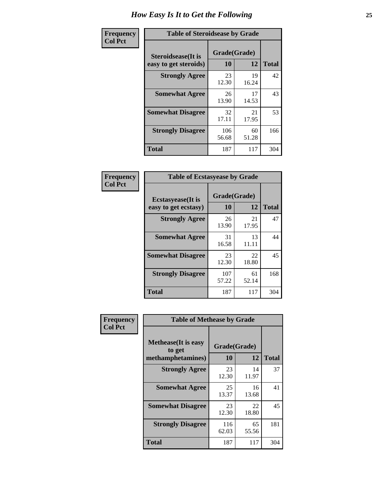| Frequency      | <b>Table of Steroidsease by Grade</b>               |                    |              |     |  |  |  |  |  |  |
|----------------|-----------------------------------------------------|--------------------|--------------|-----|--|--|--|--|--|--|
| <b>Col Pct</b> | <b>Steroidsease</b> (It is<br>easy to get steroids) | Grade(Grade)<br>10 | <b>Total</b> |     |  |  |  |  |  |  |
|                | <b>Strongly Agree</b>                               | 23<br>12.30        | 19<br>16.24  | 42  |  |  |  |  |  |  |
|                | <b>Somewhat Agree</b>                               | 26<br>13.90        | 17<br>14.53  | 43  |  |  |  |  |  |  |
|                | <b>Somewhat Disagree</b>                            | 32<br>17.11        | 21<br>17.95  | 53  |  |  |  |  |  |  |
|                | <b>Strongly Disagree</b>                            | 106<br>56.68       | 60<br>51.28  | 166 |  |  |  |  |  |  |
|                | Total                                               | 187                | 117          | 304 |  |  |  |  |  |  |

| Frequency      | <b>Table of Ecstasyease by Grade</b>              |                    |              |     |  |  |  |  |  |  |
|----------------|---------------------------------------------------|--------------------|--------------|-----|--|--|--|--|--|--|
| <b>Col Pct</b> | <b>Ecstasyease</b> (It is<br>easy to get ecstasy) | Grade(Grade)<br>10 | <b>Total</b> |     |  |  |  |  |  |  |
|                | <b>Strongly Agree</b>                             | 26<br>13.90        | 21<br>17.95  | 47  |  |  |  |  |  |  |
|                | <b>Somewhat Agree</b>                             | 31<br>16.58        | 13<br>11.11  | 44  |  |  |  |  |  |  |
|                | <b>Somewhat Disagree</b>                          | 23<br>12.30        | 22<br>18.80  | 45  |  |  |  |  |  |  |
|                | <b>Strongly Disagree</b>                          | 107<br>57.22       | 61<br>52.14  | 168 |  |  |  |  |  |  |
|                | <b>Total</b>                                      | 187                | 117          | 304 |  |  |  |  |  |  |

| <b>Frequency</b> | <b>Table of Methease by Grade</b>                          |                    |             |              |
|------------------|------------------------------------------------------------|--------------------|-------------|--------------|
| <b>Col Pct</b>   | <b>Methease</b> (It is easy<br>to get<br>methamphetamines) | Grade(Grade)<br>10 | 12          | <b>Total</b> |
|                  | <b>Strongly Agree</b>                                      | 23<br>12.30        | 14<br>11.97 | 37           |
|                  | <b>Somewhat Agree</b>                                      | 25<br>13.37        | 16<br>13.68 | 41           |
|                  | <b>Somewhat Disagree</b>                                   | 23<br>12.30        | 22<br>18.80 | 45           |
|                  | <b>Strongly Disagree</b>                                   | 116<br>62.03       | 65<br>55.56 | 181          |
|                  | <b>Total</b>                                               | 187                | 117         | 304          |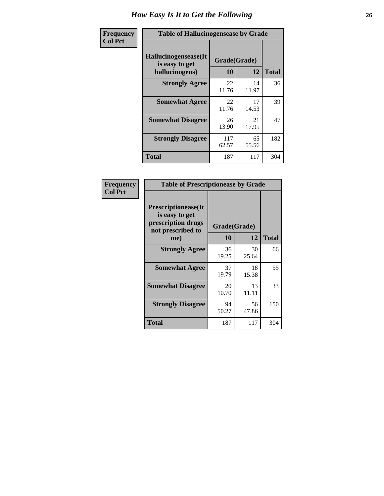| <b>Frequency</b> | <b>Table of Hallucinogensease by Grade</b>               |                    |             |              |  |  |  |  |  |  |  |
|------------------|----------------------------------------------------------|--------------------|-------------|--------------|--|--|--|--|--|--|--|
| <b>Col Pct</b>   | Hallucinogensease(It<br>is easy to get<br>hallucinogens) | Grade(Grade)<br>10 | 12          | <b>Total</b> |  |  |  |  |  |  |  |
|                  | <b>Strongly Agree</b>                                    | 22<br>11.76        | 14<br>11.97 | 36           |  |  |  |  |  |  |  |
|                  | <b>Somewhat Agree</b>                                    | 22<br>11.76        | 17<br>14.53 | 39           |  |  |  |  |  |  |  |
|                  | <b>Somewhat Disagree</b>                                 | 26<br>13.90        | 21<br>17.95 | 47           |  |  |  |  |  |  |  |
|                  | <b>Strongly Disagree</b>                                 | 117<br>62.57       | 65<br>55.56 | 182          |  |  |  |  |  |  |  |
|                  | <b>Total</b>                                             | 187                | 117         | 304          |  |  |  |  |  |  |  |

| Frequency<br>Col Pct |
|----------------------|
|                      |

| <b>Table of Prescriptionease by Grade</b>                                                |             |              |              |  |  |  |  |  |
|------------------------------------------------------------------------------------------|-------------|--------------|--------------|--|--|--|--|--|
| <b>Prescriptionease</b> (It<br>is easy to get<br>prescription drugs<br>not prescribed to |             | Grade(Grade) |              |  |  |  |  |  |
| me)                                                                                      | 10          | 12           | <b>Total</b> |  |  |  |  |  |
| <b>Strongly Agree</b>                                                                    | 36<br>19.25 | 30<br>25.64  | 66           |  |  |  |  |  |
| <b>Somewhat Agree</b>                                                                    | 37<br>19.79 | 18<br>15.38  | 55           |  |  |  |  |  |
| <b>Somewhat Disagree</b>                                                                 | 20<br>10.70 | 13<br>11.11  | 33           |  |  |  |  |  |
| <b>Strongly Disagree</b>                                                                 | 94<br>50.27 | 56<br>47.86  | 150          |  |  |  |  |  |
| Total                                                                                    | 187         | 117          | 304          |  |  |  |  |  |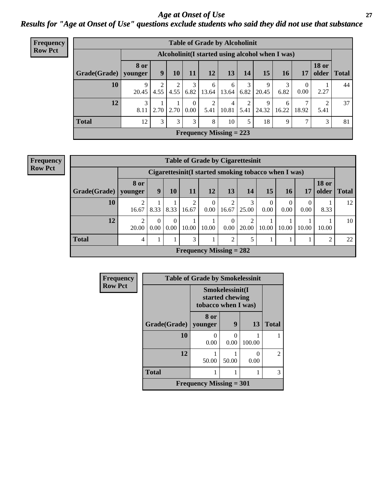*Age at Onset of Use* **27** *Results for "Age at Onset of Use" questions exclude students who said they did not use that substance*

| <b>Frequency</b> | <b>Table of Grade by Alcoholinit</b> |                        |                                                 |      |                  |                           |            |           |            |            |            |                       |              |
|------------------|--------------------------------------|------------------------|-------------------------------------------------|------|------------------|---------------------------|------------|-----------|------------|------------|------------|-----------------------|--------------|
| <b>Row Pct</b>   |                                      |                        | Alcoholinit(I started using alcohol when I was) |      |                  |                           |            |           |            |            |            |                       |              |
|                  | Grade(Grade)                         | <b>8 or</b><br>younger | 9                                               | 10   | 11               | 12                        | 13         | 14        | 15         | 16         | 17         | <b>18 or</b><br>older | <b>Total</b> |
|                  | 10                                   | 9<br>20.45             | 2<br>4.55                                       | 4.55 | 6.82             | 6<br>13.64                | 6<br>13.64 | 3<br>6.82 | 9<br>20.45 | 6.82       | 0<br>0.00  | 2.27                  | 44           |
|                  | 12                                   | 3<br>8.11              | 2.70                                            | 2.70 | $\Omega$<br>0.00 | 2<br>5.41                 | 4<br>10.81 | 2<br>5.41 | 9<br>24.32 | 6<br>16.22 | 7<br>18.92 | $\mathcal{D}$<br>5.41 | 37           |
|                  | <b>Total</b>                         | 12                     | 3                                               | 3    | 3                | 8                         | 10         | 5         | 18         | 9          | 7          | 3                     | 81           |
|                  |                                      |                        |                                                 |      |                  | Frequency Missing $= 223$ |            |           |            |            |            |                       |              |

| <b>Frequency</b> |
|------------------|
| <b>Row Pct</b>   |

|              | <b>Table of Grade by Cigarettesinit</b> |                                                                                                          |                  |            |                           |                  |            |                  |                  |                  |       |    |  |
|--------------|-----------------------------------------|----------------------------------------------------------------------------------------------------------|------------------|------------|---------------------------|------------------|------------|------------------|------------------|------------------|-------|----|--|
|              |                                         | Cigarettesinit(I started smoking tobacco when I was)                                                     |                  |            |                           |                  |            |                  |                  |                  |       |    |  |
| Grade(Grade) | 8 or<br>younger                         | <b>18 or</b><br><b>15</b><br>9<br>13<br><b>16</b><br>older<br>11<br>12<br>14<br>10<br><b>Total</b><br>17 |                  |            |                           |                  |            |                  |                  |                  |       |    |  |
| 10           | ◠<br>16.67                              | 8.33                                                                                                     | 8.33             | 2<br>16.67 | $\theta$<br>0.00          | 16.67            | 3<br>25.00 | $\theta$<br>0.00 | $\theta$<br>0.00 | $\theta$<br>0.00 | 8.33  | 12 |  |
| 12           | $\overline{2}$<br>20.00                 | 0<br>0.00                                                                                                | $\Omega$<br>0.00 | 10.00      | 10.00                     | $\Omega$<br>0.00 | 2<br>20.00 | 10.00            | 10.00            | 10.00            | 10.00 | 10 |  |
| <b>Total</b> | 4                                       |                                                                                                          |                  | 3          |                           | 2                | 5          |                  |                  |                  | 2     | 22 |  |
|              |                                         |                                                                                                          |                  |            | Frequency Missing $= 282$ |                  |            |                  |                  |                  |       |    |  |

| Frequency      |              | <b>Table of Grade by Smokelessinit</b> |                                                           |           |                |  |  |  |  |  |
|----------------|--------------|----------------------------------------|-----------------------------------------------------------|-----------|----------------|--|--|--|--|--|
| <b>Row Pct</b> |              |                                        | Smokelessinit(I<br>started chewing<br>tobacco when I was) |           |                |  |  |  |  |  |
|                | Grade(Grade) | 8 or<br>vounger                        | 9                                                         | 13        | <b>Total</b>   |  |  |  |  |  |
|                | 10           | 0.00                                   | 0<br>0.00                                                 | 100.00    |                |  |  |  |  |  |
|                | 12           | 50.00                                  | 50.00                                                     | 0<br>0.00 | $\overline{2}$ |  |  |  |  |  |
|                | <b>Total</b> | 1                                      |                                                           |           | 3              |  |  |  |  |  |
|                |              | <b>Frequency Missing = 301</b>         |                                                           |           |                |  |  |  |  |  |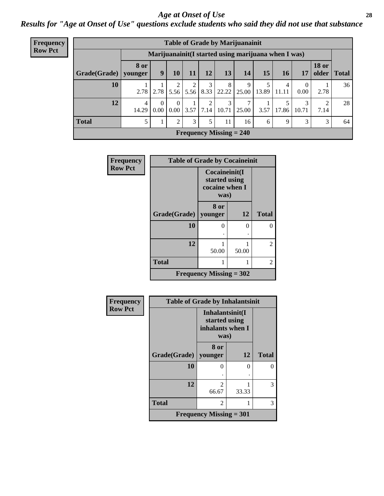#### *Age at Onset of Use* **28**

*Results for "Age at Onset of Use" questions exclude students who said they did not use that substance*

| <b>Frequency</b> | <b>Table of Grade by Marijuanainit</b>               |                        |                      |                      |             |                         |                           |            |            |            |            |                        |               |
|------------------|------------------------------------------------------|------------------------|----------------------|----------------------|-------------|-------------------------|---------------------------|------------|------------|------------|------------|------------------------|---------------|
| <b>Row Pct</b>   | Marijuanainit (I started using marijuana when I was) |                        |                      |                      |             |                         |                           |            |            |            |            |                        |               |
|                  | Grade(Grade)                                         | <b>8 or</b><br>younger | 9                    | 10                   | 11          | 12                      | 13                        | 14         | 15         | 16         | 17         | <b>18 or</b>           | older   Total |
|                  | 10                                                   |                        | $2.78$   2.78        |                      | $5.56$ 5.56 | 3<br>8.33               | 8<br>22.22                | 9<br>25.00 | 5<br>13.89 | 4<br>11.11 | 0<br>0.00  | 2.78                   | 36            |
|                  | 12                                                   | 4<br>14.29             | $\Omega$<br>$0.00\,$ | $\Omega$<br>$0.00\,$ | 3.57        | ↑<br>$\vert 7.14 \vert$ | $\mathcal{E}$<br>10.71    | 7<br>25.00 | 3.57       | 17.86      | 3<br>10.71 | $\overline{2}$<br>7.14 | 28            |
|                  | <b>Total</b>                                         | 5                      | 1                    | $2 \cdot$            | 3           | 5                       | 11                        | 16         | 6          | 9          | 3          | 3                      | 64            |
|                  |                                                      |                        |                      |                      |             |                         | Frequency Missing $= 240$ |            |            |            |            |                        |               |

| <b>Frequency</b> | <b>Table of Grade by Cocaineinit</b> |                                                          |              |                |  |  |  |  |  |  |  |  |
|------------------|--------------------------------------|----------------------------------------------------------|--------------|----------------|--|--|--|--|--|--|--|--|
| <b>Row Pct</b>   |                                      | Cocaineinit(I<br>started using<br>cocaine when I<br>was) |              |                |  |  |  |  |  |  |  |  |
|                  | Grade(Grade)                         | 8 or<br>younger                                          | <b>Total</b> |                |  |  |  |  |  |  |  |  |
|                  | 10                                   | 0                                                        | 0            | 0              |  |  |  |  |  |  |  |  |
|                  | 12                                   | 50.00                                                    | 50.00        | $\overline{2}$ |  |  |  |  |  |  |  |  |
|                  | <b>Total</b>                         |                                                          | 2            |                |  |  |  |  |  |  |  |  |
|                  |                                      | Frequency Missing $= 302$                                |              |                |  |  |  |  |  |  |  |  |

| Frequency      | <b>Table of Grade by Inhalantsinit</b> |                                                              |          |              |
|----------------|----------------------------------------|--------------------------------------------------------------|----------|--------------|
| <b>Row Pct</b> |                                        | Inhalantsinit(I<br>started using<br>inhalants when I<br>was) |          |              |
|                | <b>Grade(Grade)</b>                    | 8 or<br>younger                                              | 12       | <b>Total</b> |
|                | 10                                     | 0                                                            | $\Omega$ | O            |
|                | 12                                     | 2<br>66.67                                                   | 33.33    | 3            |
|                | <b>Total</b>                           | 2                                                            |          | 3            |
|                |                                        | Frequency Missing $= 301$                                    |          |              |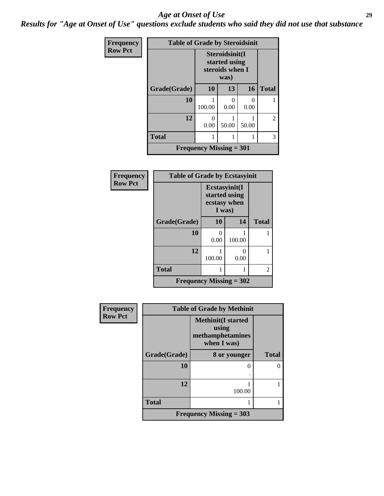#### *Age at Onset of Use* **29**

*Results for "Age at Onset of Use" questions exclude students who said they did not use that substance*

| Frequency      | <b>Table of Grade by Steroidsinit</b> |                                                            |           |                           |              |
|----------------|---------------------------------------|------------------------------------------------------------|-----------|---------------------------|--------------|
| <b>Row Pct</b> |                                       | Steroidsinit(I<br>started using<br>steroids when I<br>was) |           |                           |              |
|                | Grade(Grade)                          | <b>10</b>                                                  | 13        | 16                        | <b>Total</b> |
|                | 10                                    | 100.00                                                     | 0<br>0.00 | $\mathbf{\Omega}$<br>0.00 |              |
|                | 12                                    | 0<br>0.00                                                  | 50.00     | 50.00                     | 2            |
|                | <b>Total</b>                          |                                                            |           |                           | 3            |
|                |                                       | <b>Frequency Missing = 301</b>                             |           |                           |              |

| <b>Frequency</b> | <b>Table of Grade by Ecstasyinit</b> |                                         |               |              |
|------------------|--------------------------------------|-----------------------------------------|---------------|--------------|
| <b>Row Pct</b>   |                                      | Ecstasyinit(I<br>ecstasy when<br>I was) | started using |              |
|                  | Grade(Grade)                         | <b>10</b>                               | 14            | <b>Total</b> |
|                  | 10                                   | 0<br>0.00                               | 100.00        |              |
|                  | 12                                   | 100.00                                  | ∩<br>0.00     |              |
|                  | <b>Total</b>                         |                                         |               | 2            |
|                  | <b>Frequency Missing = 302</b>       |                                         |               |              |

| Frequency      |              | <b>Table of Grade by Methinit</b>                                     |              |  |  |  |
|----------------|--------------|-----------------------------------------------------------------------|--------------|--|--|--|
| <b>Row Pct</b> |              | <b>Methinit(I started</b><br>using<br>methamphetamines<br>when I was) |              |  |  |  |
|                | Grade(Grade) | 8 or younger                                                          | <b>Total</b> |  |  |  |
|                | 10           |                                                                       | 0            |  |  |  |
|                | 12           | 100.00                                                                |              |  |  |  |
|                | <b>Total</b> |                                                                       |              |  |  |  |
|                |              | Frequency Missing $=$ 303                                             |              |  |  |  |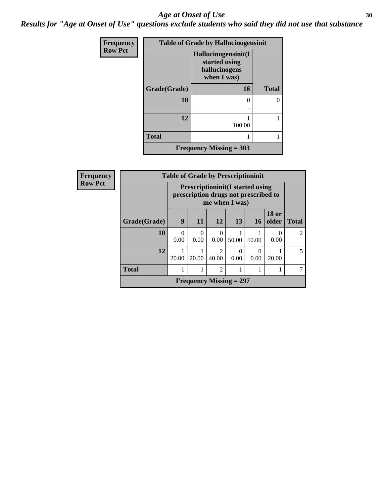#### Age at Onset of Use **30**

*Results for "Age at Onset of Use" questions exclude students who said they did not use that substance*

| Frequency      | <b>Table of Grade by Hallucinogensinit</b> |                                                                      |              |  |
|----------------|--------------------------------------------|----------------------------------------------------------------------|--------------|--|
| <b>Row Pct</b> |                                            | Hallucinogensinit(I<br>started using<br>hallucinogens<br>when I was) |              |  |
|                | Grade(Grade)                               | 16                                                                   | <b>Total</b> |  |
|                | 10                                         | $\theta$<br>٠                                                        | 0            |  |
|                | 12                                         | 100.00                                                               |              |  |
|                | <b>Total</b>                               |                                                                      |              |  |
|                |                                            | Frequency Missing $=$ 303                                            |              |  |

| Frequency      | <b>Table of Grade by Prescriptioninit</b> |                                                                                                   |                  |                         |                           |                  |                       |                |
|----------------|-------------------------------------------|---------------------------------------------------------------------------------------------------|------------------|-------------------------|---------------------------|------------------|-----------------------|----------------|
| <b>Row Pct</b> |                                           | <b>Prescriptioninit(I started using</b><br>prescription drugs not prescribed to<br>me when I was) |                  |                         |                           |                  |                       |                |
|                | Grade(Grade)                              | 9                                                                                                 | 11               | 12                      | 13                        | 16               | <b>18 or</b><br>older | <b>Total</b>   |
|                | 10                                        | $\Omega$<br>0.00                                                                                  | $\Omega$<br>0.00 | 0<br>0.00               | 50.00                     | 50.00            | $\theta$<br>0.00      | $\mathfrak{D}$ |
|                | 12                                        | 20.00                                                                                             | 20.00            | $\mathfrak{D}$<br>40.00 | $\Omega$<br>0.00          | $\Omega$<br>0.00 | 20.00                 | 5              |
|                | <b>Total</b>                              |                                                                                                   |                  | $\overline{2}$          |                           |                  |                       | 7              |
|                |                                           |                                                                                                   |                  |                         | Frequency Missing $= 297$ |                  |                       |                |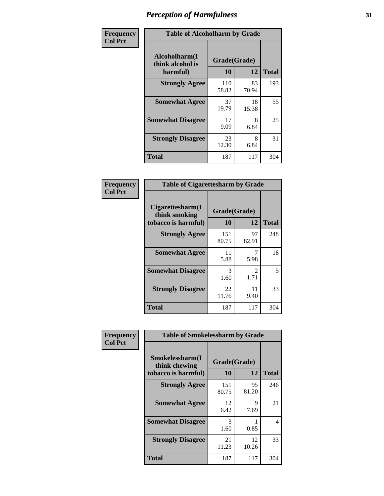| Frequency      | <b>Table of Alcoholharm by Grade</b>          |                    |             |              |  |
|----------------|-----------------------------------------------|--------------------|-------------|--------------|--|
| <b>Col Pct</b> | Alcoholharm(I<br>think alcohol is<br>harmful) | Grade(Grade)<br>10 | 12          | <b>Total</b> |  |
|                | <b>Strongly Agree</b>                         | 110<br>58.82       | 83<br>70.94 | 193          |  |
|                | <b>Somewhat Agree</b>                         | 37<br>19.79        | 18<br>15.38 | 55           |  |
|                | <b>Somewhat Disagree</b>                      | 17<br>9.09         | 8<br>6.84   | 25           |  |
|                | <b>Strongly Disagree</b>                      | 23<br>12.30        | 8<br>6.84   | 31           |  |
|                | <b>Total</b>                                  | 187                | 117         | 304          |  |

| <b>Table of Cigarettesharm by Grade</b>                  |                    |                        |              |  |  |
|----------------------------------------------------------|--------------------|------------------------|--------------|--|--|
| Cigarettesharm(I<br>think smoking<br>tobacco is harmful) | Grade(Grade)<br>10 | 12                     | <b>Total</b> |  |  |
| <b>Strongly Agree</b>                                    | 151<br>80.75       | 97<br>82.91            | 248          |  |  |
| <b>Somewhat Agree</b>                                    | 11<br>5.88         | 5.98                   | 18           |  |  |
| <b>Somewhat Disagree</b>                                 | 3<br>1.60          | $\mathfrak{D}$<br>1.71 | 5            |  |  |
| <b>Strongly Disagree</b>                                 | 22<br>11.76        | 11<br>9.40             | 33           |  |  |
| <b>Total</b>                                             | 187                | 117                    | 304          |  |  |

| Frequency      | <b>Table of Smokelessharm by Grade</b>                  |                           |             |              |
|----------------|---------------------------------------------------------|---------------------------|-------------|--------------|
| <b>Col Pct</b> | Smokelessharm(I<br>think chewing<br>tobacco is harmful) | Grade(Grade)<br><b>10</b> | 12          | <b>Total</b> |
|                | <b>Strongly Agree</b>                                   | 151<br>80.75              | 95<br>81.20 | 246          |
|                | <b>Somewhat Agree</b>                                   | 12<br>6.42                | 9<br>7.69   | 21           |
|                | <b>Somewhat Disagree</b>                                | 3<br>1.60                 | 0.85        | 4            |
|                | <b>Strongly Disagree</b>                                | 21<br>11.23               | 12<br>10.26 | 33           |
|                | <b>Total</b>                                            | 187                       | 117         | 304          |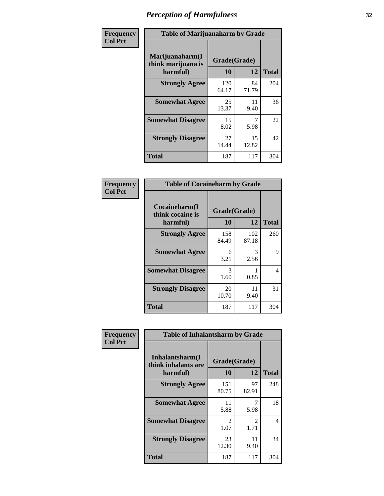| Frequency      |                                                   | <b>Table of Marijuanaharm by Grade</b> |             |              |  |
|----------------|---------------------------------------------------|----------------------------------------|-------------|--------------|--|
| <b>Col Pct</b> | Marijuanaharm(I<br>think marijuana is<br>harmful) | Grade(Grade)<br>10                     | 12          | <b>Total</b> |  |
|                | <b>Strongly Agree</b>                             | 120<br>64.17                           | 84<br>71.79 | 204          |  |
|                | <b>Somewhat Agree</b>                             | 25<br>13.37                            | 11<br>9.40  | 36           |  |
|                | <b>Somewhat Disagree</b>                          | 15<br>8.02                             | 5.98        | 22           |  |
|                | <b>Strongly Disagree</b>                          | 27<br>14.44                            | 15<br>12.82 | 42           |  |
|                | <b>Total</b>                                      | 187                                    | 117         | 304          |  |

| <b>Table of Cocaineharm by Grade</b>          |                          |              |     |  |  |  |
|-----------------------------------------------|--------------------------|--------------|-----|--|--|--|
| Cocaineharm(I<br>think cocaine is<br>harmful) | Grade(Grade)<br>10<br>12 |              |     |  |  |  |
| <b>Strongly Agree</b>                         | 158<br>84.49             | 102<br>87.18 | 260 |  |  |  |
| <b>Somewhat Agree</b>                         | 6<br>3.21                | 3<br>2.56    | 9   |  |  |  |
| <b>Somewhat Disagree</b>                      | 3<br>1.60                | 0.85         | 4   |  |  |  |
| <b>Strongly Disagree</b>                      | 20<br>10.70              | 11<br>9.40   | 31  |  |  |  |
| <b>Total</b>                                  | 187                      | 117          | 304 |  |  |  |

| Frequency      | <b>Table of Inhalantsharm by Grade</b>             |                    |                        |              |
|----------------|----------------------------------------------------|--------------------|------------------------|--------------|
| <b>Col Pct</b> | Inhalantsharm(I<br>think inhalants are<br>harmful) | Grade(Grade)<br>10 | 12                     | <b>Total</b> |
|                | <b>Strongly Agree</b>                              | 151<br>80.75       | 97<br>82.91            | 248          |
|                | <b>Somewhat Agree</b>                              | 11<br>5.88         | 5.98                   | 18           |
|                | <b>Somewhat Disagree</b>                           | 2<br>1.07          | $\mathfrak{D}$<br>1.71 | 4            |
|                | <b>Strongly Disagree</b>                           | 23<br>12.30        | 11<br>9.40             | 34           |
|                | <b>Total</b>                                       | 187                | 117                    | 304          |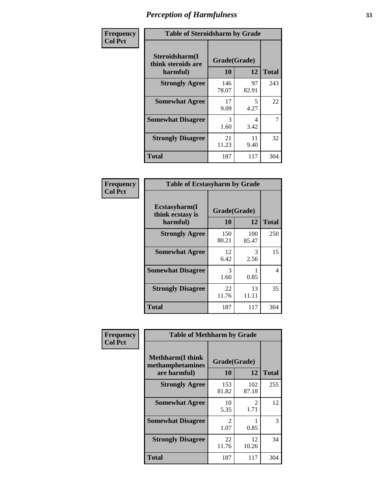| Frequency      | <b>Table of Steroidsharm by Grade</b>            |                    |             |              |
|----------------|--------------------------------------------------|--------------------|-------------|--------------|
| <b>Col Pct</b> | Steroidsharm(I<br>think steroids are<br>harmful) | Grade(Grade)<br>10 | 12          | <b>Total</b> |
|                | <b>Strongly Agree</b>                            | 146<br>78.07       | 97<br>82.91 | 243          |
|                | <b>Somewhat Agree</b>                            | 17<br>9.09         | 5<br>4.27   | 22           |
|                | <b>Somewhat Disagree</b>                         | 3<br>1.60          | 4<br>3.42   | 7            |
|                | <b>Strongly Disagree</b>                         | 21<br>11.23        | 11<br>9.40  | 32           |
|                | <b>Total</b>                                     | 187                | 117         | 304          |

| <b>Table of Ecstasyharm by Grade</b>          |                    |              |              |  |  |
|-----------------------------------------------|--------------------|--------------|--------------|--|--|
| Ecstasyharm(I<br>think ecstasy is<br>harmful) | Grade(Grade)<br>10 | 12           | <b>Total</b> |  |  |
| <b>Strongly Agree</b>                         | 150<br>80.21       | 100<br>85.47 | 250          |  |  |
| <b>Somewhat Agree</b>                         | 12<br>6.42         | 3<br>2.56    | 15           |  |  |
| <b>Somewhat Disagree</b>                      | 3<br>1.60          | 1<br>0.85    | 4            |  |  |
| <b>Strongly Disagree</b>                      | 22<br>11.76        | 13<br>11.11  | 35           |  |  |
| <b>Total</b>                                  | 187                | 117          | 304          |  |  |

| Frequency      | <b>Table of Methharm by Grade</b>                            |                           |                       |              |
|----------------|--------------------------------------------------------------|---------------------------|-----------------------|--------------|
| <b>Col Pct</b> | <b>Methharm</b> (I think<br>methamphetamines<br>are harmful) | Grade(Grade)<br><b>10</b> | 12                    | <b>Total</b> |
|                | <b>Strongly Agree</b>                                        | 153<br>81.82              | 102<br>87.18          | 255          |
|                | <b>Somewhat Agree</b>                                        | 10<br>5.35                | $\mathcal{L}$<br>1.71 | 12           |
|                | <b>Somewhat Disagree</b>                                     | $\mathfrak{D}$<br>1.07    | 0.85                  | 3            |
|                | <b>Strongly Disagree</b>                                     | 22<br>11.76               | 12<br>10.26           | 34           |
|                | <b>Total</b>                                                 | 187                       | 117                   | 304          |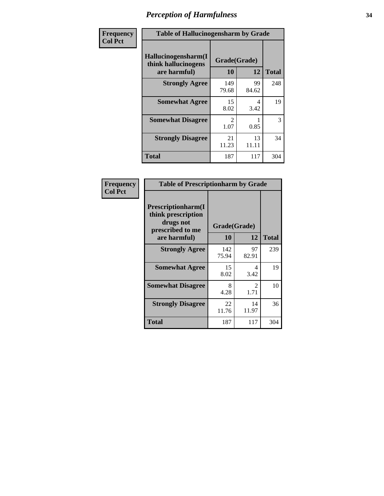| Frequency      | <b>Table of Hallucinogensharm by Grade</b>                 |                        |             |              |
|----------------|------------------------------------------------------------|------------------------|-------------|--------------|
| <b>Col Pct</b> | Hallucinogensharm(I<br>think hallucinogens<br>are harmful) | Grade(Grade)<br>10     | 12          | <b>Total</b> |
|                | <b>Strongly Agree</b>                                      | 149<br>79.68           | 99<br>84.62 | 248          |
|                | <b>Somewhat Agree</b>                                      | 15<br>8.02             | 4<br>3.42   | 19           |
|                | <b>Somewhat Disagree</b>                                   | $\mathfrak{D}$<br>1.07 | 0.85        | 3            |
|                | <b>Strongly Disagree</b>                                   | 21<br>11.23            | 13<br>11.11 | 34           |
|                | <b>Total</b>                                               | 187                    | 117         | 304          |

| <b>Table of Prescriptionharm by Grade</b>                                         |                    |                               |              |  |
|-----------------------------------------------------------------------------------|--------------------|-------------------------------|--------------|--|
| <b>Prescriptionharm(I)</b><br>think prescription<br>drugs not<br>prescribed to me | Grade(Grade)<br>10 | 12                            | <b>Total</b> |  |
| are harmful)                                                                      |                    |                               |              |  |
| <b>Strongly Agree</b>                                                             | 142<br>75.94       | 97<br>82.91                   | 239          |  |
| <b>Somewhat Agree</b>                                                             | 15<br>8.02         | 4<br>3.42                     | 19           |  |
| <b>Somewhat Disagree</b>                                                          | 8<br>4.28          | $\mathcal{D}_{\cdot}$<br>1.71 | 10           |  |
| <b>Strongly Disagree</b>                                                          | 22<br>11.76        | 14<br>11.97                   | 36           |  |
| <b>Total</b>                                                                      | 187                | 117                           | 304          |  |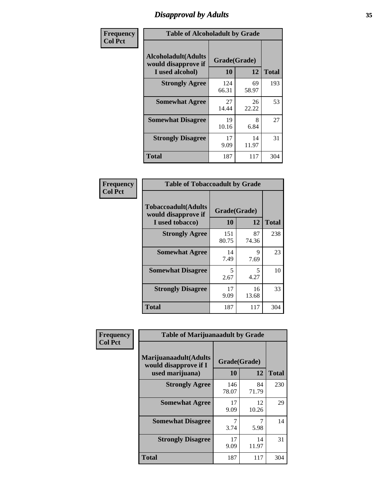## *Disapproval by Adults* **35**

| Frequency      | <b>Table of Alcoholadult by Grade</b>                                 |                    |             |              |
|----------------|-----------------------------------------------------------------------|--------------------|-------------|--------------|
| <b>Col Pct</b> | <b>Alcoholadult</b> (Adults<br>would disapprove if<br>I used alcohol) | Grade(Grade)<br>10 | 12          | <b>Total</b> |
|                | <b>Strongly Agree</b>                                                 | 124<br>66.31       | 69<br>58.97 | 193          |
|                | <b>Somewhat Agree</b>                                                 | 27<br>14.44        | 26<br>22.22 | 53           |
|                | <b>Somewhat Disagree</b>                                              | 19<br>10.16        | 8<br>6.84   | 27           |
|                | <b>Strongly Disagree</b>                                              | 17<br>9.09         | 14<br>11.97 | 31           |
|                | <b>Total</b>                                                          | 187                | 117         | 304          |

| <b>Table of Tobaccoadult by Grade</b>                                 |                    |             |              |  |
|-----------------------------------------------------------------------|--------------------|-------------|--------------|--|
| <b>Tobaccoadult</b> (Adults<br>would disapprove if<br>I used tobacco) | Grade(Grade)<br>10 | 12          | <b>Total</b> |  |
| <b>Strongly Agree</b>                                                 | 151<br>80.75       | 87<br>74.36 | 238          |  |
| <b>Somewhat Agree</b>                                                 | 14<br>7.49         | 9<br>7.69   | 23           |  |
| <b>Somewhat Disagree</b>                                              | 5<br>2.67          | 5<br>4.27   | 10           |  |
| <b>Strongly Disagree</b>                                              | 17<br>9.09         | 16<br>13.68 | 33           |  |
| <b>Total</b>                                                          | 187                | 117         | 304          |  |

| Frequency      | <b>Table of Marijuanaadult by Grade</b>                           |                    |             |              |
|----------------|-------------------------------------------------------------------|--------------------|-------------|--------------|
| <b>Col Pct</b> | Marijuanaadult(Adults<br>would disapprove if I<br>used marijuana) | Grade(Grade)<br>10 | 12          | <b>Total</b> |
|                | <b>Strongly Agree</b>                                             | 146<br>78.07       | 84<br>71.79 | 230          |
|                | <b>Somewhat Agree</b>                                             | 17<br>9.09         | 12<br>10.26 | 29           |
|                | <b>Somewhat Disagree</b>                                          | 3.74               | 7<br>5.98   | 14           |
|                | <b>Strongly Disagree</b>                                          | 17<br>9.09         | 14<br>11.97 | 31           |
|                | <b>Total</b>                                                      | 187                | 117         | 304          |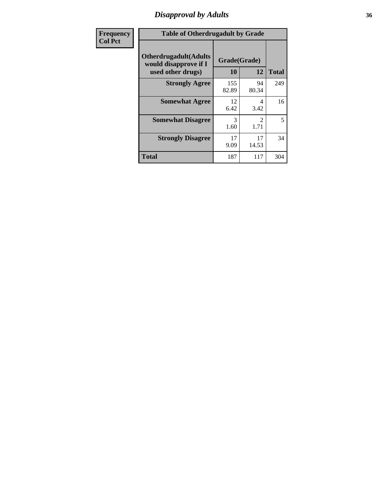### *Disapproval by Adults* **36**

| <b>Frequency</b> | <b>Table of Otherdrugadult by Grade</b>                                     |                    |                                     |              |
|------------------|-----------------------------------------------------------------------------|--------------------|-------------------------------------|--------------|
| <b>Col Pct</b>   | <b>Otherdrugadult</b> (Adults<br>would disapprove if I<br>used other drugs) | Grade(Grade)<br>10 | 12                                  | <b>Total</b> |
|                  | <b>Strongly Agree</b>                                                       | 155<br>82.89       | 94<br>80.34                         | 249          |
|                  | <b>Somewhat Agree</b>                                                       | 12<br>6.42         | 4<br>3.42                           | 16           |
|                  | <b>Somewhat Disagree</b>                                                    | 3<br>1.60          | $\mathcal{D}_{\mathcal{L}}$<br>1.71 | 5            |
|                  | <b>Strongly Disagree</b>                                                    | 17<br>9.09         | 17<br>14.53                         | 34           |
|                  | <b>Total</b>                                                                | 187                | 117                                 | 304          |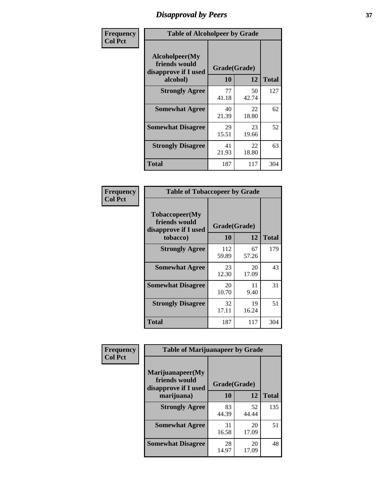## *Disapproval by Peers* **37**

| Frequency      | <b>Table of Alcoholpeer by Grade</b>                    |              |             |              |  |
|----------------|---------------------------------------------------------|--------------|-------------|--------------|--|
| <b>Col Pct</b> | Alcoholpeer(My<br>friends would<br>disapprove if I used | Grade(Grade) |             |              |  |
|                | alcohol)                                                | 10           | 12          | <b>Total</b> |  |
|                | <b>Strongly Agree</b>                                   | 77<br>41.18  | 50<br>42.74 | 127          |  |
|                | <b>Somewhat Agree</b>                                   | 40<br>21.39  | 22<br>18.80 | 62           |  |
|                | <b>Somewhat Disagree</b>                                | 29<br>15.51  | 23<br>19.66 | 52           |  |
|                | <b>Strongly Disagree</b>                                | 41<br>21.93  | 22<br>18.80 | 63           |  |
|                | Total                                                   | 187          | 117         | 304          |  |

| Frequency      | <b>Table of Tobaccopeer by Grade</b>                                |                    |             |              |  |
|----------------|---------------------------------------------------------------------|--------------------|-------------|--------------|--|
| <b>Col Pct</b> | Tobaccopeer(My<br>friends would<br>disapprove if I used<br>tobacco) | Grade(Grade)<br>10 | 12          | <b>Total</b> |  |
|                | <b>Strongly Agree</b>                                               | 112<br>59.89       | 67<br>57.26 | 179          |  |
|                | <b>Somewhat Agree</b>                                               | 23<br>12.30        | 20<br>17.09 | 43           |  |
|                | <b>Somewhat Disagree</b>                                            | 20<br>10.70        | 11<br>9.40  | 31           |  |
|                | <b>Strongly Disagree</b>                                            | 32<br>17.11        | 19<br>16.24 | 51           |  |
|                | <b>Total</b>                                                        | 187                | 117         | 304          |  |

| Frequency      | <b>Table of Marijuanapeer by Grade</b>                    |              |             |              |
|----------------|-----------------------------------------------------------|--------------|-------------|--------------|
| <b>Col Pct</b> | Marijuanapeer(My<br>friends would<br>disapprove if I used | Grade(Grade) |             |              |
|                | marijuana)                                                | 10           | 12          | <b>Total</b> |
|                | <b>Strongly Agree</b>                                     | 83<br>44.39  | 52<br>44.44 | 135          |
|                | <b>Somewhat Agree</b>                                     | 31<br>16.58  | 20<br>17.09 | 51           |
|                | <b>Somewhat Disagree</b>                                  | 28<br>14.97  | 20<br>17.09 | 48           |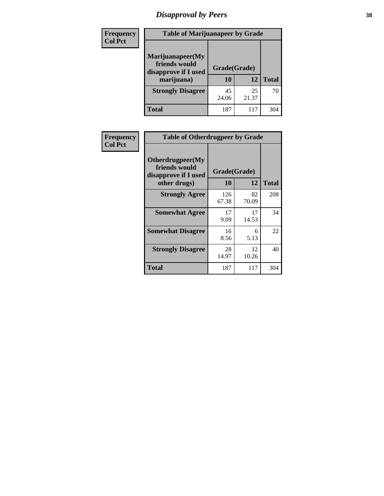# *Disapproval by Peers* **38**

| <b>Frequency</b> | <b>Table of Marijuanapeer by Grade</b>                                  |                           |             |              |  |
|------------------|-------------------------------------------------------------------------|---------------------------|-------------|--------------|--|
| <b>Col Pct</b>   | Marijuanapeer(My<br>friends would<br>disapprove if I used<br>marijuana) | Grade(Grade)<br><b>10</b> | 12          | <b>Total</b> |  |
|                  | <b>Strongly Disagree</b>                                                | 45<br>24.06               | 25<br>21.37 | 70           |  |
|                  | <b>Total</b>                                                            | 187                       | 117         | 304          |  |

| Frequency      | <b>Table of Otherdrugpeer by Grade</b>                                    |                    |             |              |
|----------------|---------------------------------------------------------------------------|--------------------|-------------|--------------|
| <b>Col Pct</b> | Otherdrugpeer(My<br>friends would<br>disapprove if I used<br>other drugs) | Grade(Grade)<br>10 | 12          | <b>Total</b> |
|                | <b>Strongly Agree</b>                                                     | 126<br>67.38       | 82<br>70.09 | 208          |
|                | <b>Somewhat Agree</b>                                                     | 17<br>9.09         | 17<br>14.53 | 34           |
|                | <b>Somewhat Disagree</b>                                                  | 16<br>8.56         | 6<br>5.13   | 22           |
|                | <b>Strongly Disagree</b>                                                  | 28<br>14.97        | 12<br>10.26 | 40           |
|                | <b>Total</b>                                                              | 187                | 117         | 304          |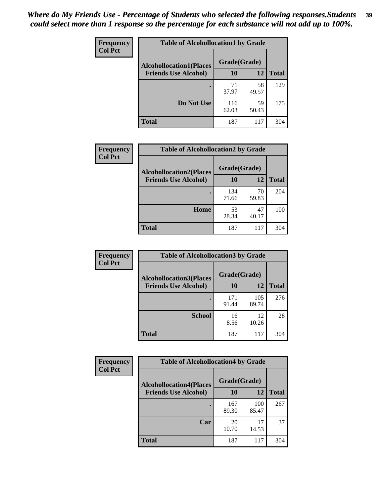| Frequency<br><b>Col Pct</b> | <b>Table of Alcohollocation1 by Grade</b> |              |             |              |
|-----------------------------|-------------------------------------------|--------------|-------------|--------------|
|                             | <b>Alcohollocation1(Places</b>            | Grade(Grade) |             |              |
|                             | <b>Friends Use Alcohol)</b>               | 10           | 12          | <b>Total</b> |
|                             |                                           | 71<br>37.97  | 58<br>49.57 | 129          |
|                             | Do Not Use                                | 116<br>62.03 | 59<br>50.43 | 175          |
|                             | <b>Total</b>                              | 187          | 117         | 304          |

| Frequency      | <b>Table of Alcohollocation2 by Grade</b>                     |                    |             |              |
|----------------|---------------------------------------------------------------|--------------------|-------------|--------------|
| <b>Col Pct</b> | <b>Alcohollocation2(Places</b><br><b>Friends Use Alcohol)</b> | Grade(Grade)<br>10 | <b>12</b>   | <b>Total</b> |
|                |                                                               | 134<br>71.66       | 70<br>59.83 | 204          |
|                | Home                                                          | 53<br>28.34        | 47<br>40.17 | 100          |
|                | <b>Total</b>                                                  | 187                | 117         | 304          |

| Frequency<br><b>Col Pct</b> | <b>Table of Alcohollocation 3 by Grade</b>                    |                    |              |              |  |
|-----------------------------|---------------------------------------------------------------|--------------------|--------------|--------------|--|
|                             | <b>Alcohollocation3(Places</b><br><b>Friends Use Alcohol)</b> | Grade(Grade)<br>10 | 12           | <b>Total</b> |  |
|                             |                                                               | 171<br>91.44       | 105<br>89.74 | 276          |  |
|                             | <b>School</b>                                                 | 16<br>8.56         | 12<br>10.26  | 28           |  |
|                             | <b>Total</b>                                                  | 187                | 117          | 304          |  |

| Frequency      | <b>Table of Alcohollocation4 by Grade</b> |              |              |              |  |
|----------------|-------------------------------------------|--------------|--------------|--------------|--|
| <b>Col Pct</b> | <b>Alcohollocation4(Places</b>            | Grade(Grade) |              |              |  |
|                | <b>Friends Use Alcohol)</b>               | 10           | 12           | <b>Total</b> |  |
|                |                                           | 167<br>89.30 | 100<br>85.47 | 267          |  |
|                | Car                                       | 20<br>10.70  | 17<br>14.53  | 37           |  |
|                | <b>Total</b>                              | 187          | 117          | 304          |  |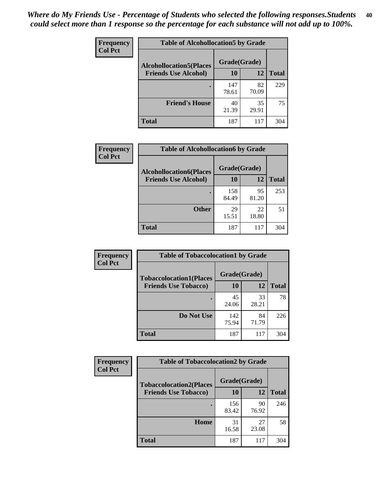| Frequency<br><b>Col Pct</b> | <b>Table of Alcohollocation5 by Grade</b><br>Grade(Grade)<br><b>Alcohollocation5(Places</b> |              |             |              |
|-----------------------------|---------------------------------------------------------------------------------------------|--------------|-------------|--------------|
|                             |                                                                                             |              |             |              |
|                             | <b>Friends Use Alcohol)</b>                                                                 | 10           | 12          | <b>Total</b> |
|                             |                                                                                             | 147<br>78.61 | 82<br>70.09 | 229          |
|                             | <b>Friend's House</b>                                                                       | 40<br>21.39  | 35<br>29.91 | 75           |
|                             | <b>Total</b>                                                                                | 187          | 117         | 304          |

| <b>Frequency</b> | <b>Table of Alcohollocation6 by Grade</b>                     |                    |             |              |
|------------------|---------------------------------------------------------------|--------------------|-------------|--------------|
| <b>Col Pct</b>   | <b>Alcohollocation6(Places</b><br><b>Friends Use Alcohol)</b> | Grade(Grade)<br>10 | 12          | <b>Total</b> |
|                  |                                                               |                    |             |              |
|                  |                                                               | 158<br>84.49       | 95<br>81.20 | 253          |
|                  | <b>Other</b>                                                  | 29<br>15.51        | 22<br>18.80 | 51           |
|                  | <b>Total</b>                                                  | 187                | 117         | 304          |

| Frequency      | <b>Table of Tobaccolocation1 by Grade</b> |              |             |              |
|----------------|-------------------------------------------|--------------|-------------|--------------|
| <b>Col Pct</b> | <b>Tobaccolocation1(Places</b>            | Grade(Grade) |             |              |
|                | <b>Friends Use Tobacco)</b>               | 10           | 12          | <b>Total</b> |
|                |                                           | 45<br>24.06  | 33<br>28.21 | 78           |
|                | Do Not Use                                | 142<br>75.94 | 84<br>71.79 | 226          |
|                | <b>Total</b>                              | 187          | 117         | 304          |

| Frequency      | <b>Table of Tobaccolocation2 by Grade</b> |              |             |              |  |
|----------------|-------------------------------------------|--------------|-------------|--------------|--|
| <b>Col Pct</b> | <b>Tobaccolocation2(Places</b>            | Grade(Grade) |             |              |  |
|                | <b>Friends Use Tobacco)</b>               | 10           | 12          | <b>Total</b> |  |
|                |                                           | 156<br>83.42 | 90<br>76.92 | 246          |  |
|                | Home                                      | 31<br>16.58  | 27<br>23.08 | 58           |  |
|                | <b>Total</b>                              | 187          | 117         | 304          |  |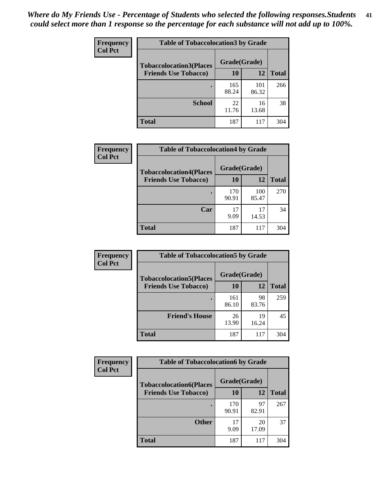| Frequency      | <b>Table of Tobaccolocation 3 by Grade</b> |              |              |              |  |
|----------------|--------------------------------------------|--------------|--------------|--------------|--|
| <b>Col Pct</b> | <b>Tobaccolocation3(Places</b>             | Grade(Grade) |              |              |  |
|                | <b>Friends Use Tobacco)</b>                | 10           | 12           | <b>Total</b> |  |
|                |                                            | 165<br>88.24 | 101<br>86.32 | 266          |  |
|                | <b>School</b>                              | 22<br>11.76  | 16<br>13.68  | 38           |  |
|                | <b>Total</b>                               | 187          | 117          | 304          |  |

| Frequency<br><b>Col Pct</b> | <b>Table of Tobaccolocation4 by Grade</b>                     |                    |              |              |
|-----------------------------|---------------------------------------------------------------|--------------------|--------------|--------------|
|                             | <b>Tobaccolocation4(Places</b><br><b>Friends Use Tobacco)</b> | Grade(Grade)<br>10 | 12           | <b>Total</b> |
|                             |                                                               |                    |              |              |
|                             |                                                               | 170<br>90.91       | 100<br>85.47 | 270          |
|                             | Car                                                           | 17<br>9.09         | 17<br>14.53  | 34           |
|                             | <b>Total</b>                                                  | 187                | 117          | 304          |

| Frequency<br><b>Col Pct</b> | <b>Table of Tobaccolocation5 by Grade</b>                     |                    |             |              |
|-----------------------------|---------------------------------------------------------------|--------------------|-------------|--------------|
|                             | <b>Tobaccolocation5(Places</b><br><b>Friends Use Tobacco)</b> | Grade(Grade)<br>10 | <b>12</b>   | <b>Total</b> |
|                             |                                                               | 161<br>86.10       | 98<br>83.76 | 259          |
|                             | <b>Friend's House</b>                                         | 26<br>13.90        | 19<br>16.24 | 45           |
|                             | <b>Total</b>                                                  | 187                | 117         | 304          |

| <b>Frequency</b> | <b>Table of Tobaccolocation6 by Grade</b> |              |             |              |  |
|------------------|-------------------------------------------|--------------|-------------|--------------|--|
| <b>Col Pct</b>   | <b>Tobaccolocation6(Places</b>            | Grade(Grade) |             |              |  |
|                  | <b>Friends Use Tobacco)</b>               | 10           | 12          | <b>Total</b> |  |
|                  |                                           | 170<br>90.91 | 97<br>82.91 | 267          |  |
|                  | <b>Other</b>                              | 17<br>9.09   | 20<br>17.09 | 37           |  |
|                  | <b>Total</b>                              | 187          | 117         | 304          |  |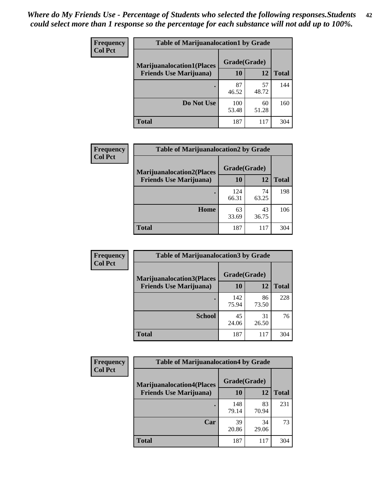| <b>Frequency</b> | <b>Table of Marijuanalocation1 by Grade</b> |              |             |              |
|------------------|---------------------------------------------|--------------|-------------|--------------|
| <b>Col Pct</b>   | <b>Marijuanalocation1(Places</b>            | Grade(Grade) |             |              |
|                  | <b>Friends Use Marijuana</b> )              | 10           | 12          | <b>Total</b> |
|                  |                                             | 87<br>46.52  | 57<br>48.72 | 144          |
|                  | Do Not Use                                  | 100<br>53.48 | 60<br>51.28 | 160          |
|                  | <b>Total</b>                                | 187          | 117         | 304          |

| <b>Frequency</b> | <b>Table of Marijuanalocation2 by Grade</b>                        |                    |             |              |
|------------------|--------------------------------------------------------------------|--------------------|-------------|--------------|
| <b>Col Pct</b>   | <b>Marijuanalocation2(Places</b><br><b>Friends Use Marijuana</b> ) | Grade(Grade)<br>10 | 12          | <b>Total</b> |
|                  |                                                                    | 124<br>66.31       | 74<br>63.25 | 198          |
|                  | Home                                                               | 63<br>33.69        | 43<br>36.75 | 106          |
|                  | <b>Total</b>                                                       | 187                | 117         | 304          |

| Frequency      | <b>Table of Marijuanalocation3 by Grade</b> |              |             |              |
|----------------|---------------------------------------------|--------------|-------------|--------------|
| <b>Col Pct</b> | <b>Marijuanalocation3</b> (Places           | Grade(Grade) |             |              |
|                | <b>Friends Use Marijuana</b> )              | <b>10</b>    | 12          | <b>Total</b> |
|                |                                             | 142<br>75.94 | 86<br>73.50 | 228          |
|                | <b>School</b>                               | 45<br>24.06  | 31<br>26.50 | 76           |
|                | <b>Total</b>                                | 187          | 117         | 304          |

| <b>Frequency</b> | <b>Table of Marijuanalocation4 by Grade</b> |              |             |              |  |
|------------------|---------------------------------------------|--------------|-------------|--------------|--|
| <b>Col Pct</b>   | <b>Marijuanalocation4(Places</b>            | Grade(Grade) |             |              |  |
|                  | <b>Friends Use Marijuana</b> )              | <b>10</b>    | 12          | <b>Total</b> |  |
|                  |                                             | 148<br>79.14 | 83<br>70.94 | 231          |  |
|                  | Car                                         | 39<br>20.86  | 34<br>29.06 | 73           |  |
|                  | <b>Total</b>                                | 187          | 117         | 304          |  |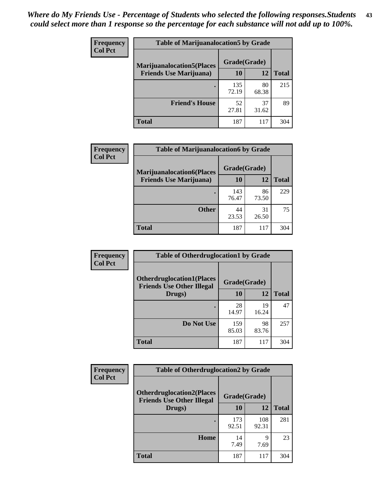| <b>Frequency</b> | <b>Table of Marijuanalocation5 by Grade</b> |              |             |              |
|------------------|---------------------------------------------|--------------|-------------|--------------|
| <b>Col Pct</b>   | <b>Marijuanalocation5</b> (Places           | Grade(Grade) |             |              |
|                  | <b>Friends Use Marijuana</b> )              | 10           | 12          | <b>Total</b> |
|                  |                                             | 135<br>72.19 | 80<br>68.38 | 215          |
|                  | <b>Friend's House</b>                       | 52<br>27.81  | 37<br>31.62 | 89           |
|                  | <b>Total</b>                                | 187          | 117         | 304          |

| <b>Frequency</b> | <b>Table of Marijuanalocation6 by Grade</b>                        |                    |             |              |
|------------------|--------------------------------------------------------------------|--------------------|-------------|--------------|
| <b>Col Pct</b>   | <b>Marijuanalocation6(Places</b><br><b>Friends Use Marijuana</b> ) | Grade(Grade)<br>10 | 12          | <b>Total</b> |
|                  |                                                                    | 143<br>76.47       | 86<br>73.50 | 229          |
|                  | <b>Other</b>                                                       | 44<br>23.53        | 31<br>26.50 | 75           |
|                  | <b>Total</b>                                                       | 187                | 117         | 304          |

| <b>Frequency</b> | <b>Table of Otherdruglocation1 by Grade</b>                          |              |             |              |
|------------------|----------------------------------------------------------------------|--------------|-------------|--------------|
| <b>Col Pct</b>   | <b>Otherdruglocation1(Places</b><br><b>Friends Use Other Illegal</b> | Grade(Grade) |             |              |
|                  | Drugs)                                                               | 10           | 12          | <b>Total</b> |
|                  |                                                                      | 28<br>14.97  | 19<br>16.24 | 47           |
|                  | Do Not Use                                                           | 159<br>85.03 | 98<br>83.76 | 257          |
|                  | <b>Total</b>                                                         | 187          | 117         | 304          |

| Frequency      | <b>Table of Otherdruglocation2 by Grade</b>                          |              |              |              |
|----------------|----------------------------------------------------------------------|--------------|--------------|--------------|
| <b>Col Pct</b> | <b>Otherdruglocation2(Places</b><br><b>Friends Use Other Illegal</b> | Grade(Grade) |              |              |
|                | Drugs)                                                               | 10           | 12           | <b>Total</b> |
|                |                                                                      | 173<br>92.51 | 108<br>92.31 | 281          |
|                | <b>Home</b>                                                          | 14<br>7.49   | 9<br>7.69    | 23           |
|                | <b>Total</b>                                                         | 187          | 117          | 304          |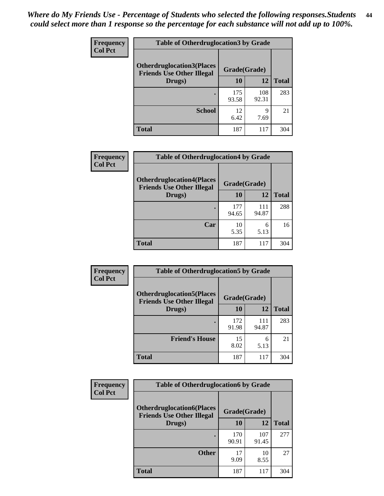| <b>Frequency</b> | <b>Table of Otherdruglocation 3 by Grade</b>                         |              |              |              |
|------------------|----------------------------------------------------------------------|--------------|--------------|--------------|
| <b>Col Pct</b>   | <b>Otherdruglocation3(Places</b><br><b>Friends Use Other Illegal</b> | Grade(Grade) |              |              |
|                  | Drugs)                                                               | 10           | 12           | <b>Total</b> |
|                  |                                                                      | 175<br>93.58 | 108<br>92.31 | 283          |
|                  | <b>School</b>                                                        | 12<br>6.42   | Q<br>7.69    | 21           |
|                  | <b>Total</b>                                                         | 187          | 117          | 304          |

| Frequency      | <b>Table of Otherdruglocation4 by Grade</b>                          |              |              |              |
|----------------|----------------------------------------------------------------------|--------------|--------------|--------------|
| <b>Col Pct</b> | <b>Otherdruglocation4(Places</b><br><b>Friends Use Other Illegal</b> | Grade(Grade) |              |              |
|                | Drugs)                                                               | 10           | 12           | <b>Total</b> |
|                |                                                                      | 177<br>94.65 | 111<br>94.87 | 288          |
|                | Car                                                                  | 10<br>5.35   | 6<br>5.13    | 16           |
|                | <b>Total</b>                                                         | 187          | 117          | 304          |

| <b>Frequency</b><br><b>Col Pct</b> | <b>Table of Otherdruglocation5 by Grade</b>                          |              |              |              |
|------------------------------------|----------------------------------------------------------------------|--------------|--------------|--------------|
|                                    | <b>Otherdruglocation5(Places</b><br><b>Friends Use Other Illegal</b> | Grade(Grade) |              |              |
|                                    | Drugs)                                                               | <b>10</b>    | 12           | <b>Total</b> |
|                                    |                                                                      | 172<br>91.98 | 111<br>94.87 | 283          |
|                                    | <b>Friend's House</b>                                                | 15<br>8.02   | 6<br>5.13    | 21           |
|                                    | <b>Total</b>                                                         | 187          | 117          | 304          |

| <b>Frequency</b> | <b>Table of Otherdruglocation6 by Grade</b>                          |              |              |              |
|------------------|----------------------------------------------------------------------|--------------|--------------|--------------|
| <b>Col Pct</b>   | <b>Otherdruglocation6(Places</b><br><b>Friends Use Other Illegal</b> | Grade(Grade) |              |              |
|                  | Drugs)                                                               | <b>10</b>    | 12           | <b>Total</b> |
|                  |                                                                      | 170<br>90.91 | 107<br>91.45 | 277          |
|                  | <b>Other</b>                                                         | 17<br>9.09   | 10<br>8.55   | 27           |
|                  | <b>Total</b>                                                         | 187          | 117          | 304          |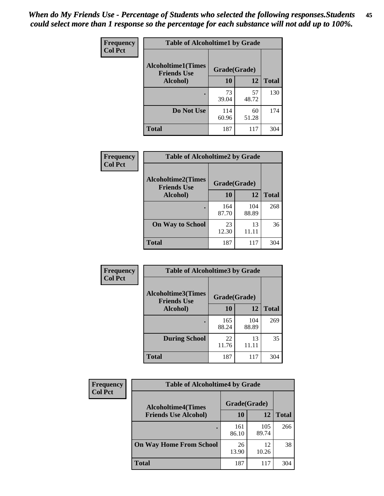| Frequency      | <b>Table of Alcoholtime1 by Grade</b>           |              |             |              |
|----------------|-------------------------------------------------|--------------|-------------|--------------|
| <b>Col Pct</b> | <b>Alcoholtime1(Times</b><br><b>Friends Use</b> | Grade(Grade) |             |              |
|                | Alcohol)                                        | 10           | 12          | <b>Total</b> |
|                |                                                 | 73<br>39.04  | 57<br>48.72 | 130          |
|                | Do Not Use                                      | 114<br>60.96 | 60<br>51.28 | 174          |
|                | <b>Total</b>                                    | 187          | 117         | 304          |

| Frequency      | <b>Table of Alcoholtime2 by Grade</b>           |              |              |              |
|----------------|-------------------------------------------------|--------------|--------------|--------------|
| <b>Col Pct</b> | <b>Alcoholtime2(Times</b><br><b>Friends Use</b> | Grade(Grade) |              |              |
|                | Alcohol)                                        | 10           | 12           | <b>Total</b> |
|                |                                                 | 164<br>87.70 | 104<br>88.89 | 268          |
|                | <b>On Way to School</b>                         | 23<br>12.30  | 13<br>11.11  | 36           |
|                | <b>Total</b>                                    | 187          | 117          | 304          |

| Frequency      | <b>Table of Alcoholtime3 by Grade</b>           |              |              |              |
|----------------|-------------------------------------------------|--------------|--------------|--------------|
| <b>Col Pct</b> | <b>Alcoholtime3(Times</b><br><b>Friends Use</b> | Grade(Grade) |              |              |
|                | Alcohol)                                        | 10           | 12           | <b>Total</b> |
|                |                                                 | 165<br>88.24 | 104<br>88.89 | 269          |
|                | <b>During School</b>                            | 22<br>11.76  | 13<br>11.11  | 35           |
|                | <b>Total</b>                                    | 187          | 117          | 304          |

| <b>Frequency</b> | <b>Table of Alcoholtime4 by Grade</b> |              |              |              |
|------------------|---------------------------------------|--------------|--------------|--------------|
| <b>Col Pct</b>   | <b>Alcoholtime4(Times</b>             | Grade(Grade) |              |              |
|                  | <b>Friends Use Alcohol)</b>           | 10           | 12           | <b>Total</b> |
|                  |                                       | 161<br>86.10 | 105<br>89.74 | 266          |
|                  | <b>On Way Home From School</b>        | 26<br>13.90  | 12<br>10.26  | 38           |
|                  | <b>Total</b>                          | 187          | 117          | 304          |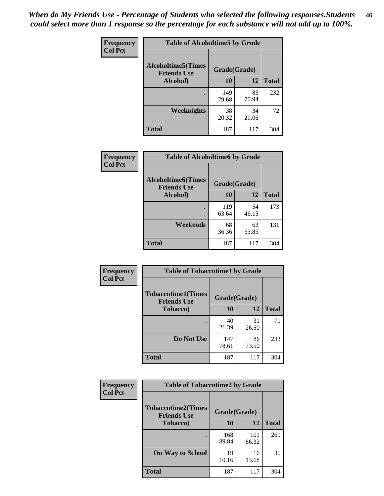*When do My Friends Use - Percentage of Students who selected the following responses.Students could select more than 1 response so the percentage for each substance will not add up to 100%.* **46**

| <b>Frequency</b> | <b>Table of Alcoholtime5 by Grade</b>           |              |             |              |
|------------------|-------------------------------------------------|--------------|-------------|--------------|
| <b>Col Pct</b>   | <b>Alcoholtime5(Times</b><br><b>Friends Use</b> | Grade(Grade) |             |              |
|                  | Alcohol)                                        | 10           | 12          | <b>Total</b> |
|                  |                                                 | 149<br>79.68 | 83<br>70.94 | 232          |
|                  | Weeknights                                      | 38<br>20.32  | 34<br>29.06 | 72           |
|                  | <b>Total</b>                                    | 187          | 117         | 304          |

| <b>Frequency</b> |                                                 | <b>Table of Alcoholtime6 by Grade</b> |             |              |  |  |
|------------------|-------------------------------------------------|---------------------------------------|-------------|--------------|--|--|
| <b>Col Pct</b>   | <b>Alcoholtime6(Times</b><br><b>Friends Use</b> | Grade(Grade)                          |             |              |  |  |
|                  | Alcohol)                                        | 10                                    | 12          | <b>Total</b> |  |  |
|                  |                                                 | 119<br>63.64                          | 54<br>46.15 | 173          |  |  |
|                  | Weekends                                        | 68<br>36.36                           | 63<br>53.85 | 131          |  |  |
|                  | <b>Total</b>                                    | 187                                   | 117         | 304          |  |  |

| <b>Frequency</b> | <b>Table of Tobaccotime1 by Grade</b>           |              |             |              |
|------------------|-------------------------------------------------|--------------|-------------|--------------|
| <b>Col Pct</b>   | <b>Tobaccotime1(Times</b><br><b>Friends Use</b> | Grade(Grade) |             |              |
|                  | <b>Tobacco</b> )                                | 10           | 12          | <b>Total</b> |
|                  | ٠                                               | 40<br>21.39  | 31<br>26.50 | 71           |
|                  | Do Not Use                                      | 147<br>78.61 | 86<br>73.50 | 233          |
|                  | <b>Total</b>                                    | 187          | 117         | 304          |

| <b>Frequency</b> | <b>Table of Tobaccotime2 by Grade</b>           |              |              |              |
|------------------|-------------------------------------------------|--------------|--------------|--------------|
| <b>Col Pct</b>   | <b>Tobaccotime2(Times</b><br><b>Friends Use</b> | Grade(Grade) |              |              |
|                  | <b>Tobacco</b> )                                | <b>10</b>    | 12           | <b>Total</b> |
|                  |                                                 | 168<br>89.84 | 101<br>86.32 | 269          |
|                  | <b>On Way to School</b>                         | 19<br>10.16  | 16<br>13.68  | 35           |
|                  | <b>Total</b>                                    | 187          | 117          | 304          |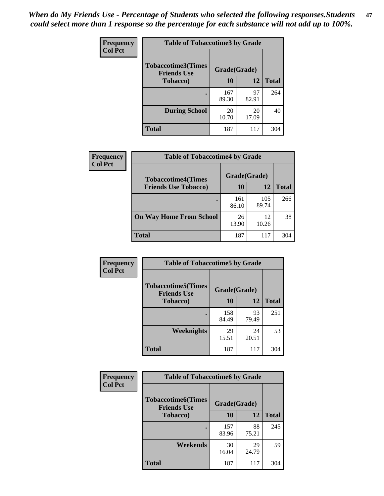*When do My Friends Use - Percentage of Students who selected the following responses.Students could select more than 1 response so the percentage for each substance will not add up to 100%.* **47**

| <b>Frequency</b> | <b>Table of Tobaccotime3 by Grade</b>           |              |             |              |
|------------------|-------------------------------------------------|--------------|-------------|--------------|
| <b>Col Pct</b>   | <b>Tobaccotime3(Times</b><br><b>Friends Use</b> | Grade(Grade) |             |              |
|                  | Tobacco)                                        | 10           | 12          | <b>Total</b> |
|                  |                                                 | 167<br>89.30 | 97<br>82.91 | 264          |
|                  | <b>During School</b>                            | 20<br>10.70  | 20<br>17.09 | 40           |
|                  | <b>Total</b>                                    | 187          | 117         | 304          |

| <b>Frequency</b><br><b>Col Pct</b> | <b>Table of Tobaccotime4 by Grade</b> |              |              |              |
|------------------------------------|---------------------------------------|--------------|--------------|--------------|
|                                    | <b>Tobaccotime4(Times</b>             |              | Grade(Grade) |              |
|                                    | <b>Friends Use Tobacco)</b>           | 10           | 12           | <b>Total</b> |
|                                    |                                       | 161<br>86.10 | 105<br>89.74 | 266          |
|                                    | <b>On Way Home From School</b>        | 26<br>13.90  | 12<br>10.26  | 38           |
|                                    | <b>Total</b>                          | 187          | 117          | 304          |

| <b>Frequency</b> | <b>Table of Tobaccotime5 by Grade</b>           |              |             |              |  |
|------------------|-------------------------------------------------|--------------|-------------|--------------|--|
| <b>Col Pct</b>   | <b>Tobaccotime5(Times</b><br><b>Friends Use</b> | Grade(Grade) |             |              |  |
|                  | <b>Tobacco</b> )                                | 10           | 12          | <b>Total</b> |  |
|                  |                                                 | 158<br>84.49 | 93<br>79.49 | 251          |  |
|                  | Weeknights                                      | 29<br>15.51  | 24<br>20.51 | 53           |  |
|                  | <b>Total</b>                                    | 187          | 117         | 304          |  |

| Frequency<br><b>Col Pct</b> | <b>Table of Tobaccotime6 by Grade</b>                           |              |             |              |
|-----------------------------|-----------------------------------------------------------------|--------------|-------------|--------------|
|                             | <b>Tobaccotime6(Times</b><br>Grade(Grade)<br><b>Friends Use</b> |              |             |              |
|                             | <b>Tobacco</b> )                                                | 10           | 12          | <b>Total</b> |
|                             |                                                                 | 157<br>83.96 | 88<br>75.21 | 245          |
|                             | Weekends                                                        | 30<br>16.04  | 29<br>24.79 | 59           |
|                             | Total                                                           | 187          | 117         | 304          |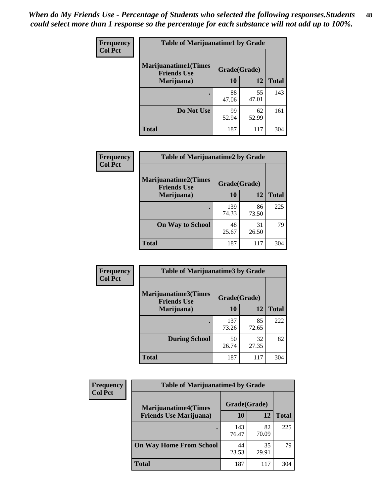| Frequency      | <b>Table of Marijuanatime1 by Grade</b>           |              |             |              |  |
|----------------|---------------------------------------------------|--------------|-------------|--------------|--|
| <b>Col Pct</b> | <b>Marijuanatime1(Times</b><br><b>Friends Use</b> | Grade(Grade) |             |              |  |
|                | Marijuana)                                        | 10           | 12          | <b>Total</b> |  |
|                |                                                   | 88<br>47.06  | 55<br>47.01 | 143          |  |
|                | Do Not Use                                        | 99<br>52.94  | 62<br>52.99 | 161          |  |
|                | <b>Total</b>                                      | 187          | 117         | 304          |  |

| <b>Frequency</b> | <b>Table of Marijuanatime2 by Grade</b>           |              |             |              |
|------------------|---------------------------------------------------|--------------|-------------|--------------|
| <b>Col Pct</b>   | <b>Marijuanatime2(Times</b><br><b>Friends Use</b> | Grade(Grade) |             |              |
|                  | Marijuana)                                        | 10           | 12          | <b>Total</b> |
|                  |                                                   | 139<br>74.33 | 86<br>73.50 | 225          |
|                  | <b>On Way to School</b>                           | 48<br>25.67  | 31<br>26.50 | 79           |
|                  | <b>Total</b>                                      | 187          | 117         | 304          |

| Frequency      | <b>Table of Marijuanatime3 by Grade</b>    |              |             |              |
|----------------|--------------------------------------------|--------------|-------------|--------------|
| <b>Col Pct</b> | Marijuanatime3(Times<br><b>Friends Use</b> | Grade(Grade) |             |              |
|                | Marijuana)                                 | 10           | 12          | <b>Total</b> |
|                |                                            | 137<br>73.26 | 85<br>72.65 | 222          |
|                | <b>During School</b>                       | 50<br>26.74  | 32<br>27.35 | 82           |
|                | Total                                      | 187          | 117         | 304          |

| <b>Frequency</b><br><b>Col Pct</b> | <b>Table of Marijuanatime4 by Grade</b> |              |             |              |
|------------------------------------|-----------------------------------------|--------------|-------------|--------------|
|                                    | <b>Marijuanatime4</b> (Times            | Grade(Grade) |             |              |
|                                    | <b>Friends Use Marijuana</b> )          | 10           | 12          | <b>Total</b> |
|                                    |                                         | 143<br>76.47 | 82<br>70.09 | 225          |
|                                    | <b>On Way Home From School</b>          | 44<br>23.53  | 35<br>29.91 | 79           |
|                                    | <b>Total</b>                            | 187          | 117         | 304          |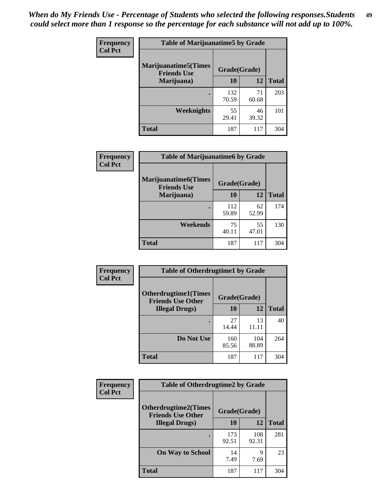| Frequency      | <b>Table of Marijuanatime5 by Grade</b>            |              |             |              |
|----------------|----------------------------------------------------|--------------|-------------|--------------|
| <b>Col Pct</b> | <b>Marijuanatime5</b> (Times<br><b>Friends Use</b> | Grade(Grade) |             |              |
|                | Marijuana)                                         | 10           | 12          | <b>Total</b> |
|                |                                                    | 132<br>70.59 | 71<br>60.68 | 203          |
|                | Weeknights                                         | 55<br>29.41  | 46<br>39.32 | 101          |
|                | <b>Total</b>                                       | 187          | 117         | 304          |

| Frequency      | <b>Table of Marijuanatime6 by Grade</b>            |              |             |              |
|----------------|----------------------------------------------------|--------------|-------------|--------------|
| <b>Col Pct</b> | <b>Marijuanatime6</b> (Times<br><b>Friends Use</b> | Grade(Grade) |             |              |
|                | Marijuana)                                         | 10           | 12          | <b>Total</b> |
|                |                                                    | 112<br>59.89 | 62<br>52.99 | 174          |
|                | Weekends                                           | 75<br>40.11  | 55<br>47.01 | 130          |
|                | <b>Total</b>                                       | 187          | 117         | 304          |

| Frequency      | <b>Table of Otherdrugtime1 by Grade</b>                 |              |              |              |
|----------------|---------------------------------------------------------|--------------|--------------|--------------|
| <b>Col Pct</b> | <b>Otherdrugtime1(Times</b><br><b>Friends Use Other</b> | Grade(Grade) |              |              |
|                | <b>Illegal Drugs</b> )                                  | 10           | 12           | <b>Total</b> |
|                |                                                         | 27<br>14.44  | 13<br>11.11  | 40           |
|                | Do Not Use                                              | 160<br>85.56 | 104<br>88.89 | 264          |
|                | Total                                                   | 187          | 117          | 304          |

| Frequency      | <b>Table of Otherdrugtime2 by Grade</b>                 |              |              |              |  |
|----------------|---------------------------------------------------------|--------------|--------------|--------------|--|
| <b>Col Pct</b> | <b>Otherdrugtime2(Times</b><br><b>Friends Use Other</b> | Grade(Grade) |              |              |  |
|                | <b>Illegal Drugs</b> )                                  | 10           | 12           | <b>Total</b> |  |
|                |                                                         | 173<br>92.51 | 108<br>92.31 | 281          |  |
|                | <b>On Way to School</b>                                 | 14<br>7.49   | 9<br>7.69    | 23           |  |
|                | Total                                                   | 187          | 117          | 304          |  |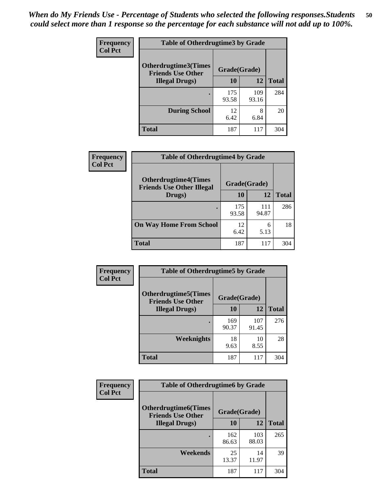| <b>Frequency</b> | <b>Table of Otherdrugtime3 by Grade</b>          |              |              |              |
|------------------|--------------------------------------------------|--------------|--------------|--------------|
| <b>Col Pct</b>   | Otherdrugtime3(Times<br><b>Friends Use Other</b> | Grade(Grade) |              |              |
|                  | <b>Illegal Drugs)</b>                            | 10           | 12           | <b>Total</b> |
|                  |                                                  | 175<br>93.58 | 109<br>93.16 | 284          |
|                  | <b>During School</b>                             | 12<br>6.42   | 8<br>6.84    | 20           |
|                  | <b>Total</b>                                     | 187          | 117          | 304          |

| <b>Frequency</b> | <b>Table of Otherdrugtime4 by Grade</b>                         |              |              |              |  |  |
|------------------|-----------------------------------------------------------------|--------------|--------------|--------------|--|--|
| <b>Col Pct</b>   | <b>Otherdrugtime4(Times</b><br><b>Friends Use Other Illegal</b> | Grade(Grade) |              |              |  |  |
|                  | Drugs)                                                          | 10           | 12           | <b>Total</b> |  |  |
|                  | $\bullet$                                                       | 175<br>93.58 | 111<br>94.87 | 286          |  |  |
|                  | <b>On Way Home From School</b>                                  | 12<br>6.42   | 6<br>5.13    | 18           |  |  |
|                  | <b>Total</b>                                                    | 187          | 117          | 304          |  |  |

| <b>Frequency</b><br><b>Col Pct</b> | <b>Table of Otherdrugtime5 by Grade</b>                  |              |              |              |  |
|------------------------------------|----------------------------------------------------------|--------------|--------------|--------------|--|
|                                    | <b>Otherdrugtime5</b> (Times<br><b>Friends Use Other</b> | Grade(Grade) |              |              |  |
|                                    | <b>Illegal Drugs</b> )                                   | 10           | 12           | <b>Total</b> |  |
|                                    |                                                          | 169<br>90.37 | 107<br>91.45 | 276          |  |
|                                    | Weeknights                                               | 18<br>9.63   | 10<br>8.55   | 28           |  |
|                                    | Total                                                    | 187          | 117          | 304          |  |

| <b>Frequency</b><br><b>Col Pct</b> | <b>Table of Otherdrugtime6 by Grade</b>                 |              |              |              |  |
|------------------------------------|---------------------------------------------------------|--------------|--------------|--------------|--|
|                                    | <b>Otherdrugtime6(Times</b><br><b>Friends Use Other</b> | Grade(Grade) |              |              |  |
|                                    | <b>Illegal Drugs</b> )                                  | 10           | 12           | <b>Total</b> |  |
|                                    |                                                         | 162<br>86.63 | 103<br>88.03 | 265          |  |
|                                    | Weekends                                                | 25<br>13.37  | 14<br>11.97  | 39           |  |
|                                    | <b>Total</b>                                            | 187          | 117          | 304          |  |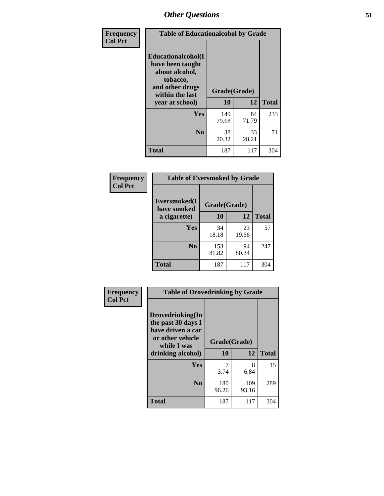| Frequency      | <b>Table of Educationalcohol by Grade</b>                                                                  |              |             |              |  |
|----------------|------------------------------------------------------------------------------------------------------------|--------------|-------------|--------------|--|
| <b>Col Pct</b> | Educationalcohol(I<br>have been taught<br>about alcohol,<br>tobacco,<br>and other drugs<br>within the last | Grade(Grade) |             |              |  |
|                | year at school)                                                                                            | 10           | 12          | <b>Total</b> |  |
|                | Yes                                                                                                        | 149<br>79.68 | 84<br>71.79 | 233          |  |
|                | N <sub>0</sub>                                                                                             | 38<br>20.32  | 33<br>28.21 | 71           |  |
|                | <b>Total</b>                                                                                               | 187          | 117         | 304          |  |

| Frequency      | <b>Table of Eversmoked by Grade</b> |              |             |              |  |
|----------------|-------------------------------------|--------------|-------------|--------------|--|
| <b>Col Pct</b> | Eversmoked(I<br>have smoked         | Grade(Grade) |             |              |  |
|                | a cigarette)                        | 10           | 12          | <b>Total</b> |  |
|                | Yes                                 | 34<br>18.18  | 23<br>19.66 | 57           |  |
|                | N <sub>0</sub>                      | 153<br>81.82 | 94<br>80.34 | 247          |  |
|                | <b>Total</b>                        | 187          | 117         | 304          |  |

| Frequency      | <b>Table of Drovedrinking by Grade</b>                                                                              |                    |              |     |
|----------------|---------------------------------------------------------------------------------------------------------------------|--------------------|--------------|-----|
| <b>Col Pct</b> | Drovedrinking(In<br>the past 30 days I<br>have driven a car<br>or other vehicle<br>while I was<br>drinking alcohol) | Grade(Grade)<br>10 | <b>Total</b> |     |
|                |                                                                                                                     |                    | 12           |     |
|                | Yes                                                                                                                 | 7<br>3.74          | 8<br>6.84    | 15  |
|                | N <sub>0</sub>                                                                                                      | 180<br>96.26       | 109<br>93.16 | 289 |
|                | <b>Total</b>                                                                                                        | 187                | 117          | 304 |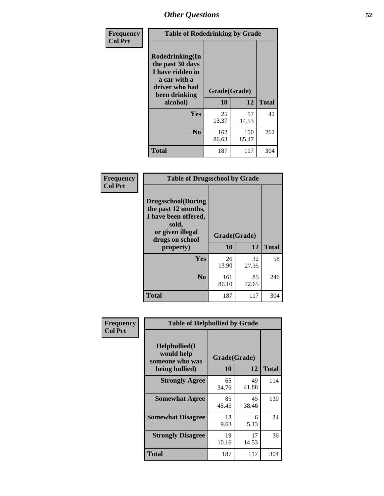| Frequency<br><b>Col Pct</b> | <b>Table of Rodedrinking by Grade</b>                                                                      |              |              |              |  |  |
|-----------------------------|------------------------------------------------------------------------------------------------------------|--------------|--------------|--------------|--|--|
|                             | Rodedrinking(In<br>the past 30 days<br>I have ridden in<br>a car with a<br>driver who had<br>been drinking | Grade(Grade) |              |              |  |  |
|                             | alcohol)                                                                                                   | 10           | 12           | <b>Total</b> |  |  |
|                             | <b>Yes</b>                                                                                                 | 25<br>13.37  | 17<br>14.53  | 42           |  |  |
|                             | N <sub>0</sub>                                                                                             | 162<br>86.63 | 100<br>85.47 | 262          |  |  |
|                             | <b>Total</b>                                                                                               | 187          | 117          | 304          |  |  |

#### **Frequency Col Pct**

| <b>Table of Drugsschool by Grade</b>                                                                                      |              |             |              |  |  |
|---------------------------------------------------------------------------------------------------------------------------|--------------|-------------|--------------|--|--|
| <b>Drugsschool</b> (During<br>the past 12 months,<br>I have been offered,<br>sold,<br>or given illegal<br>drugs on school | Grade(Grade) |             |              |  |  |
| property)                                                                                                                 | 10           | 12          | <b>Total</b> |  |  |
| Yes                                                                                                                       | 26<br>13.90  | 32<br>27.35 | 58           |  |  |
| N <sub>0</sub>                                                                                                            | 161<br>86.10 | 85<br>72.65 | 246          |  |  |
| <b>Total</b>                                                                                                              | 187          | 117         | 304          |  |  |

| Frequency      | <b>Table of Helpbullied by Grade</b>                                   |                                 |             |              |  |  |
|----------------|------------------------------------------------------------------------|---------------------------------|-------------|--------------|--|--|
| <b>Col Pct</b> | $Helpb$ ullied $(I$<br>would help<br>someone who was<br>being bullied) | Grade(Grade)<br><b>10</b><br>12 |             | <b>Total</b> |  |  |
|                | <b>Strongly Agree</b>                                                  | 65<br>34.76                     | 49<br>41.88 | 114          |  |  |
|                | <b>Somewhat Agree</b>                                                  | 85<br>45.45                     | 45<br>38.46 | 130          |  |  |
|                | <b>Somewhat Disagree</b>                                               | 18<br>9.63                      | 6<br>5.13   | 24           |  |  |
|                | <b>Strongly Disagree</b>                                               | 19<br>10.16                     | 17<br>14.53 | 36           |  |  |
|                | <b>Total</b>                                                           | 187                             | 117         | 304          |  |  |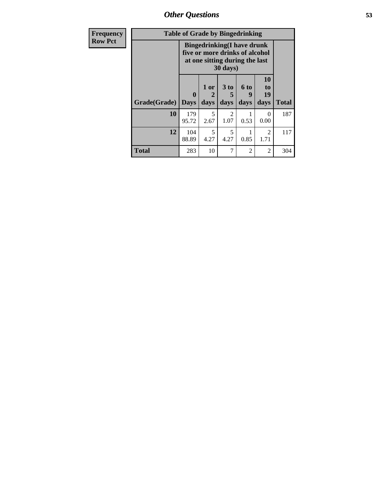| Frequency      | <b>Table of Grade by Bingedrinking</b> |                             |                   |              |                                                                                                                   |                        |              |  |
|----------------|----------------------------------------|-----------------------------|-------------------|--------------|-------------------------------------------------------------------------------------------------------------------|------------------------|--------------|--|
| <b>Row Pct</b> |                                        |                             |                   |              | <b>Bingedrinking(I have drunk</b><br>five or more drinks of alcohol<br>at one sitting during the last<br>30 days) |                        |              |  |
|                | Grade(Grade)                           | $\mathbf{0}$<br><b>Days</b> | 1 or<br>2<br>days | 3 to<br>days | 6 to<br>9<br>days                                                                                                 | 10<br>to<br>19<br>days | <b>Total</b> |  |
|                | 10                                     | 179<br>95.72                | 5<br>2.67         | 2<br>1.07    | 0.53                                                                                                              | $\theta$<br>0.00       | 187          |  |
|                | 12                                     | 104<br>88.89                | 5<br>4.27         | 5<br>4.27    | 1<br>0.85                                                                                                         | $\overline{2}$<br>1.71 | 117          |  |
|                | <b>Total</b>                           | 283                         | 10                | 7            | 2                                                                                                                 | $\overline{2}$         | 304          |  |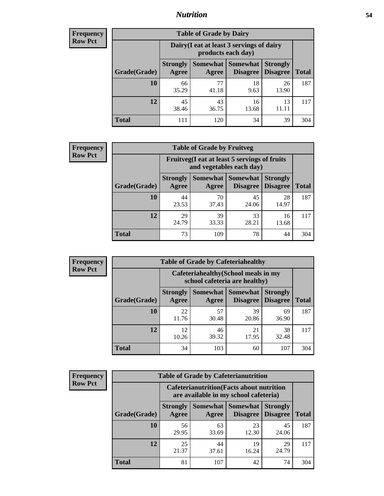### *Nutrition* **54**

| <b>Frequency</b><br>Row Pct |
|-----------------------------|
|                             |

| <b>Table of Grade by Dairy</b> |                                                                                                                           |                                                                 |             |             |     |  |  |  |
|--------------------------------|---------------------------------------------------------------------------------------------------------------------------|-----------------------------------------------------------------|-------------|-------------|-----|--|--|--|
|                                |                                                                                                                           | Dairy (I eat at least 3 servings of dairy<br>products each day) |             |             |     |  |  |  |
| Grade(Grade)                   | <b>Somewhat</b><br><b>Somewhat</b><br><b>Strongly</b><br><b>Strongly</b><br><b>Disagree</b><br>Disagree<br>Agree<br>Agree |                                                                 |             |             |     |  |  |  |
| 10                             | 66<br>35.29                                                                                                               | 77<br>41.18                                                     | 18<br>9.63  | 26<br>13.90 | 187 |  |  |  |
| 12                             | 45<br>38.46                                                                                                               | 43<br>36.75                                                     | 16<br>13.68 | 13<br>11.11 | 117 |  |  |  |
| <b>Total</b>                   | 111                                                                                                                       | 120                                                             | 34          | 39          | 304 |  |  |  |

| <b>Frequency</b> |  |
|------------------|--|
| <b>Row Pct</b>   |  |

| <b>Table of Grade by Fruitveg</b> |                                                                          |             |                                      |                                    |              |  |  |  |
|-----------------------------------|--------------------------------------------------------------------------|-------------|--------------------------------------|------------------------------------|--------------|--|--|--|
|                                   | Fruitveg(I eat at least 5 servings of fruits<br>and vegetables each day) |             |                                      |                                    |              |  |  |  |
| Grade(Grade)                      | <b>Strongly</b><br>Agree                                                 | Agree       | <b>Somewhat</b> Somewhat<br>Disagree | <b>Strongly</b><br><b>Disagree</b> | <b>Total</b> |  |  |  |
| 10                                | 44<br>23.53                                                              | 70<br>37.43 | 45<br>24.06                          | 28<br>14.97                        | 187          |  |  |  |
| 12                                | 29<br>24.79                                                              | 39<br>33.33 | 33<br>28.21                          | 16<br>13.68                        | 117          |  |  |  |
| <b>Total</b>                      | 73                                                                       | 109         | 78                                   | 44                                 | 304          |  |  |  |

| <b>Frequency</b> | <b>Table of Grade by Cafeteriahealthy</b> |                                                                       |                          |                             |                                    |              |  |  |
|------------------|-------------------------------------------|-----------------------------------------------------------------------|--------------------------|-----------------------------|------------------------------------|--------------|--|--|
| <b>Row Pct</b>   |                                           | Cafeteriahealthy (School meals in my<br>school cafeteria are healthy) |                          |                             |                                    |              |  |  |
|                  | Grade(Grade)                              | <b>Strongly</b><br>Agree                                              | <b>Somewhat</b><br>Agree | Somewhat<br><b>Disagree</b> | <b>Strongly</b><br><b>Disagree</b> | <b>Total</b> |  |  |
|                  | 10                                        | 22<br>11.76                                                           | 57<br>30.48              | 39<br>20.86                 | 69<br>36.90                        | 187          |  |  |
|                  | 12                                        | 12<br>10.26                                                           | 46<br>39.32              | 21<br>17.95                 | 38<br>32.48                        | 117          |  |  |
|                  | Total                                     | 34                                                                    | 103                      | 60                          | 107                                | 304          |  |  |

| <b>Frequency</b> |
|------------------|
| <b>Row Pct</b>   |

| <b>Table of Grade by Cafeterianutrition</b> |                                                                                           |                     |                                    |                                    |              |  |  |
|---------------------------------------------|-------------------------------------------------------------------------------------------|---------------------|------------------------------------|------------------------------------|--------------|--|--|
|                                             | <b>Cafeterianutrition</b> (Facts about nutrition<br>are available in my school cafeteria) |                     |                                    |                                    |              |  |  |
| Grade(Grade)                                | <b>Strongly</b><br>Agree                                                                  | Somewhat  <br>Agree | <b>Somewhat</b><br><b>Disagree</b> | <b>Strongly</b><br><b>Disagree</b> | <b>Total</b> |  |  |
| 10                                          | 56<br>29.95                                                                               | 63<br>33.69         | 23<br>12.30                        | 45<br>24.06                        | 187          |  |  |
| 12                                          | 25<br>21.37                                                                               | 44<br>37.61         | 19<br>16.24                        | 29<br>24.79                        | 117          |  |  |
| <b>Total</b>                                | 81                                                                                        | 107                 | 42                                 | 74                                 | 304          |  |  |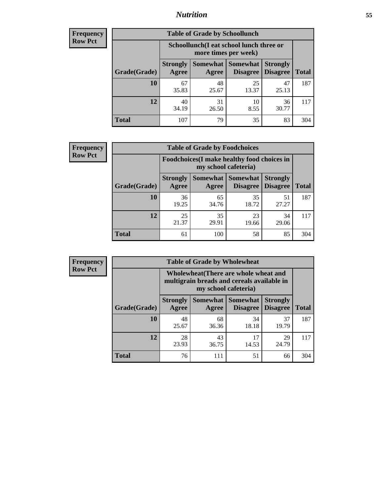### *Nutrition* **55**

| Frequency |
|-----------|
| Row Pct   |

| <b>Table of Grade by Schoollunch</b> |                                                                                                                          |                                                                 |             |             |     |  |  |  |
|--------------------------------------|--------------------------------------------------------------------------------------------------------------------------|-----------------------------------------------------------------|-------------|-------------|-----|--|--|--|
|                                      |                                                                                                                          | Schoollunch(I eat school lunch three or<br>more times per week) |             |             |     |  |  |  |
| Grade(Grade)                         | Somewhat Somewhat<br><b>Strongly</b><br><b>Strongly</b><br><b>Disagree</b><br>Agree<br>Disagree<br><b>Total</b><br>Agree |                                                                 |             |             |     |  |  |  |
| 10                                   | 67<br>35.83                                                                                                              | 48<br>25.67                                                     | 25<br>13.37 | 47<br>25.13 | 187 |  |  |  |
| 12                                   | 40<br>34.19                                                                                                              | 31<br>26.50                                                     | 10<br>8.55  | 36<br>30.77 | 117 |  |  |  |
| <b>Total</b>                         | 107                                                                                                                      | 79                                                              | 35          | 83          | 304 |  |  |  |

| <b>Frequency</b> |  |
|------------------|--|
| <b>Row Pct</b>   |  |

| <b>Table of Grade by Foodchoices</b>                                |                          |             |                                   |                                    |              |  |
|---------------------------------------------------------------------|--------------------------|-------------|-----------------------------------|------------------------------------|--------------|--|
| Foodchoices (I make healthy food choices in<br>my school cafeteria) |                          |             |                                   |                                    |              |  |
| Grade(Grade)                                                        | <b>Strongly</b><br>Agree | Agree       | Somewhat   Somewhat  <br>Disagree | <b>Strongly</b><br><b>Disagree</b> | <b>Total</b> |  |
| 10                                                                  | 36<br>19.25              | 65<br>34.76 | 35<br>18.72                       | 51<br>27.27                        | 187          |  |
| 12                                                                  | 25<br>21.37              | 35<br>29.91 | 23<br>19.66                       | 34<br>29.06                        | 117          |  |
| <b>Total</b>                                                        | 61                       | 100         | 58                                | 85                                 | 304          |  |

| <b>Frequency</b> | <b>Table of Grade by Wholewheat</b> |                                                                                                             |             |                                   |                                    |              |  |  |
|------------------|-------------------------------------|-------------------------------------------------------------------------------------------------------------|-------------|-----------------------------------|------------------------------------|--------------|--|--|
| <b>Row Pct</b>   |                                     | Wholewheat (There are whole wheat and<br>multigrain breads and cereals available in<br>my school cafeteria) |             |                                   |                                    |              |  |  |
|                  | Grade(Grade)                        | <b>Strongly</b><br>Agree                                                                                    | Agree       | Somewhat   Somewhat  <br>Disagree | <b>Strongly</b><br><b>Disagree</b> | <b>Total</b> |  |  |
|                  | 10                                  | 48<br>25.67                                                                                                 | 68<br>36.36 | 34<br>18.18                       | 37<br>19.79                        | 187          |  |  |
|                  | 12                                  | 28<br>23.93                                                                                                 | 43<br>36.75 | 17<br>14.53                       | 29<br>24.79                        | 117          |  |  |
|                  | <b>Total</b>                        | 76                                                                                                          | 111         | 51                                | 66                                 | 304          |  |  |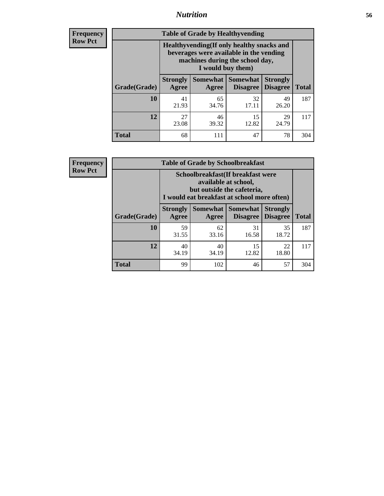### *Nutrition* **56**

**Frequency Row Pct**

| <b>Table of Grade by Healthyvending</b> |                                                                                                                                               |                          |                                    |                                    |              |  |
|-----------------------------------------|-----------------------------------------------------------------------------------------------------------------------------------------------|--------------------------|------------------------------------|------------------------------------|--------------|--|
|                                         | Healthyvending (If only healthy snacks and<br>beverages were available in the vending<br>machines during the school day,<br>I would buy them) |                          |                                    |                                    |              |  |
| Grade(Grade)                            | <b>Strongly</b><br>Agree                                                                                                                      | <b>Somewhat</b><br>Agree | <b>Somewhat</b><br><b>Disagree</b> | <b>Strongly</b><br><b>Disagree</b> | <b>Total</b> |  |
| 10                                      | 41<br>21.93                                                                                                                                   | 65<br>34.76              | 32<br>17.11                        | 49<br>26.20                        | 187          |  |
| 12                                      | 27<br>23.08                                                                                                                                   | 46<br>39.32              | 15<br>12.82                        | 29<br>24.79                        | 117          |  |
| <b>Total</b>                            | 68                                                                                                                                            | 111                      | 47                                 | 78                                 | 304          |  |

**Frequency Row Pct**

| <b>Table of Grade by Schoolbreakfast</b> |                                                                                                                                         |             |                     |                                        |              |  |
|------------------------------------------|-----------------------------------------------------------------------------------------------------------------------------------------|-------------|---------------------|----------------------------------------|--------------|--|
|                                          | Schoolbreakfast (If breakfast were<br>available at school,<br>but outside the cafeteria,<br>I would eat breakfast at school more often) |             |                     |                                        |              |  |
| Grade(Grade)                             | <b>Strongly</b><br>Agree                                                                                                                | Agree       | Somewhat   Somewhat | <b>Strongly</b><br>Disagree   Disagree | <b>Total</b> |  |
| 10                                       | 59<br>31.55                                                                                                                             | 62<br>33.16 | 31<br>16.58         | 35<br>18.72                            | 187          |  |
| 12                                       | 40<br>34.19                                                                                                                             | 40<br>34.19 | 15<br>12.82         | 22<br>18.80                            | 117          |  |
| <b>Total</b>                             | 99                                                                                                                                      | 102         | 46                  | 57                                     | 304          |  |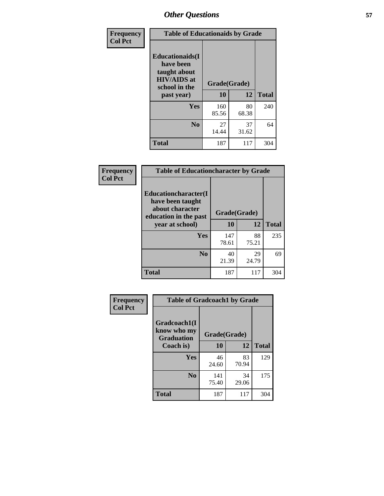| Frequency<br><b>Col Pct</b> | <b>Table of Educationaids by Grade</b>                                                                    |                    |             |              |
|-----------------------------|-----------------------------------------------------------------------------------------------------------|--------------------|-------------|--------------|
|                             | <b>Educationaids</b> (I<br>have been<br>taught about<br><b>HIV/AIDS</b> at<br>school in the<br>past year) | Grade(Grade)<br>10 | 12          | <b>Total</b> |
|                             | Yes                                                                                                       | 160<br>85.56       | 80<br>68.38 | 240          |
|                             | N <sub>0</sub>                                                                                            | 27<br>14.44        | 37<br>31.62 | 64           |
|                             | <b>Total</b>                                                                                              | 187                | 117         | 304          |

| <b>Frequency</b> | <b>Table of Educationcharacter by Grade</b>                                          |              |             |              |
|------------------|--------------------------------------------------------------------------------------|--------------|-------------|--------------|
| <b>Col Pct</b>   | Educationcharacter(I<br>have been taught<br>about character<br>education in the past | Grade(Grade) |             |              |
|                  | year at school)                                                                      | 10           | 12          | <b>Total</b> |
|                  | <b>Yes</b>                                                                           | 147<br>78.61 | 88<br>75.21 | 235          |
|                  | N <sub>0</sub>                                                                       | 40<br>21.39  | 29<br>24.79 | 69           |
|                  | <b>Total</b>                                                                         | 187          | 117         | 304          |

| Frequency      | <b>Table of Gradcoach1 by Grade</b> |              |             |              |
|----------------|-------------------------------------|--------------|-------------|--------------|
| <b>Col Pct</b> | Gradcoach1(I<br>know who my         |              |             |              |
|                | <b>Graduation</b>                   | Grade(Grade) |             |              |
|                | Coach is)                           | 10           | 12          | <b>Total</b> |
|                | Yes                                 | 46<br>24.60  | 83<br>70.94 | 129          |
|                | N <sub>0</sub>                      | 141<br>75.40 | 34<br>29.06 | 175          |
|                | <b>Total</b>                        | 187          | 117         | 304          |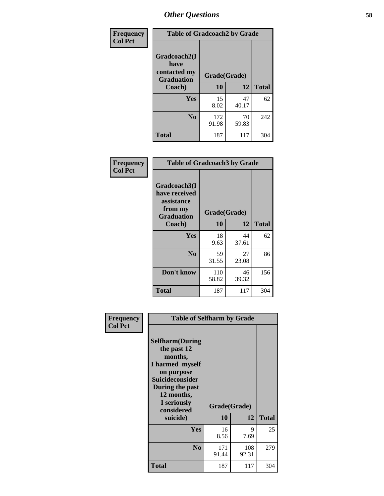| Frequency      | <b>Table of Gradcoach2 by Grade</b> |              |             |              |
|----------------|-------------------------------------|--------------|-------------|--------------|
| <b>Col Pct</b> | Gradcoach2(I<br>have                |              |             |              |
|                | contacted my<br><b>Graduation</b>   | Grade(Grade) |             |              |
|                | Coach)                              | 10           | 12          | <b>Total</b> |
|                | Yes                                 | 15<br>8.02   | 47<br>40.17 | 62           |
|                | N <sub>0</sub>                      | 172<br>91.98 | 70<br>59.83 | 242          |
|                | <b>Total</b>                        | 187          | 117         | 304          |

| <b>Frequency</b><br><b>Col Pct</b> |                                                                             | <b>Table of Gradcoach3 by Grade</b> |             |              |  |
|------------------------------------|-----------------------------------------------------------------------------|-------------------------------------|-------------|--------------|--|
|                                    | Gradcoach3(I<br>have received<br>assistance<br>from my<br><b>Graduation</b> | Grade(Grade)                        |             |              |  |
|                                    | Coach)                                                                      | 10                                  | 12          | <b>Total</b> |  |
|                                    | Yes                                                                         | 18<br>9.63                          | 44<br>37.61 | 62           |  |
|                                    | N <sub>0</sub>                                                              | 59<br>31.55                         | 27<br>23.08 | 86           |  |
|                                    | Don't know                                                                  | 110<br>58.82                        | 46<br>39.32 | 156          |  |
|                                    | <b>Total</b>                                                                | 187                                 | 117         | 304          |  |

| Frequency      | <b>Table of Selfharm by Grade</b>                                                                                                                            |              |              |              |
|----------------|--------------------------------------------------------------------------------------------------------------------------------------------------------------|--------------|--------------|--------------|
| <b>Col Pct</b> | <b>Selfharm</b> (During<br>the past 12<br>months,<br>I harmed myself<br>on purpose<br><b>Suicideconsider</b><br>During the past<br>12 months,<br>I seriously | Grade(Grade) |              |              |
|                | considered<br>suicide)                                                                                                                                       | 10           | 12           | <b>Total</b> |
|                |                                                                                                                                                              |              |              |              |
|                | <b>Yes</b>                                                                                                                                                   | 16<br>8.56   | 9<br>7.69    | 25           |
|                | N <sub>0</sub>                                                                                                                                               | 171<br>91.44 | 108<br>92.31 | 279          |
|                | <b>Total</b>                                                                                                                                                 | 187          | 117          | 304          |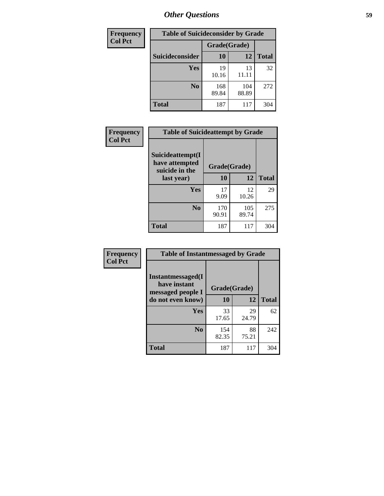| <b>Frequency</b> | <b>Table of Suicideconsider by Grade</b> |              |              |              |
|------------------|------------------------------------------|--------------|--------------|--------------|
| <b>Col Pct</b>   |                                          | Grade(Grade) |              |              |
|                  | Suicideconsider                          | <b>10</b>    | 12           | <b>Total</b> |
|                  | Yes                                      | 19<br>10.16  | 13<br>11.11  | 32           |
|                  | N <sub>0</sub>                           | 168<br>89.84 | 104<br>88.89 | 272          |
|                  | <b>Total</b>                             | 187          | 117          | 304          |

| Frequency<br><b>Col Pct</b> | <b>Table of Suicideattempt by Grade</b>              |              |              |              |
|-----------------------------|------------------------------------------------------|--------------|--------------|--------------|
|                             | Suicideattempt(I<br>have attempted<br>suicide in the | Grade(Grade) |              |              |
|                             | last year)                                           | 10           | 12           | <b>Total</b> |
|                             | Yes                                                  | 17<br>9.09   | 12<br>10.26  | 29           |
|                             | $\bf No$                                             | 170<br>90.91 | 105<br>89.74 | 275          |
|                             | <b>Total</b>                                         | 187          | 117          | 304          |

| Frequency      | <b>Table of Instantmessaged by Grade</b>                |              |             |              |
|----------------|---------------------------------------------------------|--------------|-------------|--------------|
| <b>Col Pct</b> | Instantmessaged(I)<br>have instant<br>messaged people I | Grade(Grade) |             |              |
|                | do not even know)                                       | 10           | 12          | <b>Total</b> |
|                | Yes                                                     | 33<br>17.65  | 29<br>24.79 | 62           |
|                | N <sub>0</sub>                                          | 154<br>82.35 | 88<br>75.21 | 242          |
|                | <b>Total</b>                                            | 187          | 117         | 304          |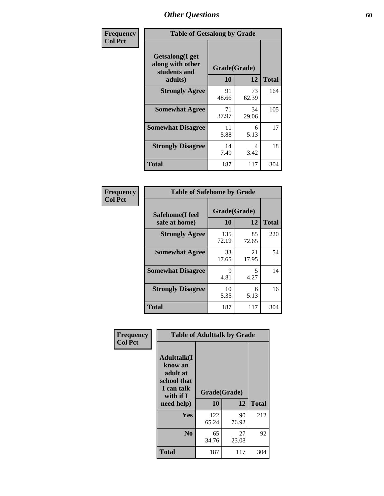| Frequency      | <b>Table of Getsalong by Grade</b>                          |             |              |              |
|----------------|-------------------------------------------------------------|-------------|--------------|--------------|
| <b>Col Pct</b> | <b>Getsalong</b> (I get<br>along with other<br>students and |             | Grade(Grade) |              |
|                | adults)                                                     | 10          | 12           | <b>Total</b> |
|                | <b>Strongly Agree</b>                                       | 91<br>48.66 | 73<br>62.39  | 164          |
|                | <b>Somewhat Agree</b>                                       | 71<br>37.97 | 34<br>29.06  | 105          |
|                | <b>Somewhat Disagree</b>                                    | 11<br>5.88  | 6<br>5.13    | 17           |
|                | <b>Strongly Disagree</b>                                    | 14<br>7.49  | 4<br>3.42    | 18           |
|                | <b>Total</b>                                                | 187         | 117          | 304          |

| Frequency      | <b>Table of Safehome by Grade</b> |                    |             |              |
|----------------|-----------------------------------|--------------------|-------------|--------------|
| <b>Col Pct</b> | Safehome(I feel<br>safe at home)  | Grade(Grade)<br>10 | 12          | <b>Total</b> |
|                | <b>Strongly Agree</b>             | 135<br>72.19       | 85<br>72.65 | 220          |
|                | <b>Somewhat Agree</b>             | 33<br>17.65        | 21<br>17.95 | 54           |
|                | <b>Somewhat Disagree</b>          | 9<br>4.81          | 5<br>4.27   | 14           |
|                | <b>Strongly Disagree</b>          | 10<br>5.35         | 6<br>5.13   | 16           |
|                | <b>Total</b>                      | 187                | 117         | 304          |

| Frequency      |                                                                                      | <b>Table of Adulttalk by Grade</b> |             |              |  |  |  |  |
|----------------|--------------------------------------------------------------------------------------|------------------------------------|-------------|--------------|--|--|--|--|
| <b>Col Pct</b> | <b>Adulttalk</b> (I<br>know an<br>adult at<br>school that<br>I can talk<br>with if I | Grade(Grade)<br>10                 | 12          | <b>Total</b> |  |  |  |  |
|                | need help)                                                                           |                                    |             |              |  |  |  |  |
|                | <b>Yes</b>                                                                           | 122<br>65.24                       | 90<br>76.92 | 212          |  |  |  |  |
|                | N <sub>0</sub>                                                                       | 65<br>34.76                        | 27<br>23.08 | 92           |  |  |  |  |
|                | <b>Total</b>                                                                         | 187                                | 117         | 304          |  |  |  |  |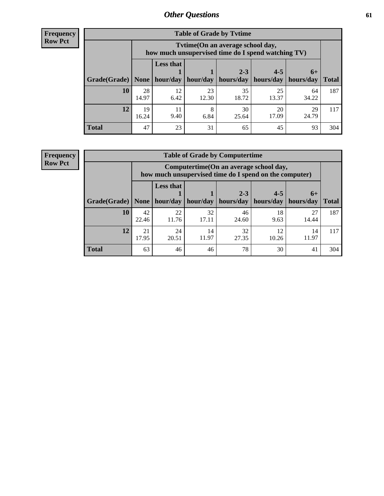**Frequency Row Pct**

| <b>Table of Grade by Tvtime</b> |             |                                                                                         |                     |             |                       |             |              |  |  |
|---------------------------------|-------------|-----------------------------------------------------------------------------------------|---------------------|-------------|-----------------------|-------------|--------------|--|--|
|                                 |             | Tytime (On an average school day,<br>how much unsupervised time do I spend watching TV) |                     |             |                       |             |              |  |  |
|                                 |             | <b>Less that</b><br>$2 - 3$<br>$4 - 5$<br>$6+$                                          |                     |             |                       |             |              |  |  |
| Grade(Grade)   None             |             |                                                                                         | hour/day   hour/day | hours/day   | hours/day   hours/day |             | <b>Total</b> |  |  |
| 10                              | 28<br>14.97 | 12<br>6.42                                                                              | 23<br>12.30         | 35<br>18.72 | 25<br>13.37           | 64<br>34.22 | 187          |  |  |
| 12                              | 19<br>16.24 | 11<br>9.40                                                                              | 8<br>6.84           | 30<br>25.64 | 20<br>17.09           | 29<br>24.79 | 117          |  |  |
| <b>Total</b>                    | 47          | 23                                                                                      | 31                  | 65          | 45                    | 93          | 304          |  |  |

**Frequency Row Pct**

| <b>Table of Grade by Computertime</b> |             |                                                                                                                               |             |             |            |             |     |  |  |
|---------------------------------------|-------------|-------------------------------------------------------------------------------------------------------------------------------|-------------|-------------|------------|-------------|-----|--|--|
|                                       |             | Computertime (On an average school day,<br>how much unsupervised time do I spend on the computer)                             |             |             |            |             |     |  |  |
| Grade(Grade)                          | None        | <b>Less that</b><br>$4 - 5$<br>$2 - 3$<br>$6+$<br>hours/day<br>hours/day<br>hour/day<br>hour/day<br>hours/day<br><b>Total</b> |             |             |            |             |     |  |  |
| 10                                    | 42<br>22.46 | 22<br>11.76                                                                                                                   | 32<br>17.11 | 46<br>24.60 | 18<br>9.63 | 27<br>14.44 | 187 |  |  |
| 12                                    | 21<br>17.95 | 32<br>24<br>12<br>14<br>14<br>11.97<br>11.97<br>20.51<br>27.35<br>10.26                                                       |             |             |            |             |     |  |  |
| <b>Total</b>                          | 63          | 46                                                                                                                            | 46          | 78          | 30         | 41          | 304 |  |  |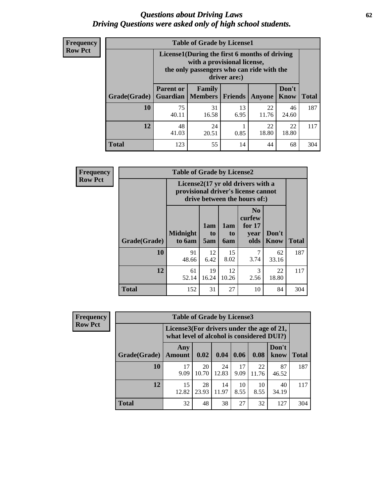#### *Questions about Driving Laws* **62** *Driving Questions were asked only of high school students.*

| <b>Frequency</b> |
|------------------|
| <b>Row Pct</b>   |

| <b>Table of Grade by License1</b> |                                                                  |                                                                                                                                           |            |               |               |              |  |  |  |
|-----------------------------------|------------------------------------------------------------------|-------------------------------------------------------------------------------------------------------------------------------------------|------------|---------------|---------------|--------------|--|--|--|
|                                   |                                                                  | License1(During the first 6 months of driving<br>with a provisional license,<br>the only passengers who can ride with the<br>driver are:) |            |               |               |              |  |  |  |
| Grade(Grade)                      | <b>Parent or</b>                                                 | Family<br><b>Guardian</b>   Members                                                                                                       | Friends    | <b>Anyone</b> | Don't<br>Know | <b>Total</b> |  |  |  |
| 10                                | 75<br>40.11                                                      | 31<br>16.58                                                                                                                               | 13<br>6.95 | 22<br>11.76   | 46<br>24.60   | 187          |  |  |  |
| 12                                | 48<br>22<br>22<br>24<br>18.80<br>18.80<br>41.03<br>0.85<br>20.51 |                                                                                                                                           |            |               |               |              |  |  |  |
| Total                             | 123                                                              | 55                                                                                                                                        | 14         | 44            | 68            | 304          |  |  |  |

| <b>Frequency</b> | <b>Table of Grade by License2</b> |                                                                                                          |                  |                              |                                                      |                      |              |  |
|------------------|-----------------------------------|----------------------------------------------------------------------------------------------------------|------------------|------------------------------|------------------------------------------------------|----------------------|--------------|--|
| <b>Row Pct</b>   |                                   | License2(17 yr old drivers with a<br>provisional driver's license cannot<br>drive between the hours of:) |                  |                              |                                                      |                      |              |  |
|                  | Grade(Grade)                      | <b>Midnight</b><br>to 6am                                                                                | 1am<br>to<br>5am | 1am<br>t <sub>0</sub><br>6am | N <sub>0</sub><br>curfew<br>for $17$<br>year<br>olds | Don't<br><b>Know</b> | <b>Total</b> |  |
|                  | 10                                | 91<br>48.66                                                                                              | 12<br>6.42       | 15<br>8.02                   | 7<br>3.74                                            | 62<br>33.16          | 187          |  |
|                  | 12                                | 61<br>52.14                                                                                              | 19<br>16.24      | 12<br>10.26                  | 3<br>2.56                                            | 22<br>18.80          | 117          |  |
|                  | <b>Total</b>                      | 152                                                                                                      | 31               | 27                           | 10                                                   | 84                   | 304          |  |

| <b>Frequency</b> |              | <b>Table of Grade by License3</b> |                                                                                        |             |            |             |               |              |
|------------------|--------------|-----------------------------------|----------------------------------------------------------------------------------------|-------------|------------|-------------|---------------|--------------|
| <b>Row Pct</b>   |              |                                   | License3(For drivers under the age of 21,<br>what level of alcohol is considered DUI?) |             |            |             |               |              |
|                  | Grade(Grade) | Any<br><b>Amount</b>              | 0.02                                                                                   | 0.04        | 0.06       | 0.08        | Don't<br>know | <b>Total</b> |
|                  | 10           | 17<br>9.09                        | 20<br>10.70                                                                            | 24<br>12.83 | 17<br>9.09 | 22<br>11.76 | 87<br>46.52   | 187          |
|                  | 12           | 15<br>12.82                       | 28<br>23.93                                                                            | 14<br>11.97 | 10<br>8.55 | 10<br>8.55  | 40<br>34.19   | 117          |
|                  | <b>Total</b> | 32                                | 48                                                                                     | 38          | 27         | 32          | 127           | 304          |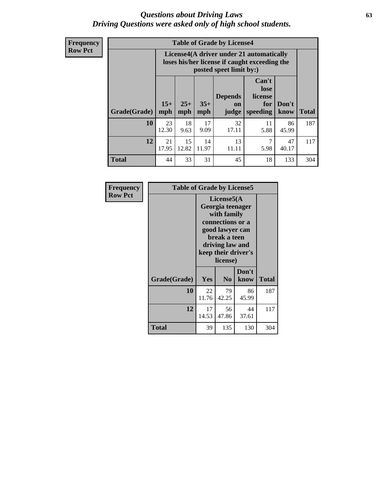#### *Questions about Driving Laws* **63** *Driving Questions were asked only of high school students.*

**Frequency Row Pct**

| <b>Table of Grade by License4</b> |              |                                                                                                                                                      |             |             |            |             |     |  |
|-----------------------------------|--------------|------------------------------------------------------------------------------------------------------------------------------------------------------|-------------|-------------|------------|-------------|-----|--|
|                                   |              | License4(A driver under 21 automatically<br>loses his/her license if caught exceeding the<br>posted speet limit by:)                                 |             |             |            |             |     |  |
| Grade(Grade)                      | $15+$<br>mph | Can't<br>lose<br><b>Depends</b><br>license<br>$25+$<br>$35+$<br>Don't<br>for<br><b>on</b><br>speeding<br><b>Total</b><br>mph<br>know<br>mph<br>judge |             |             |            |             |     |  |
| 10                                | 23<br>12.30  | 18<br>9.63                                                                                                                                           | 17<br>9.09  | 32<br>17.11 | 11<br>5.88 | 86<br>45.99 | 187 |  |
| 12                                | 21<br>17.95  | 15<br>12.82                                                                                                                                          | 14<br>11.97 | 13<br>11.11 | 7<br>5.98  | 47<br>40.17 | 117 |  |
| <b>Total</b>                      | 44           | 33                                                                                                                                                   | 31          | 45          | 18         | 133         | 304 |  |

| Frequency      | <b>Table of Grade by License5</b> |             |                                                                                                                                      |                     |       |  |
|----------------|-----------------------------------|-------------|--------------------------------------------------------------------------------------------------------------------------------------|---------------------|-------|--|
| <b>Row Pct</b> |                                   |             | License5(A)<br>Georgia teenager<br>with family<br>connections or a<br>good lawyer can<br>break a teen<br>driving law and<br>license) | keep their driver's |       |  |
|                | Grade(Grade)                      | <b>Yes</b>  | N <sub>0</sub>                                                                                                                       | Don't<br>know       | Total |  |
|                | 10                                | 22<br>11.76 | 79<br>42.25                                                                                                                          | 86<br>45.99         | 187   |  |
|                | 12                                | 17<br>14.53 | 56<br>47.86                                                                                                                          | 44<br>37.61         | 117   |  |
|                | <b>Total</b>                      | 39          | 135                                                                                                                                  | 130                 | 304   |  |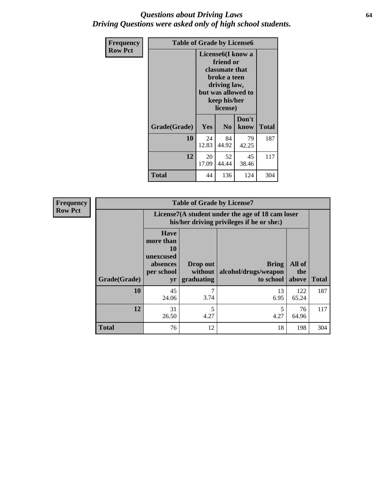#### *Questions about Driving Laws* **64** *Driving Questions were asked only of high school students.*

| <b>Frequency</b> | <b>Table of Grade by License6</b> |             |                                                                                                                           |                    |              |  |  |
|------------------|-----------------------------------|-------------|---------------------------------------------------------------------------------------------------------------------------|--------------------|--------------|--|--|
| <b>Row Pct</b>   |                                   |             | License <sub>6</sub> (I know a<br>friend or<br>classmate that<br>broke a teen<br>driving law,<br>keep his/her<br>license) | but was allowed to |              |  |  |
|                  | Grade(Grade)                      | Yes         | N <sub>0</sub>                                                                                                            | Don't<br>know      | <b>Total</b> |  |  |
|                  | 10                                | 24<br>12.83 | 84<br>44.92                                                                                                               | 79<br>42.25        | 187          |  |  |
|                  | 12                                | 20<br>17.09 | 52<br>44.44                                                                                                               | 45<br>38.46        | 117          |  |  |
|                  | <b>Total</b>                      | 44          | 136                                                                                                                       | 124                | 304          |  |  |

| <b>Frequency</b> | <b>Table of Grade by License7</b> |                                                                                                                                                                                                     |                                                                                               |            |              |     |  |  |  |
|------------------|-----------------------------------|-----------------------------------------------------------------------------------------------------------------------------------------------------------------------------------------------------|-----------------------------------------------------------------------------------------------|------------|--------------|-----|--|--|--|
| <b>Row Pct</b>   |                                   |                                                                                                                                                                                                     | License7(A student under the age of 18 cam loser<br>his/her driving privileges if he or she:) |            |              |     |  |  |  |
|                  | Grade(Grade)                      | <b>Have</b><br>more than<br>10<br>unexcused<br>All of<br><b>Bring</b><br>Drop out<br>absences<br>alcohol/drugs/weapon<br>per school<br>without  <br>the<br>graduating<br>to school<br>above  <br>yr |                                                                                               |            |              |     |  |  |  |
|                  | 10                                | 45<br>24.06                                                                                                                                                                                         | 7<br>3.74                                                                                     | 13<br>6.95 | 122<br>65.24 | 187 |  |  |  |
|                  | 12                                | 31<br>26.50                                                                                                                                                                                         | 5<br>4.27                                                                                     | 4.27       | 76<br>64.96  | 117 |  |  |  |
|                  | <b>Total</b>                      | 76                                                                                                                                                                                                  | 12                                                                                            | 18         | 198          | 304 |  |  |  |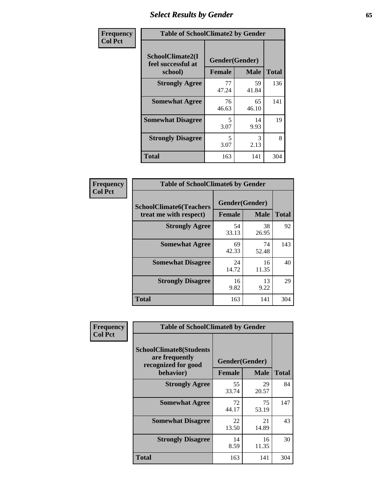# *Select Results by Gender* **65**

| Frequency      | <b>Table of SchoolClimate2 by Gender</b>          |                                 |             |              |  |
|----------------|---------------------------------------------------|---------------------------------|-------------|--------------|--|
| <b>Col Pct</b> | SchoolClimate2(I<br>feel successful at<br>school) | Gender(Gender)<br><b>Female</b> | <b>Male</b> | <b>Total</b> |  |
|                | <b>Strongly Agree</b>                             | 77<br>47.24                     | 59<br>41.84 | 136          |  |
|                | <b>Somewhat Agree</b>                             | 76<br>46.63                     | 65<br>46.10 | 141          |  |
|                | <b>Somewhat Disagree</b>                          | 5<br>3.07                       | 14<br>9.93  | 19           |  |
|                | <b>Strongly Disagree</b>                          | 5<br>3.07                       | 3<br>2.13   | 8            |  |
|                | <b>Total</b>                                      | 163                             | 141         | 304          |  |

| <b>Frequency</b> | <b>Table of SchoolClimate6 by Gender</b> |               |                |              |  |  |
|------------------|------------------------------------------|---------------|----------------|--------------|--|--|
| <b>Col Pct</b>   | <b>SchoolClimate6(Teachers</b>           |               | Gender(Gender) |              |  |  |
|                  | treat me with respect)                   | <b>Female</b> | <b>Male</b>    | <b>Total</b> |  |  |
|                  | <b>Strongly Agree</b>                    | 54<br>33.13   | 38<br>26.95    | 92           |  |  |
|                  | <b>Somewhat Agree</b>                    | 69<br>42.33   | 74<br>52.48    | 143          |  |  |
|                  | <b>Somewhat Disagree</b>                 | 24<br>14.72   | 16<br>11.35    | 40           |  |  |
|                  | <b>Strongly Disagree</b>                 | 16<br>9.82    | 13<br>9.22     | 29           |  |  |
|                  | <b>Total</b>                             | 163           | 141            | 304          |  |  |

| Frequency      | <b>Table of SchoolClimate8 by Gender</b>                                             |                                 |             |              |
|----------------|--------------------------------------------------------------------------------------|---------------------------------|-------------|--------------|
| <b>Col Pct</b> | <b>SchoolClimate8(Students</b><br>are frequently<br>recognized for good<br>behavior) | Gender(Gender)<br><b>Female</b> | <b>Male</b> | <b>Total</b> |
|                | <b>Strongly Agree</b>                                                                | 55<br>33.74                     | 29<br>20.57 | 84           |
|                | <b>Somewhat Agree</b>                                                                | 72<br>44.17                     | 75<br>53.19 | 147          |
|                | <b>Somewhat Disagree</b>                                                             | 22<br>13.50                     | 21<br>14.89 | 43           |
|                | <b>Strongly Disagree</b>                                                             | 14<br>8.59                      | 16<br>11.35 | 30           |
|                | Total                                                                                | 163                             | 141         | 304          |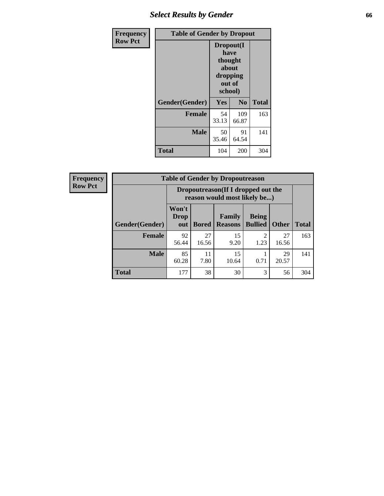## *Select Results by Gender* **66**

| Frequency      | <b>Table of Gender by Dropout</b> |                                                                        |                |              |
|----------------|-----------------------------------|------------------------------------------------------------------------|----------------|--------------|
| <b>Row Pct</b> |                                   | Dropout(I<br>have<br>thought<br>about<br>dropping<br>out of<br>school) |                |              |
|                | Gender(Gender)                    | Yes                                                                    | N <sub>0</sub> | <b>Total</b> |
|                | <b>Female</b>                     | 54<br>33.13                                                            | 109<br>66.87   | 163          |
|                | <b>Male</b>                       | 50<br>35.46                                                            | 91<br>64.54    | 141          |
|                | <b>Total</b>                      | 104                                                                    | 200            | 304          |

| <b>Frequency</b> | <b>Table of Gender by Dropoutreason</b> |                                                                    |              |                          |                                |              |              |
|------------------|-----------------------------------------|--------------------------------------------------------------------|--------------|--------------------------|--------------------------------|--------------|--------------|
| <b>Row Pct</b>   |                                         | Dropoutreason(If I dropped out the<br>reason would most likely be) |              |                          |                                |              |              |
|                  | Gender(Gender)                          | Won't<br><b>Drop</b><br>out                                        | <b>Bored</b> | Family<br><b>Reasons</b> | <b>Being</b><br><b>Bullied</b> | <b>Other</b> | <b>Total</b> |
|                  | Female                                  | 92<br>56.44                                                        | 27<br>16.56  | 15<br>9.20               | $\mathfrak{D}$<br>1.23         | 27<br>16.56  | 163          |
|                  | <b>Male</b>                             | 85<br>60.28                                                        | 11<br>7.80   | 15<br>10.64              | 0.71                           | 29<br>20.57  | 141          |
|                  | <b>Total</b>                            | 177                                                                | 38           | 30                       | 3                              | 56           | 304          |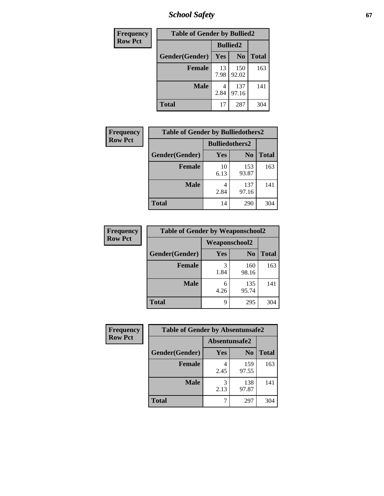*School Safety* **67**

| Frequency      | <b>Table of Gender by Bullied2</b> |                 |                |              |
|----------------|------------------------------------|-----------------|----------------|--------------|
| <b>Row Pct</b> |                                    | <b>Bullied2</b> |                |              |
|                | Gender(Gender)                     | Yes             | N <sub>0</sub> | <b>Total</b> |
|                | <b>Female</b>                      | 13<br>7.98      | 150<br>92.02   | 163          |
|                | <b>Male</b>                        | 2.84            | 137<br>97.16   | 141          |
|                | <b>Total</b>                       | 17              | 287            | 304          |

| Frequency      | <b>Table of Gender by Bulliedothers2</b> |                       |                |              |
|----------------|------------------------------------------|-----------------------|----------------|--------------|
| <b>Row Pct</b> |                                          | <b>Bulliedothers2</b> |                |              |
|                | Gender(Gender)                           | Yes                   | N <sub>0</sub> | <b>Total</b> |
|                | <b>Female</b>                            | 10<br>6.13            | 153<br>93.87   | 163          |
|                | <b>Male</b>                              | 2.84                  | 137<br>97.16   | 141          |
|                | <b>Total</b>                             | 14                    | 290            | 304          |

| <b>Frequency</b> | <b>Table of Gender by Weaponschool2</b> |                      |                |              |
|------------------|-----------------------------------------|----------------------|----------------|--------------|
| <b>Row Pct</b>   |                                         | <b>Weaponschool2</b> |                |              |
|                  | Gender(Gender)                          | Yes                  | N <sub>0</sub> | <b>Total</b> |
|                  | <b>Female</b>                           | 1.84                 | 160<br>98.16   | 163          |
|                  | <b>Male</b>                             | 6<br>4.26            | 135<br>95.74   | 141          |
|                  | <b>Total</b>                            | Q                    | 295            | 304          |

| Frequency      | <b>Table of Gender by Absentunsafe2</b> |               |                |              |
|----------------|-----------------------------------------|---------------|----------------|--------------|
| <b>Row Pct</b> |                                         | Absentunsafe2 |                |              |
|                | Gender(Gender)                          | Yes           | N <sub>0</sub> | <b>Total</b> |
|                | <b>Female</b>                           | 2.45          | 159<br>97.55   | 163          |
|                | <b>Male</b>                             | 2.13          | 138<br>97.87   | 141          |
|                | <b>Total</b>                            |               | 297            | 304          |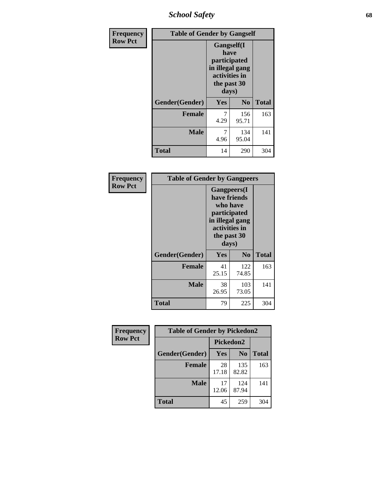*School Safety* **68**

| Frequency      | <b>Table of Gender by Gangself</b> |                                                                                                        |                |              |
|----------------|------------------------------------|--------------------------------------------------------------------------------------------------------|----------------|--------------|
| <b>Row Pct</b> |                                    | <b>Gangself</b> (I<br>have<br>participated<br>in illegal gang<br>activities in<br>the past 30<br>days) |                |              |
|                | Gender(Gender)                     | Yes                                                                                                    | N <sub>0</sub> | <b>Total</b> |
|                | <b>Female</b>                      | 7<br>4.29                                                                                              | 156<br>95.71   | 163          |
|                | <b>Male</b>                        | 7<br>4.96                                                                                              | 134<br>95.04   | 141          |
|                | <b>Total</b>                       | 14                                                                                                     | 290            | 304          |

| Frequency      | <b>Table of Gender by Gangpeers</b> |                                                                                                                             |                |              |
|----------------|-------------------------------------|-----------------------------------------------------------------------------------------------------------------------------|----------------|--------------|
| <b>Row Pct</b> |                                     | <b>Gangpeers</b> (I<br>have friends<br>who have<br>participated<br>in illegal gang<br>activities in<br>the past 30<br>days) |                |              |
|                | Gender(Gender)                      | Yes                                                                                                                         | N <sub>0</sub> | <b>Total</b> |
|                | <b>Female</b>                       | 41<br>25.15                                                                                                                 | 122<br>74.85   | 163          |
|                | <b>Male</b>                         | 38<br>26.95                                                                                                                 | 103<br>73.05   | 141          |
|                | Total                               | 79                                                                                                                          | 225            | 304          |

| Frequency      | <b>Table of Gender by Pickedon2</b> |             |                |              |
|----------------|-------------------------------------|-------------|----------------|--------------|
| <b>Row Pct</b> |                                     | Pickedon2   |                |              |
|                | Gender(Gender)                      | Yes         | N <sub>0</sub> | <b>Total</b> |
|                | <b>Female</b>                       | 28<br>17.18 | 135<br>82.82   | 163          |
|                | <b>Male</b>                         | 17<br>12.06 | 124<br>87.94   | 141          |
|                | <b>Total</b>                        | 45          | 259            | 304          |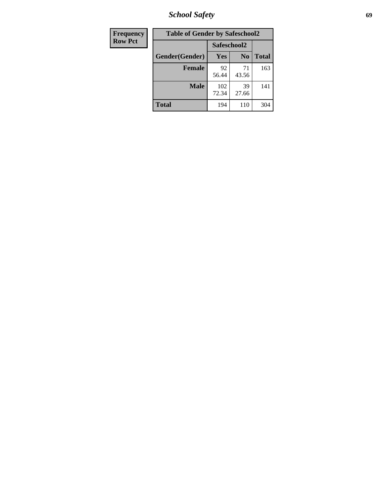*School Safety* **69**

| Frequency      | <b>Table of Gender by Safeschool2</b> |              |                |              |  |
|----------------|---------------------------------------|--------------|----------------|--------------|--|
| <b>Row Pct</b> |                                       | Safeschool2  |                |              |  |
|                | Gender(Gender)                        | Yes          | N <sub>0</sub> | <b>Total</b> |  |
|                | <b>Female</b>                         | 92<br>56.44  | 71<br>43.56    | 163          |  |
|                | <b>Male</b>                           | 102<br>72.34 | 39<br>27.66    | 141          |  |
|                | <b>Total</b>                          | 194          | 110            | 304          |  |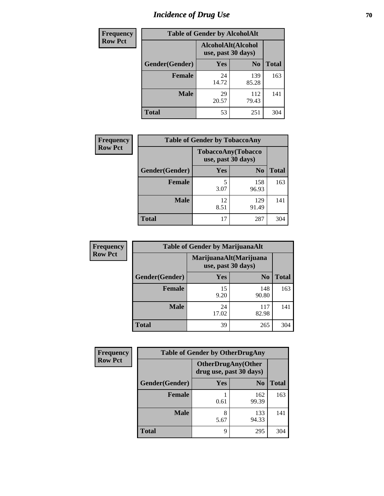# *Incidence of Drug Use* **70**

| <b>Frequency</b> | <b>Table of Gender by AlcoholAlt</b> |                                          |                |              |  |
|------------------|--------------------------------------|------------------------------------------|----------------|--------------|--|
| <b>Row Pct</b>   |                                      | AlcoholAlt(Alcohol<br>use, past 30 days) |                |              |  |
|                  | Gender(Gender)                       | <b>Yes</b>                               | N <sub>0</sub> | <b>Total</b> |  |
|                  | <b>Female</b>                        | 24<br>14.72                              | 139<br>85.28   | 163          |  |
|                  | <b>Male</b>                          | 29<br>20.57                              | 112<br>79.43   | 141          |  |
|                  | <b>Total</b>                         | 53                                       | 251            | 304          |  |

| <b>Frequency</b> | <b>Table of Gender by TobaccoAny</b> |                    |                    |              |  |
|------------------|--------------------------------------|--------------------|--------------------|--------------|--|
| <b>Row Pct</b>   |                                      | use, past 30 days) | TobaccoAny(Tobacco |              |  |
|                  | Gender(Gender)                       | Yes                | N <sub>0</sub>     | <b>Total</b> |  |
|                  | <b>Female</b>                        | 3.07               | 158<br>96.93       | 163          |  |
|                  | <b>Male</b>                          | 12<br>8.51         | 129<br>91.49       | 141          |  |
|                  | <b>Total</b>                         | 17                 | 287                | 304          |  |

| <b>Frequency</b> | <b>Table of Gender by MarijuanaAlt</b> |             |                                              |              |
|------------------|----------------------------------------|-------------|----------------------------------------------|--------------|
| <b>Row Pct</b>   |                                        |             | MarijuanaAlt(Marijuana<br>use, past 30 days) |              |
|                  | Gender(Gender)                         | <b>Yes</b>  | N <sub>0</sub>                               | <b>Total</b> |
|                  | Female                                 | 15<br>9.20  | 148<br>90.80                                 | 163          |
|                  | <b>Male</b>                            | 24<br>17.02 | 117<br>82.98                                 | 141          |
|                  | <b>Total</b>                           | 39          | 265                                          | 304          |

| <b>Frequency</b> | <b>Table of Gender by OtherDrugAny</b> |                         |                           |              |
|------------------|----------------------------------------|-------------------------|---------------------------|--------------|
| <b>Row Pct</b>   |                                        | drug use, past 30 days) | <b>OtherDrugAny(Other</b> |              |
|                  | Gender(Gender)                         | <b>Yes</b>              | N <sub>0</sub>            | <b>Total</b> |
|                  | <b>Female</b>                          | 0.61                    | 162<br>99.39              | 163          |
|                  | <b>Male</b>                            | 8<br>5.67               | 133<br>94.33              | 141          |
|                  | <b>Total</b>                           | 9                       | 295                       | 304          |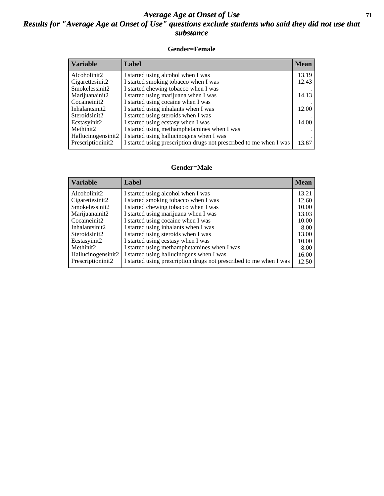#### *Average Age at Onset of Use* **71** *Results for "Average Age at Onset of Use" questions exclude students who said they did not use that substance*

#### **Gender=Female**

| <b>Variable</b>    | <b>Label</b>                                                       | <b>Mean</b> |
|--------------------|--------------------------------------------------------------------|-------------|
| Alcoholinit2       | I started using alcohol when I was                                 | 13.19       |
| Cigarettesinit2    | I started smoking tobacco when I was                               | 12.43       |
| Smokelessinit2     | I started chewing tobacco when I was                               |             |
| Marijuanainit2     | I started using marijuana when I was                               | 14.13       |
| Cocaineinit2       | I started using cocaine when I was                                 |             |
| Inhalantsinit2     | I started using inhalants when I was                               | 12.00       |
| Steroidsinit2      | I started using steroids when I was                                |             |
| Ecstasyinit2       | I started using ecstasy when I was                                 | 14.00       |
| Methinit2          | I started using methamphetamines when I was                        |             |
| Hallucinogensinit2 | I started using hallucinogens when I was                           |             |
| Prescription in t2 | I started using prescription drugs not prescribed to me when I was | 13.67       |

#### **Gender=Male**

| <b>Variable</b>    | Label                                                              | <b>Mean</b> |
|--------------------|--------------------------------------------------------------------|-------------|
| Alcoholinit2       | I started using alcohol when I was                                 | 13.21       |
| Cigarettesinit2    | I started smoking tobacco when I was                               | 12.60       |
| Smokelessinit2     | I started chewing tobacco when I was                               | 10.00       |
| Marijuanainit2     | I started using marijuana when I was                               | 13.03       |
| Cocaineinit2       | I started using cocaine when I was                                 | 10.00       |
| Inhalantsinit2     | I started using inhalants when I was                               | 8.00        |
| Steroidsinit2      | I started using steroids when I was                                | 13.00       |
| Ecstasyinit2       | I started using ecstasy when I was                                 | 10.00       |
| Methinit2          | I started using methamphetamines when I was                        | 8.00        |
| Hallucinogensinit2 | I started using hallucinogens when I was                           | 16.00       |
| Prescription in t2 | I started using prescription drugs not prescribed to me when I was | 12.50       |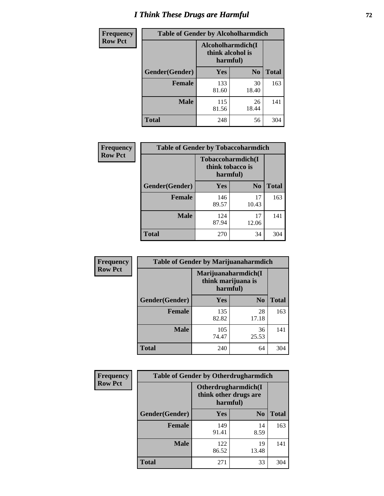## *I Think These Drugs are Harmful* **72**

| <b>Frequency</b> | <b>Table of Gender by Alcoholharmdich</b> |                                                   |                |              |
|------------------|-------------------------------------------|---------------------------------------------------|----------------|--------------|
| <b>Row Pct</b>   |                                           | Alcoholharmdich(I<br>think alcohol is<br>harmful) |                |              |
|                  | Gender(Gender)                            | Yes                                               | N <sub>0</sub> | <b>Total</b> |
|                  | <b>Female</b>                             | 133<br>81.60                                      | 30<br>18.40    | 163          |
|                  | <b>Male</b>                               | 115<br>81.56                                      | 26<br>18.44    | 141          |
|                  | <b>Total</b>                              | 248                                               | 56             | 304          |

| Frequency      | <b>Table of Gender by Tobaccoharmdich</b> |                                                   |                |              |
|----------------|-------------------------------------------|---------------------------------------------------|----------------|--------------|
| <b>Row Pct</b> |                                           | Tobaccoharmdich(I<br>think tobacco is<br>harmful) |                |              |
|                | Gender(Gender)                            | Yes                                               | N <sub>0</sub> | <b>Total</b> |
|                | <b>Female</b>                             | 146<br>89.57                                      | 17<br>10.43    | 163          |
|                | <b>Male</b>                               | 124<br>87.94                                      | 17<br>12.06    | 141          |
|                | <b>Total</b>                              | 270                                               | 34             | 304          |

| Frequency      | <b>Table of Gender by Marijuanaharmdich</b> |                                                       |                |              |  |
|----------------|---------------------------------------------|-------------------------------------------------------|----------------|--------------|--|
| <b>Row Pct</b> |                                             | Marijuanaharmdich(I<br>think marijuana is<br>harmful) |                |              |  |
|                | Gender(Gender)                              | <b>Yes</b>                                            | N <sub>0</sub> | <b>Total</b> |  |
|                | <b>Female</b>                               | 135<br>82.82                                          | 28<br>17.18    | 163          |  |
|                | <b>Male</b>                                 | 105<br>74.47                                          | 36<br>25.53    | 141          |  |
|                | <b>Total</b>                                | 240                                                   | 64             | 304          |  |

| Frequency      | <b>Table of Gender by Otherdrugharmdich</b> |                                                          |                |              |  |
|----------------|---------------------------------------------|----------------------------------------------------------|----------------|--------------|--|
| <b>Row Pct</b> |                                             | Otherdrugharmdich(I<br>think other drugs are<br>harmful) |                |              |  |
|                | Gender(Gender)                              | <b>Yes</b>                                               | N <sub>0</sub> | <b>Total</b> |  |
|                | <b>Female</b>                               | 149<br>91.41                                             | 14<br>8.59     | 163          |  |
|                | <b>Male</b>                                 | 122<br>86.52                                             | 19<br>13.48    | 141          |  |
|                | <b>Total</b>                                | 271                                                      | 33             | 304          |  |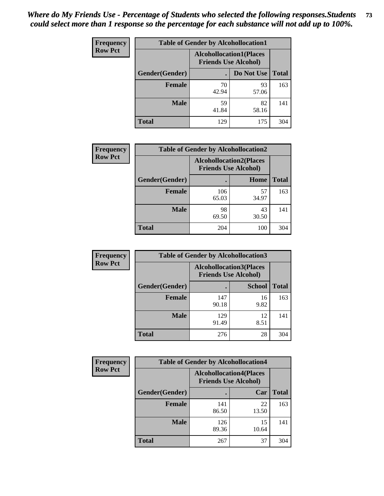| <b>Frequency</b> | <b>Table of Gender by Alcohollocation1</b> |                                                               |             |              |
|------------------|--------------------------------------------|---------------------------------------------------------------|-------------|--------------|
| <b>Row Pct</b>   |                                            | <b>Alcohollocation1(Places</b><br><b>Friends Use Alcohol)</b> |             |              |
|                  | Gender(Gender)                             |                                                               | Do Not Use  | <b>Total</b> |
|                  | <b>Female</b>                              | 70<br>42.94                                                   | 93<br>57.06 | 163          |
|                  | <b>Male</b>                                | 59<br>41.84                                                   | 82<br>58.16 | 141          |
|                  | <b>Total</b>                               | 129                                                           | 175         | 304          |

| <b>Frequency</b> | <b>Table of Gender by Alcohollocation2</b> |                                                               |             |              |
|------------------|--------------------------------------------|---------------------------------------------------------------|-------------|--------------|
| <b>Row Pct</b>   |                                            | <b>Alcohollocation2(Places</b><br><b>Friends Use Alcohol)</b> |             |              |
|                  | Gender(Gender)                             |                                                               | Home        | <b>Total</b> |
|                  | <b>Female</b>                              | 106<br>65.03                                                  | 57<br>34.97 | 163          |
|                  | <b>Male</b>                                | 98<br>69.50                                                   | 43<br>30.50 | 141          |
|                  | <b>Total</b>                               | 204                                                           | 100         | 304          |

| Frequency      | <b>Table of Gender by Alcohollocation3</b> |                                                                |               |              |
|----------------|--------------------------------------------|----------------------------------------------------------------|---------------|--------------|
| <b>Row Pct</b> |                                            | <b>Alcohollocation3</b> (Places<br><b>Friends Use Alcohol)</b> |               |              |
|                | Gender(Gender)                             |                                                                | <b>School</b> | <b>Total</b> |
|                | <b>Female</b>                              | 147<br>90.18                                                   | 16<br>9.82    | 163          |
|                | <b>Male</b>                                | 129<br>91.49                                                   | 12<br>8.51    | 141          |
|                | <b>Total</b>                               | 276                                                            | 28            | 304          |

| <b>Frequency</b> | <b>Table of Gender by Alcohollocation4</b> |                                                               |             |              |
|------------------|--------------------------------------------|---------------------------------------------------------------|-------------|--------------|
| <b>Row Pct</b>   |                                            | <b>Alcohollocation4(Places</b><br><b>Friends Use Alcohol)</b> |             |              |
|                  | Gender(Gender)                             |                                                               | Car         | <b>Total</b> |
|                  | <b>Female</b>                              | 141<br>86.50                                                  | 22<br>13.50 | 163          |
|                  | <b>Male</b>                                | 126<br>89.36                                                  | 15<br>10.64 | 141          |
|                  | <b>Total</b>                               | 267                                                           | 37          | 304          |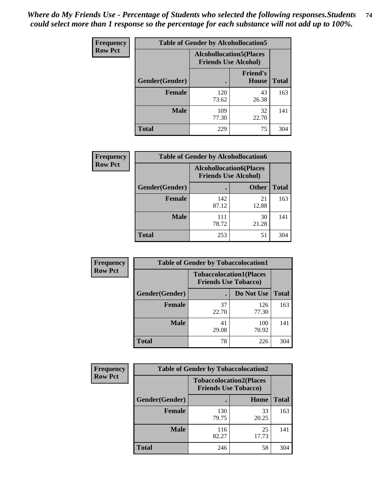| <b>Frequency</b> | <b>Table of Gender by Alcohollocation5</b> |                                                                |                                 |              |
|------------------|--------------------------------------------|----------------------------------------------------------------|---------------------------------|--------------|
| <b>Row Pct</b>   |                                            | <b>Alcohollocation5</b> (Places<br><b>Friends Use Alcohol)</b> |                                 |              |
|                  | Gender(Gender)                             |                                                                | <b>Friend's</b><br><b>House</b> | <b>Total</b> |
|                  | <b>Female</b>                              | 120<br>73.62                                                   | 43<br>26.38                     | 163          |
|                  | <b>Male</b>                                | 109<br>77.30                                                   | 32<br>22.70                     | 141          |
|                  | <b>Total</b>                               | 229                                                            | 75                              | 304          |

| Frequency      | <b>Table of Gender by Alcohollocation6</b> |                                                               |              |              |
|----------------|--------------------------------------------|---------------------------------------------------------------|--------------|--------------|
| <b>Row Pct</b> |                                            | <b>Alcohollocation6(Places</b><br><b>Friends Use Alcohol)</b> |              |              |
|                | Gender(Gender)                             |                                                               | <b>Other</b> | <b>Total</b> |
|                | <b>Female</b>                              | 142<br>87.12                                                  | 21<br>12.88  | 163          |
|                | <b>Male</b>                                | 111<br>78.72                                                  | 30<br>21.28  | 141          |
|                | <b>Total</b>                               | 253                                                           | 51           | 304          |

| Frequency      | <b>Table of Gender by Tobaccolocation1</b> |             |                                                               |              |  |
|----------------|--------------------------------------------|-------------|---------------------------------------------------------------|--------------|--|
| <b>Row Pct</b> |                                            |             | <b>Tobaccolocation1(Places</b><br><b>Friends Use Tobacco)</b> |              |  |
|                | Gender(Gender)                             |             | Do Not Use                                                    | <b>Total</b> |  |
|                | Female                                     | 37<br>22.70 | 126<br>77.30                                                  | 163          |  |
|                | <b>Male</b>                                | 41<br>29.08 | 100<br>70.92                                                  | 141          |  |
|                | <b>Total</b>                               | 78          | 226                                                           | 304          |  |

| <b>Frequency</b> | <b>Table of Gender by Tobaccolocation2</b> |                                                               |             |              |  |
|------------------|--------------------------------------------|---------------------------------------------------------------|-------------|--------------|--|
| <b>Row Pct</b>   |                                            | <b>Tobaccolocation2(Places</b><br><b>Friends Use Tobacco)</b> |             |              |  |
|                  | <b>Gender</b> (Gender)                     |                                                               | Home        | <b>Total</b> |  |
|                  | Female                                     | 130<br>79.75                                                  | 33<br>20.25 | 163          |  |
|                  | <b>Male</b>                                | 116<br>82.27                                                  | 25<br>17.73 | 141          |  |
|                  | <b>Total</b>                               | 246                                                           | 58          | 304          |  |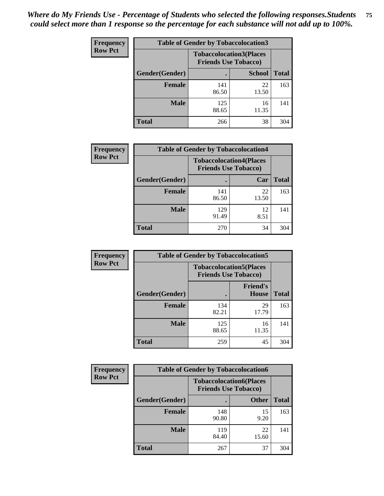| <b>Frequency</b> | <b>Table of Gender by Tobaccolocation3</b> |                                                               |               |              |  |
|------------------|--------------------------------------------|---------------------------------------------------------------|---------------|--------------|--|
| <b>Row Pct</b>   |                                            | <b>Tobaccolocation3(Places</b><br><b>Friends Use Tobacco)</b> |               |              |  |
|                  | Gender(Gender)                             |                                                               | <b>School</b> | <b>Total</b> |  |
|                  | <b>Female</b>                              | 141<br>86.50                                                  | 22<br>13.50   | 163          |  |
|                  | <b>Male</b>                                | 125<br>88.65                                                  | 16<br>11.35   | 141          |  |
|                  | <b>Total</b>                               | 266                                                           | 38            | 304          |  |

| <b>Frequency</b> | <b>Table of Gender by Tobaccolocation4</b> |              |                                                               |              |
|------------------|--------------------------------------------|--------------|---------------------------------------------------------------|--------------|
| <b>Row Pct</b>   |                                            |              | <b>Tobaccolocation4(Places</b><br><b>Friends Use Tobacco)</b> |              |
|                  | Gender(Gender)                             |              | Car                                                           | <b>Total</b> |
|                  | <b>Female</b>                              | 141<br>86.50 | 22<br>13.50                                                   | 163          |
|                  | <b>Male</b>                                | 129<br>91.49 | 12<br>8.51                                                    | 141          |
|                  | <b>Total</b>                               | 270          | 34                                                            | 304          |

| <b>Frequency</b> | <b>Table of Gender by Tobaccolocation5</b> |                                                               |                                 |              |
|------------------|--------------------------------------------|---------------------------------------------------------------|---------------------------------|--------------|
| <b>Row Pct</b>   |                                            | <b>Tobaccolocation5(Places</b><br><b>Friends Use Tobacco)</b> |                                 |              |
|                  | Gender(Gender)                             |                                                               | <b>Friend's</b><br><b>House</b> | <b>Total</b> |
|                  | <b>Female</b>                              | 134<br>82.21                                                  | 29<br>17.79                     | 163          |
|                  | <b>Male</b>                                | 125<br>88.65                                                  | 16<br>11.35                     | 141          |
|                  | <b>Total</b>                               | 259                                                           | 45                              | 304          |

| <b>Frequency</b> |                | <b>Table of Gender by Tobaccolocation6</b>                    |              |              |  |
|------------------|----------------|---------------------------------------------------------------|--------------|--------------|--|
| <b>Row Pct</b>   |                | <b>Tobaccolocation6(Places</b><br><b>Friends Use Tobacco)</b> |              |              |  |
|                  | Gender(Gender) |                                                               | <b>Other</b> | <b>Total</b> |  |
|                  | Female         | 148<br>90.80                                                  | 15<br>9.20   | 163          |  |
|                  | <b>Male</b>    | 119<br>84.40                                                  | 22<br>15.60  | 141          |  |
|                  | <b>Total</b>   | 267                                                           | 37           | 304          |  |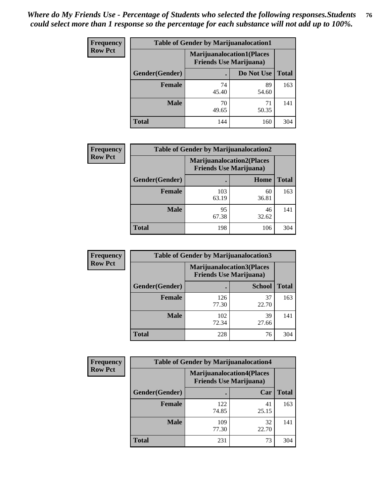| <b>Frequency</b> | <b>Table of Gender by Marijuanalocation1</b> |                                                                    |             |              |
|------------------|----------------------------------------------|--------------------------------------------------------------------|-------------|--------------|
| <b>Row Pct</b>   |                                              | <b>Marijuanalocation1(Places</b><br><b>Friends Use Marijuana</b> ) |             |              |
|                  | Gender(Gender)                               |                                                                    | Do Not Use  | <b>Total</b> |
|                  | <b>Female</b>                                | 74<br>45.40                                                        | 89<br>54.60 | 163          |
|                  | <b>Male</b>                                  | 70<br>49.65                                                        | 71<br>50.35 | 141          |
|                  | <b>Total</b>                                 | 144                                                                | 160         | 304          |

| <b>Frequency</b> | <b>Table of Gender by Marijuanalocation2</b> |                                                                    |             |              |
|------------------|----------------------------------------------|--------------------------------------------------------------------|-------------|--------------|
| <b>Row Pct</b>   |                                              | <b>Marijuanalocation2(Places</b><br><b>Friends Use Marijuana</b> ) |             |              |
|                  | Gender(Gender)                               |                                                                    | Home        | <b>Total</b> |
|                  | Female                                       | 103<br>63.19                                                       | 60<br>36.81 | 163          |
|                  | <b>Male</b>                                  | 95<br>67.38                                                        | 46<br>32.62 | 141          |
|                  | <b>Total</b>                                 | 198                                                                | 106         | 304          |

| <b>Frequency</b> | <b>Table of Gender by Marijuanalocation3</b> |                                |                                  |              |
|------------------|----------------------------------------------|--------------------------------|----------------------------------|--------------|
| <b>Row Pct</b>   |                                              | <b>Friends Use Marijuana</b> ) | <b>Marijuanalocation3(Places</b> |              |
|                  | Gender(Gender)                               |                                | <b>School</b>                    | <b>Total</b> |
|                  | Female                                       | 126<br>77.30                   | 37<br>22.70                      | 163          |
|                  | <b>Male</b>                                  | 102<br>72.34                   | 39<br>27.66                      | 141          |
|                  | <b>Total</b>                                 | 228                            | 76                               | 304          |

| <b>Frequency</b> | <b>Table of Gender by Marijuanalocation4</b> |                                |                                  |              |
|------------------|----------------------------------------------|--------------------------------|----------------------------------|--------------|
| <b>Row Pct</b>   |                                              | <b>Friends Use Marijuana</b> ) | <b>Marijuanalocation4(Places</b> |              |
|                  | Gender(Gender)                               |                                | Car                              | <b>Total</b> |
|                  | Female                                       | 122<br>74.85                   | 41<br>25.15                      | 163          |
|                  | <b>Male</b>                                  | 109<br>77.30                   | 32<br>22.70                      | 141          |
|                  | <b>Total</b>                                 | 231                            | 73                               | 304          |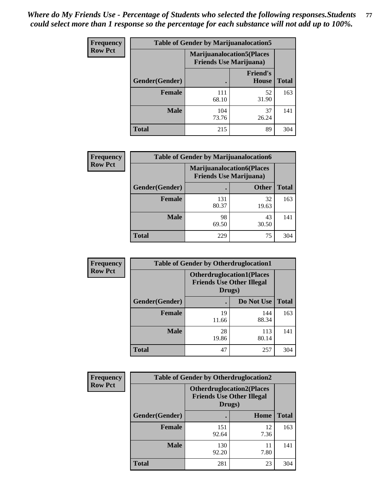| <b>Frequency</b> | <b>Table of Gender by Marijuanalocation5</b> |                                                                     |                                 |              |
|------------------|----------------------------------------------|---------------------------------------------------------------------|---------------------------------|--------------|
| <b>Row Pct</b>   |                                              | <b>Marijuanalocation5</b> (Places<br><b>Friends Use Marijuana</b> ) |                                 |              |
|                  | Gender(Gender)                               |                                                                     | <b>Friend's</b><br><b>House</b> | <b>Total</b> |
|                  | <b>Female</b>                                | 111<br>68.10                                                        | 52<br>31.90                     | 163          |
|                  | <b>Male</b>                                  | 104<br>73.76                                                        | 37<br>26.24                     | 141          |
|                  | <b>Total</b>                                 | 215                                                                 | 89                              | 304          |

| <b>Frequency</b> | <b>Table of Gender by Marijuanalocation6</b> |              |                                                                    |              |  |
|------------------|----------------------------------------------|--------------|--------------------------------------------------------------------|--------------|--|
| <b>Row Pct</b>   |                                              |              | <b>Marijuanalocation6(Places</b><br><b>Friends Use Marijuana</b> ) |              |  |
|                  | Gender(Gender)                               |              | <b>Other</b>                                                       | <b>Total</b> |  |
|                  | <b>Female</b>                                | 131<br>80.37 | 32<br>19.63                                                        | 163          |  |
|                  | <b>Male</b>                                  | 98<br>69.50  | 43<br>30.50                                                        | 141          |  |
|                  | <b>Total</b>                                 | 229          | 75                                                                 | 304          |  |

| <b>Frequency</b> | <b>Table of Gender by Otherdruglocation1</b> |                                                                                |              |              |
|------------------|----------------------------------------------|--------------------------------------------------------------------------------|--------------|--------------|
| <b>Row Pct</b>   |                                              | <b>Otherdruglocation1(Places</b><br><b>Friends Use Other Illegal</b><br>Drugs) |              |              |
|                  | Gender(Gender)                               |                                                                                | Do Not Use   | <b>Total</b> |
|                  | Female                                       | 19<br>11.66                                                                    | 144<br>88.34 | 163          |
|                  | <b>Male</b>                                  | 28<br>19.86                                                                    | 113<br>80.14 | 141          |
|                  | <b>Total</b>                                 | 47                                                                             | 257          | 304          |

| <b>Frequency</b> | <b>Table of Gender by Otherdruglocation2</b> |                                            |                                  |              |
|------------------|----------------------------------------------|--------------------------------------------|----------------------------------|--------------|
| <b>Row Pct</b>   |                                              | <b>Friends Use Other Illegal</b><br>Drugs) | <b>Otherdruglocation2(Places</b> |              |
|                  | Gender(Gender)                               |                                            | Home                             | <b>Total</b> |
|                  | <b>Female</b>                                | 151<br>92.64                               | 12<br>7.36                       | 163          |
|                  | <b>Male</b>                                  | 130<br>92.20                               | 11<br>7.80                       | 141          |
|                  | <b>Total</b>                                 | 281                                        | 23                               | 304          |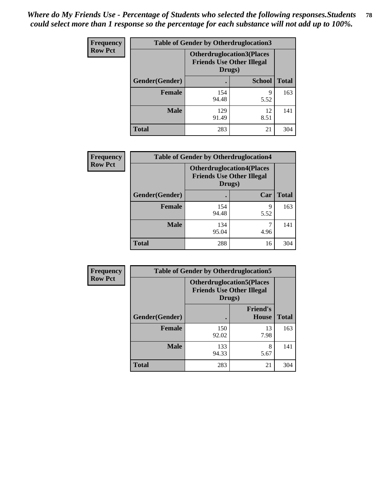| <b>Frequency</b> | <b>Table of Gender by Otherdruglocation3</b> |                                                                                |               |              |
|------------------|----------------------------------------------|--------------------------------------------------------------------------------|---------------|--------------|
| <b>Row Pct</b>   |                                              | <b>Otherdruglocation3(Places</b><br><b>Friends Use Other Illegal</b><br>Drugs) |               |              |
|                  | Gender(Gender)                               |                                                                                | <b>School</b> | <b>Total</b> |
|                  | <b>Female</b>                                | 154<br>94.48                                                                   | Q<br>5.52     | 163          |
|                  | <b>Male</b>                                  | 129<br>91.49                                                                   | 12<br>8.51    | 141          |
|                  | <b>Total</b>                                 | 283                                                                            | 21            | 304          |

| Frequency      | <b>Table of Gender by Otherdruglocation4</b> |                                                                                |           |              |
|----------------|----------------------------------------------|--------------------------------------------------------------------------------|-----------|--------------|
| <b>Row Pct</b> |                                              | <b>Otherdruglocation4(Places</b><br><b>Friends Use Other Illegal</b><br>Drugs) |           |              |
|                | Gender(Gender)                               |                                                                                | Car       | <b>Total</b> |
|                | Female                                       | 154<br>94.48                                                                   | 9<br>5.52 | 163          |
|                | <b>Male</b>                                  | 134<br>95.04                                                                   | 4.96      | 141          |
|                | <b>Total</b>                                 | 288                                                                            | 16        | 304          |

| Frequency      | <b>Table of Gender by Otherdruglocation5</b> |                                                                                |                                 |              |
|----------------|----------------------------------------------|--------------------------------------------------------------------------------|---------------------------------|--------------|
| <b>Row Pct</b> |                                              | <b>Otherdruglocation5(Places</b><br><b>Friends Use Other Illegal</b><br>Drugs) |                                 |              |
|                | Gender(Gender)                               |                                                                                | <b>Friend's</b><br><b>House</b> | <b>Total</b> |
|                | <b>Female</b>                                | 150<br>92.02                                                                   | 13<br>7.98                      | 163          |
|                | <b>Male</b>                                  | 133<br>94.33                                                                   | 8<br>5.67                       | 141          |
|                | <b>Total</b>                                 | 283                                                                            | 21                              | 304          |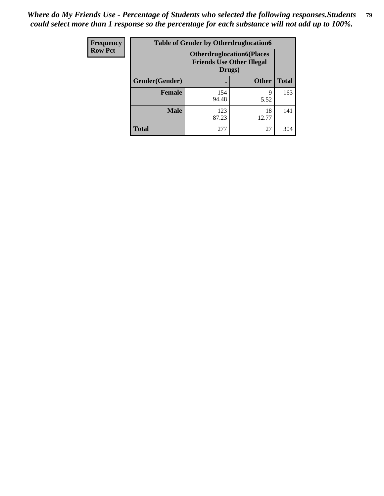| Frequency      | <b>Table of Gender by Otherdruglocation6</b> |                                                                                |              |              |
|----------------|----------------------------------------------|--------------------------------------------------------------------------------|--------------|--------------|
| <b>Row Pct</b> |                                              | <b>Otherdruglocation6(Places</b><br><b>Friends Use Other Illegal</b><br>Drugs) |              |              |
|                | Gender(Gender)                               |                                                                                | <b>Other</b> | <b>Total</b> |
|                | <b>Female</b>                                | 154<br>94.48                                                                   | 9<br>5.52    | 163          |
|                | <b>Male</b>                                  | 123<br>87.23                                                                   | 18<br>12.77  | 141          |
|                | <b>Total</b>                                 | 277                                                                            | 27           | 304          |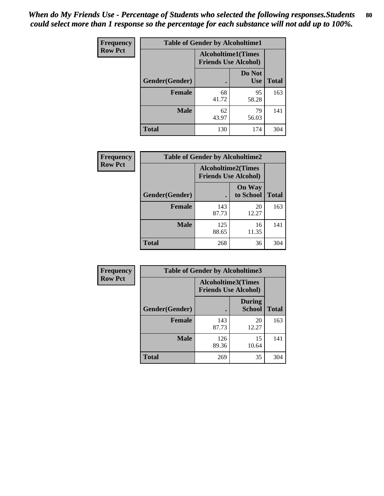| <b>Frequency</b> | <b>Table of Gender by Alcoholtime1</b> |                                                          |                      |              |
|------------------|----------------------------------------|----------------------------------------------------------|----------------------|--------------|
| <b>Row Pct</b>   |                                        | <b>Alcoholtime1(Times</b><br><b>Friends Use Alcohol)</b> |                      |              |
|                  | Gender(Gender)                         | $\bullet$                                                | Do Not<br><b>Use</b> | <b>Total</b> |
|                  | <b>Female</b>                          | 68<br>41.72                                              | 95<br>58.28          | 163          |
|                  | <b>Male</b>                            | 62<br>43.97                                              | 79<br>56.03          | 141          |
|                  | <b>Total</b>                           | 130                                                      | 174                  | 304          |

| Frequency      | <b>Table of Gender by Alcoholtime2</b> |                                                          |                            |              |
|----------------|----------------------------------------|----------------------------------------------------------|----------------------------|--------------|
| <b>Row Pct</b> |                                        | <b>Alcoholtime2(Times</b><br><b>Friends Use Alcohol)</b> |                            |              |
|                | Gender(Gender)                         |                                                          | <b>On Way</b><br>to School | <b>Total</b> |
|                | <b>Female</b>                          | 143<br>87.73                                             | 20<br>12.27                | 163          |
|                | <b>Male</b>                            | 125<br>88.65                                             | 16<br>11.35                | 141          |
|                | <b>Total</b>                           | 268                                                      | 36                         | 304          |

| Frequency      | <b>Table of Gender by Alcoholtime3</b> |                                                   |                                |              |
|----------------|----------------------------------------|---------------------------------------------------|--------------------------------|--------------|
| <b>Row Pct</b> |                                        | Alcoholtime3(Times<br><b>Friends Use Alcohol)</b> |                                |              |
|                | Gender(Gender)                         |                                                   | <b>During</b><br><b>School</b> | <b>Total</b> |
|                | Female                                 | 143<br>87.73                                      | 20<br>12.27                    | 163          |
|                | <b>Male</b>                            | 126<br>89.36                                      | 15<br>10.64                    | 141          |
|                | <b>Total</b>                           | 269                                               | 35                             | 304          |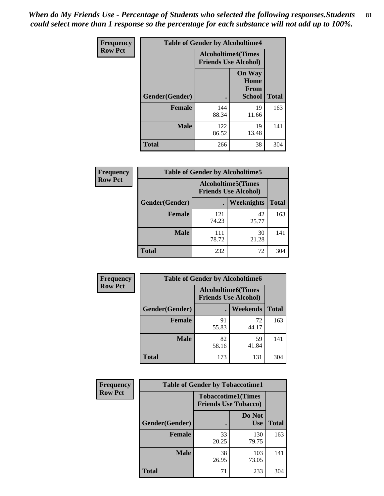*When do My Friends Use - Percentage of Students who selected the following responses.Students could select more than 1 response so the percentage for each substance will not add up to 100%.* **81**

| <b>Frequency</b> | <b>Table of Gender by Alcoholtime4</b> |                                                          |                                                |              |
|------------------|----------------------------------------|----------------------------------------------------------|------------------------------------------------|--------------|
| <b>Row Pct</b>   |                                        | <b>Alcoholtime4(Times</b><br><b>Friends Use Alcohol)</b> |                                                |              |
|                  | Gender(Gender)                         |                                                          | <b>On Way</b><br>Home<br>From<br><b>School</b> | <b>Total</b> |
|                  | <b>Female</b>                          | 144<br>88.34                                             | 19<br>11.66                                    | 163          |
|                  | <b>Male</b>                            | 122<br>86.52                                             | 19<br>13.48                                    | 141          |
|                  | <b>Total</b>                           | 266                                                      | 38                                             | 304          |

| <b>Frequency</b> | <b>Table of Gender by Alcoholtime5</b> |                                                           |             |              |
|------------------|----------------------------------------|-----------------------------------------------------------|-------------|--------------|
| <b>Row Pct</b>   |                                        | <b>Alcoholtime5</b> (Times<br><b>Friends Use Alcohol)</b> |             |              |
|                  | Gender(Gender)                         |                                                           | Weeknights  | <b>Total</b> |
|                  | <b>Female</b>                          | 121<br>74.23                                              | 42<br>25.77 | 163          |
|                  | <b>Male</b>                            | 111<br>78.72                                              | 30<br>21.28 | 141          |
|                  | <b>Total</b>                           | 232                                                       | 72          | 304          |

| <b>Frequency</b> | <b>Table of Gender by Alcoholtime6</b> |                                                          |                 |              |  |
|------------------|----------------------------------------|----------------------------------------------------------|-----------------|--------------|--|
| <b>Row Pct</b>   |                                        | <b>Alcoholtime6(Times</b><br><b>Friends Use Alcohol)</b> |                 |              |  |
|                  | Gender(Gender)                         |                                                          | <b>Weekends</b> | <b>Total</b> |  |
|                  | Female                                 | 91<br>55.83                                              | 72<br>44.17     | 163          |  |
|                  | <b>Male</b>                            | 82<br>58.16                                              | 59<br>41.84     | 141          |  |
|                  | <b>Total</b>                           | 173                                                      | 131             | 304          |  |

| Frequency      | <b>Table of Gender by Tobaccotime1</b> |                                                          |                      |              |
|----------------|----------------------------------------|----------------------------------------------------------|----------------------|--------------|
| <b>Row Pct</b> |                                        | <b>Tobaccotime1(Times</b><br><b>Friends Use Tobacco)</b> |                      |              |
|                | Gender(Gender)                         |                                                          | Do Not<br><b>Use</b> | <b>Total</b> |
|                | <b>Female</b>                          | 33<br>20.25                                              | 130<br>79.75         | 163          |
|                | <b>Male</b>                            | 38<br>26.95                                              | 103<br>73.05         | 141          |
|                | <b>Total</b>                           | 71                                                       | 233                  | 304          |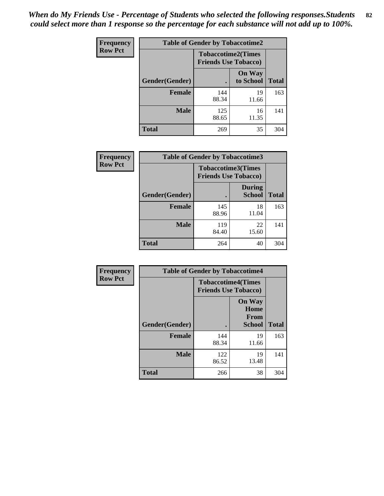| <b>Frequency</b> | <b>Table of Gender by Tobaccotime2</b> |                                                          |                            |              |
|------------------|----------------------------------------|----------------------------------------------------------|----------------------------|--------------|
| <b>Row Pct</b>   |                                        | <b>Tobaccotime2(Times</b><br><b>Friends Use Tobacco)</b> |                            |              |
|                  | Gender(Gender)                         |                                                          | <b>On Way</b><br>to School | <b>Total</b> |
|                  | <b>Female</b>                          | 144<br>88.34                                             | 19<br>11.66                | 163          |
|                  | <b>Male</b>                            | 125<br>88.65                                             | 16<br>11.35                | 141          |
|                  | <b>Total</b>                           | 269                                                      | 35                         | 304          |

| Frequency      | <b>Table of Gender by Tobaccotime3</b> |                                                          |                                |              |
|----------------|----------------------------------------|----------------------------------------------------------|--------------------------------|--------------|
| <b>Row Pct</b> |                                        | <b>Tobaccotime3(Times</b><br><b>Friends Use Tobacco)</b> |                                |              |
|                | Gender(Gender)                         |                                                          | <b>During</b><br><b>School</b> | <b>Total</b> |
|                | Female                                 | 145<br>88.96                                             | 18<br>11.04                    | 163          |
|                | <b>Male</b>                            | 119<br>84.40                                             | 22<br>15.60                    | 141          |
|                | <b>Total</b>                           | 264                                                      | 40                             | 304          |

| <b>Frequency</b> | <b>Table of Gender by Tobaccotime4</b> |                                                          |                                                       |              |
|------------------|----------------------------------------|----------------------------------------------------------|-------------------------------------------------------|--------------|
| <b>Row Pct</b>   |                                        | <b>Tobaccotime4(Times</b><br><b>Friends Use Tobacco)</b> |                                                       |              |
|                  | Gender(Gender)                         |                                                          | <b>On Way</b><br>Home<br><b>From</b><br><b>School</b> | <b>Total</b> |
|                  | <b>Female</b>                          | 144<br>88.34                                             | 19<br>11.66                                           | 163          |
|                  | <b>Male</b>                            | 122<br>86.52                                             | 19<br>13.48                                           | 141          |
|                  | <b>Total</b>                           | 266                                                      | 38                                                    | 304          |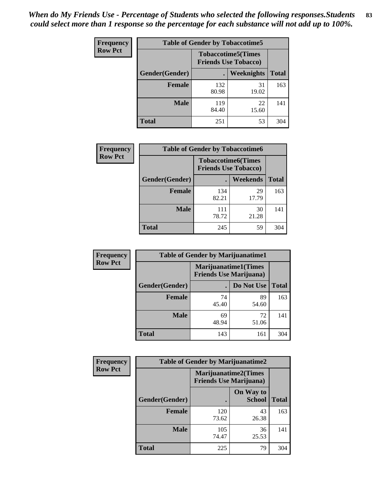| <b>Frequency</b> | <b>Table of Gender by Tobaccotime5</b> |              |                                                          |              |  |
|------------------|----------------------------------------|--------------|----------------------------------------------------------|--------------|--|
| <b>Row Pct</b>   |                                        |              | <b>Tobaccotime5(Times</b><br><b>Friends Use Tobacco)</b> |              |  |
|                  | <b>Gender</b> (Gender)                 |              | <b>Weeknights</b>                                        | <b>Total</b> |  |
|                  | Female                                 | 132<br>80.98 | 31<br>19.02                                              | 163          |  |
|                  | <b>Male</b>                            | 119<br>84.40 | 22<br>15.60                                              | 141          |  |
|                  | Total                                  | 251          | 53                                                       | 304          |  |

| <b>Frequency</b> | <b>Table of Gender by Tobaccotime6</b> |                                                          |             |              |
|------------------|----------------------------------------|----------------------------------------------------------|-------------|--------------|
| <b>Row Pct</b>   |                                        | <b>Tobaccotime6(Times</b><br><b>Friends Use Tobacco)</b> |             |              |
|                  | Gender(Gender)                         |                                                          | Weekends    | <b>Total</b> |
|                  | Female                                 | 134<br>82.21                                             | 29<br>17.79 | 163          |
|                  | <b>Male</b>                            | 111<br>78.72                                             | 30<br>21.28 | 141          |
|                  | <b>Total</b>                           | 245                                                      | 59          | 304          |

| <b>Frequency</b> | <b>Table of Gender by Marijuanatime1</b> |                                                               |             |              |
|------------------|------------------------------------------|---------------------------------------------------------------|-------------|--------------|
| <b>Row Pct</b>   |                                          | <b>Marijuanatime1(Times</b><br><b>Friends Use Marijuana</b> ) |             |              |
|                  | Gender(Gender)                           |                                                               | Do Not Use  | <b>Total</b> |
|                  | <b>Female</b>                            | 74<br>45.40                                                   | 89<br>54.60 | 163          |
|                  | <b>Male</b>                              | 69<br>48.94                                                   | 72<br>51.06 | 141          |
|                  | <b>Total</b>                             | 143                                                           | 161         | 304          |

| <b>Frequency</b> |                | <b>Table of Gender by Marijuanatime2</b>                      |                            |              |
|------------------|----------------|---------------------------------------------------------------|----------------------------|--------------|
| <b>Row Pct</b>   |                | <b>Marijuanatime2(Times</b><br><b>Friends Use Marijuana</b> ) |                            |              |
|                  | Gender(Gender) |                                                               | On Way to<br><b>School</b> | <b>Total</b> |
|                  | <b>Female</b>  | 120<br>73.62                                                  | 43<br>26.38                | 163          |
|                  | <b>Male</b>    | 105<br>74.47                                                  | 36<br>25.53                | 141          |
|                  | <b>Total</b>   | 225                                                           | 79                         | 304          |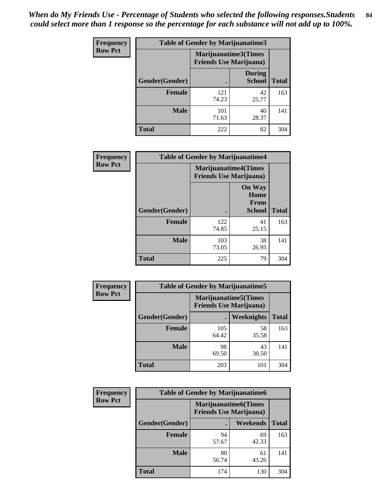*When do My Friends Use - Percentage of Students who selected the following responses.Students could select more than 1 response so the percentage for each substance will not add up to 100%.* **84**

| <b>Frequency</b> | Table of Gender by Marijuanatime3 |                                                        |                                |              |
|------------------|-----------------------------------|--------------------------------------------------------|--------------------------------|--------------|
| <b>Row Pct</b>   |                                   | Marijuanatime3(Times<br><b>Friends Use Marijuana</b> ) |                                |              |
|                  | Gender(Gender)                    |                                                        | <b>During</b><br><b>School</b> | <b>Total</b> |
|                  | <b>Female</b>                     | 121<br>74.23                                           | 42<br>25.77                    | 163          |
|                  | <b>Male</b>                       | 101<br>71.63                                           | 40<br>28.37                    | 141          |
|                  | <b>Total</b>                      | 222                                                    | 82                             | 304          |

| Frequency      | <b>Table of Gender by Marijuanatime4</b> |                             |                                                       |              |
|----------------|------------------------------------------|-----------------------------|-------------------------------------------------------|--------------|
| <b>Row Pct</b> |                                          | <b>Marijuanatime4(Times</b> | <b>Friends Use Marijuana</b> )                        |              |
|                | Gender(Gender)                           |                             | <b>On Way</b><br>Home<br><b>From</b><br><b>School</b> | <b>Total</b> |
|                | <b>Female</b>                            | 122<br>74.85                | 41<br>25.15                                           | 163          |
|                | <b>Male</b>                              | 103<br>73.05                | 38<br>26.95                                           | 141          |
|                | <b>Total</b>                             | 225                         | 79                                                    | 304          |

| Frequency      | <b>Table of Gender by Marijuanatime5</b> |                                                                |             |              |  |
|----------------|------------------------------------------|----------------------------------------------------------------|-------------|--------------|--|
| <b>Row Pct</b> |                                          | <b>Marijuanatime5</b> (Times<br><b>Friends Use Marijuana</b> ) |             |              |  |
|                | Gender(Gender)                           | ٠                                                              | Weeknights  | <b>Total</b> |  |
|                | <b>Female</b>                            | 105<br>64.42                                                   | 58<br>35.58 | 163          |  |
|                | <b>Male</b>                              | 98<br>69.50                                                    | 43<br>30.50 | 141          |  |
|                | <b>Total</b>                             | 203                                                            | 101         | 304          |  |

| Frequency      | <b>Table of Gender by Marijuanatime6</b> |                                                               |                 |              |  |
|----------------|------------------------------------------|---------------------------------------------------------------|-----------------|--------------|--|
| <b>Row Pct</b> |                                          | <b>Marijuanatime6(Times</b><br><b>Friends Use Marijuana</b> ) |                 |              |  |
|                | Gender(Gender)                           |                                                               | <b>Weekends</b> | <b>Total</b> |  |
|                | <b>Female</b>                            | 94<br>57.67                                                   | 69<br>42.33     | 163          |  |
|                | <b>Male</b>                              | 80<br>56.74                                                   | 61<br>43.26     | 141          |  |
|                | <b>Total</b>                             | 174                                                           | 130             | 304          |  |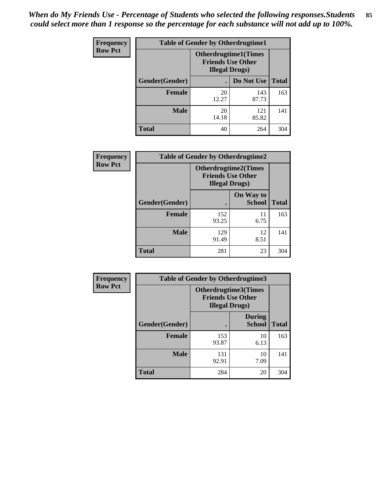*When do My Friends Use - Percentage of Students who selected the following responses.Students could select more than 1 response so the percentage for each substance will not add up to 100%.* **85**

| <b>Frequency</b> | <b>Table of Gender by Otherdrugtime1</b> |                                                                                   |                    |     |  |
|------------------|------------------------------------------|-----------------------------------------------------------------------------------|--------------------|-----|--|
| <b>Row Pct</b>   |                                          | <b>Otherdrugtime1(Times</b><br><b>Friends Use Other</b><br><b>Illegal Drugs</b> ) |                    |     |  |
|                  | Gender(Gender)                           |                                                                                   | Do Not Use   Total |     |  |
|                  | <b>Female</b>                            | 20<br>12.27                                                                       | 143<br>87.73       | 163 |  |
|                  | <b>Male</b>                              | 20<br>14.18                                                                       | 121<br>85.82       | 141 |  |
|                  | <b>Total</b>                             | 40                                                                                | 264                | 304 |  |

| Frequency      | <b>Table of Gender by Otherdrugtime2</b> |                                                                                   |                            |              |
|----------------|------------------------------------------|-----------------------------------------------------------------------------------|----------------------------|--------------|
| <b>Row Pct</b> |                                          | <b>Otherdrugtime2(Times</b><br><b>Friends Use Other</b><br><b>Illegal Drugs</b> ) |                            |              |
|                | Gender(Gender)                           |                                                                                   | On Way to<br><b>School</b> | <b>Total</b> |
|                | <b>Female</b>                            | 152<br>93.25                                                                      | 11<br>6.75                 | 163          |
|                | <b>Male</b>                              | 129<br>91.49                                                                      | 12<br>8.51                 | 141          |
|                | <b>Total</b>                             | 281                                                                               | 23                         | 304          |

| Frequency      | <b>Table of Gender by Otherdrugtime3</b> |                        |                                                  |              |
|----------------|------------------------------------------|------------------------|--------------------------------------------------|--------------|
| <b>Row Pct</b> |                                          | <b>Illegal Drugs</b> ) | Otherdrugtime3(Times<br><b>Friends Use Other</b> |              |
|                | Gender(Gender)                           |                        | <b>During</b><br><b>School</b>                   | <b>Total</b> |
|                | <b>Female</b>                            | 153<br>93.87           | 10<br>6.13                                       | 163          |
|                | <b>Male</b>                              | 131<br>92.91           | 10<br>7.09                                       | 141          |
|                | <b>Total</b>                             | 284                    | 20                                               | 304          |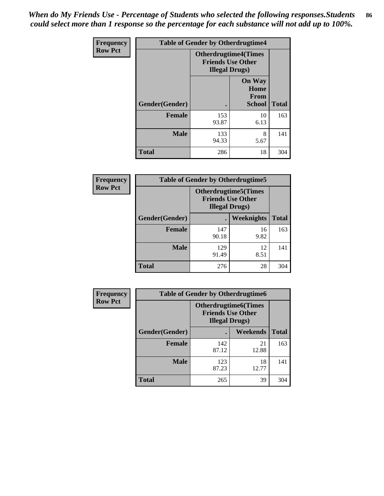*When do My Friends Use - Percentage of Students who selected the following responses.Students could select more than 1 response so the percentage for each substance will not add up to 100%.* **86**

| <b>Frequency</b> | <b>Table of Gender by Otherdrugtime4</b> |                                                       |                                                       |              |
|------------------|------------------------------------------|-------------------------------------------------------|-------------------------------------------------------|--------------|
| <b>Row Pct</b>   |                                          | <b>Otherdrugtime4(Times</b><br><b>Illegal Drugs</b> ) | <b>Friends Use Other</b>                              |              |
|                  | Gender(Gender)                           | ٠                                                     | <b>On Way</b><br>Home<br><b>From</b><br><b>School</b> | <b>Total</b> |
|                  | <b>Female</b>                            | 153<br>93.87                                          | 10<br>6.13                                            | 163          |
|                  | <b>Male</b>                              | 133<br>94.33                                          | 8<br>5.67                                             | 141          |
|                  | <b>Total</b>                             | 286                                                   | 18                                                    | 304          |

| Frequency      | <b>Table of Gender by Otherdrugtime5</b> |                                                                                    |            |              |
|----------------|------------------------------------------|------------------------------------------------------------------------------------|------------|--------------|
| <b>Row Pct</b> |                                          | <b>Otherdrugtime5</b> (Times<br><b>Friends Use Other</b><br><b>Illegal Drugs</b> ) |            |              |
|                | Gender(Gender)                           |                                                                                    | Weeknights | <b>Total</b> |
|                | <b>Female</b>                            | 147<br>90.18                                                                       | 16<br>9.82 | 163          |
|                | <b>Male</b>                              | 129<br>91.49                                                                       | 12<br>8.51 | 141          |
|                | <b>Total</b>                             | 276                                                                                | 28         | 304          |

| <b>Frequency</b> | <b>Table of Gender by Otherdrugtime6</b> |                                                                                    |             |              |
|------------------|------------------------------------------|------------------------------------------------------------------------------------|-------------|--------------|
| <b>Row Pct</b>   |                                          | <b>Otherdrugtime6</b> (Times<br><b>Friends Use Other</b><br><b>Illegal Drugs</b> ) |             |              |
|                  | Gender(Gender)                           |                                                                                    | Weekends    | <b>Total</b> |
|                  | <b>Female</b>                            | 142<br>87.12                                                                       | 21<br>12.88 | 163          |
|                  | <b>Male</b>                              | 123<br>87.23                                                                       | 18<br>12.77 | 141          |
|                  | <b>Total</b>                             | 265                                                                                | 39          | 304          |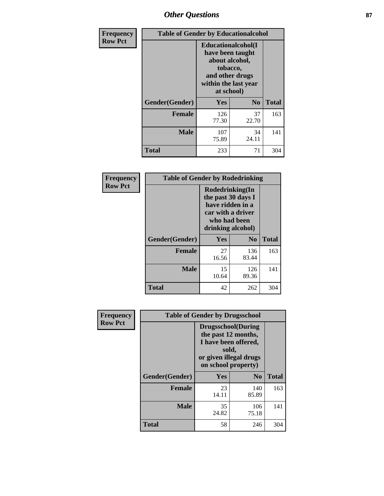## *Other Questions* **87**

| <b>Frequency</b> | <b>Table of Gender by Educationalcohol</b> |                                                                                                                                       |                |              |
|------------------|--------------------------------------------|---------------------------------------------------------------------------------------------------------------------------------------|----------------|--------------|
| <b>Row Pct</b>   |                                            | <b>Educationalcohol</b> (I<br>have been taught<br>about alcohol,<br>tobacco,<br>and other drugs<br>within the last year<br>at school) |                |              |
|                  | Gender(Gender)                             | <b>Yes</b>                                                                                                                            | N <sub>0</sub> | <b>Total</b> |
|                  | <b>Female</b>                              | 126<br>77.30                                                                                                                          | 37<br>22.70    | 163          |
|                  | <b>Male</b>                                | 107<br>75.89                                                                                                                          | 34<br>24.11    | 141          |
|                  | <b>Total</b>                               | 233                                                                                                                                   | 71             | 304          |

| Frequency      | <b>Table of Gender by Rodedrinking</b> |                                                                                                                     |                |              |  |
|----------------|----------------------------------------|---------------------------------------------------------------------------------------------------------------------|----------------|--------------|--|
| <b>Row Pct</b> |                                        | Rodedrinking(In<br>the past 30 days I<br>have ridden in a<br>car with a driver<br>who had been<br>drinking alcohol) |                |              |  |
|                | Gender(Gender)                         | Yes                                                                                                                 | N <sub>0</sub> | <b>Total</b> |  |
|                | <b>Female</b>                          | 27<br>16.56                                                                                                         | 136<br>83.44   | 163          |  |
|                | <b>Male</b>                            | 15<br>10.64                                                                                                         | 126<br>89.36   | 141          |  |
|                | <b>Total</b>                           | 42                                                                                                                  | 262            | 304          |  |

| Frequency      | <b>Table of Gender by Drugsschool</b> |                                                                                                                                     |                |              |  |
|----------------|---------------------------------------|-------------------------------------------------------------------------------------------------------------------------------------|----------------|--------------|--|
| <b>Row Pct</b> |                                       | <b>Drugsschool</b> (During<br>the past 12 months,<br>I have been offered,<br>sold,<br>or given illegal drugs<br>on school property) |                |              |  |
|                | Gender(Gender)                        | Yes                                                                                                                                 | N <sub>0</sub> | <b>Total</b> |  |
|                | <b>Female</b>                         | 23<br>14.11                                                                                                                         | 140<br>85.89   | 163          |  |
|                | <b>Male</b>                           | 35<br>24.82                                                                                                                         | 106<br>75.18   | 141          |  |
|                | <b>Total</b>                          | 58                                                                                                                                  | 246            | 304          |  |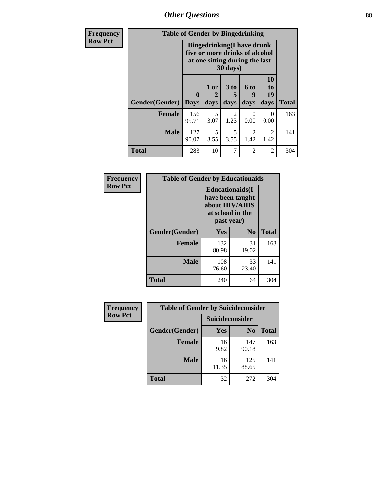*Other Questions* **88**

| Frequency      | <b>Table of Gender by Bingedrinking</b>                                                                                    |                             |                |                         |                          |                        |              |
|----------------|----------------------------------------------------------------------------------------------------------------------------|-----------------------------|----------------|-------------------------|--------------------------|------------------------|--------------|
| <b>Row Pct</b> | <b>Bingedrinking(I have drunk</b><br>five or more drinks of alcohol<br>at one sitting during the last<br>$30 \text{ days}$ |                             |                |                         |                          |                        |              |
|                | Gender(Gender)                                                                                                             | $\mathbf{0}$<br><b>Days</b> | $1$ or<br>days | 3 <sub>to</sub><br>days | <b>6 to</b><br>9<br>days | 10<br>to<br>19<br>days | <b>Total</b> |
|                | <b>Female</b>                                                                                                              | 156<br>95.71                | 5<br>3.07      | 2<br>1.23               | $\Omega$<br>0.00         | $\Omega$<br>0.00       | 163          |
|                | <b>Male</b>                                                                                                                | 127<br>90.07                | 5<br>3.55      | 5<br>3.55               | $\overline{2}$<br>1.42   | $\mathfrak{D}$<br>1.42 | 141          |
|                | <b>Total</b>                                                                                                               | 283                         | 10             | 7                       | $\overline{2}$           | 2                      | 304          |

| Frequency      | <b>Table of Gender by Educationaids</b> |                                                                                                 |                |              |  |
|----------------|-----------------------------------------|-------------------------------------------------------------------------------------------------|----------------|--------------|--|
| <b>Row Pct</b> |                                         | <b>Educationaids</b> (I<br>have been taught<br>about HIV/AIDS<br>at school in the<br>past year) |                |              |  |
|                | Gender(Gender)                          | Yes                                                                                             | N <sub>0</sub> | <b>Total</b> |  |
|                | <b>Female</b>                           | 132<br>80.98                                                                                    | 31<br>19.02    | 163          |  |
|                | <b>Male</b>                             | 108<br>76.60                                                                                    | 33<br>23.40    | 141          |  |
|                | <b>Total</b>                            | 240                                                                                             | 64             | 304          |  |

| <b>Frequency</b> | <b>Table of Gender by Suicideconsider</b> |                 |                |              |
|------------------|-------------------------------------------|-----------------|----------------|--------------|
| <b>Row Pct</b>   |                                           | Suicideconsider |                |              |
|                  | Gender(Gender)                            | Yes             | N <sub>0</sub> | <b>Total</b> |
|                  | <b>Female</b>                             | 16<br>9.82      | 147<br>90.18   | 163          |
|                  | <b>Male</b>                               | 16<br>11.35     | 125<br>88.65   | 141          |
|                  | <b>Total</b>                              | 32              | 272            | 304          |